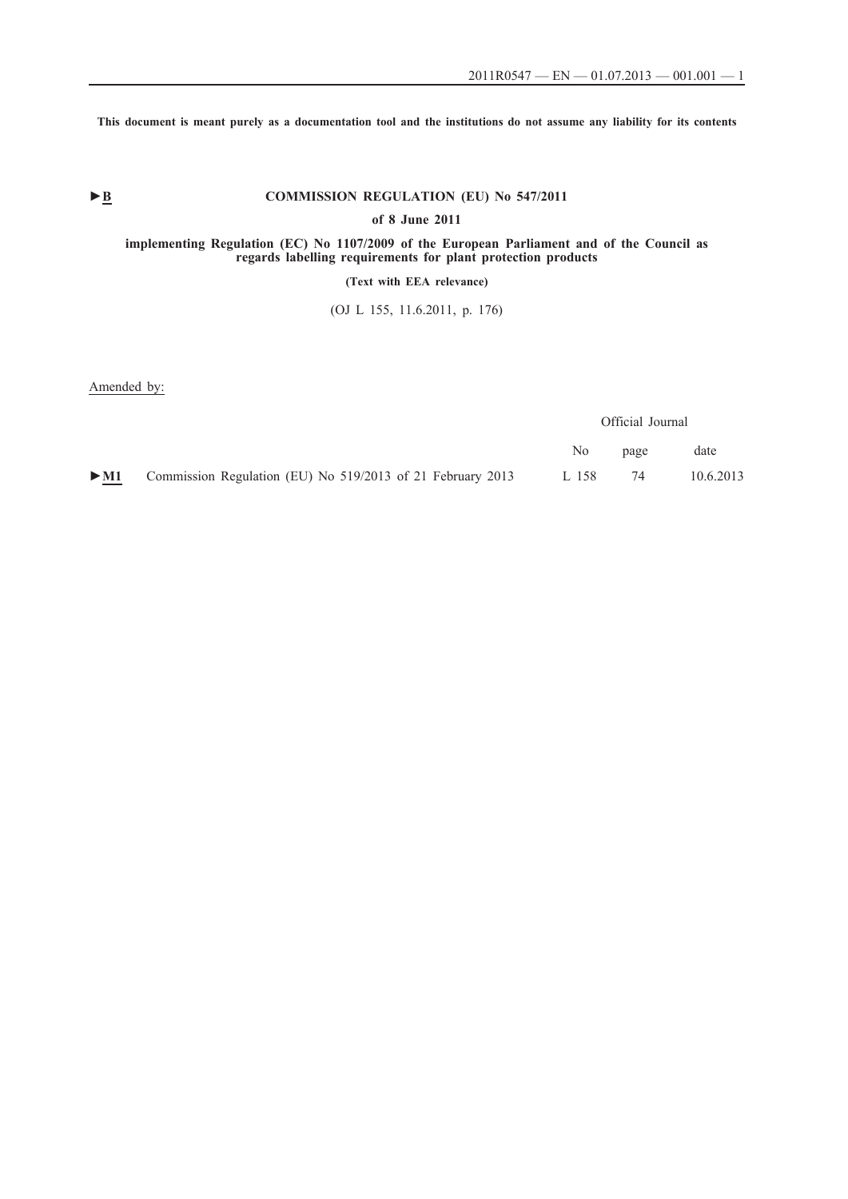**This document is meant purely as a documentation tool and the institutions do not assume any liability for its contents**

# ► **B** COMMISSION REGULATION (EU) No 547/2011

**of 8 June 2011**

#### **implementing Regulation (EC) No 1107/2009 of the European Parliament and of the Council as regards labelling requirements for plant protection products**

**(Text with EEA relevance)**

(OJ L 155, 11.6.2011, p. 176)

Amended by:

|        |                                                            | Official Journal |      |           |
|--------|------------------------------------------------------------|------------------|------|-----------|
|        |                                                            | No.              | page | date      |
| $>$ M1 | Commission Regulation (EU) No 519/2013 of 21 February 2013 | L 158            | 74   | 10.6.2013 |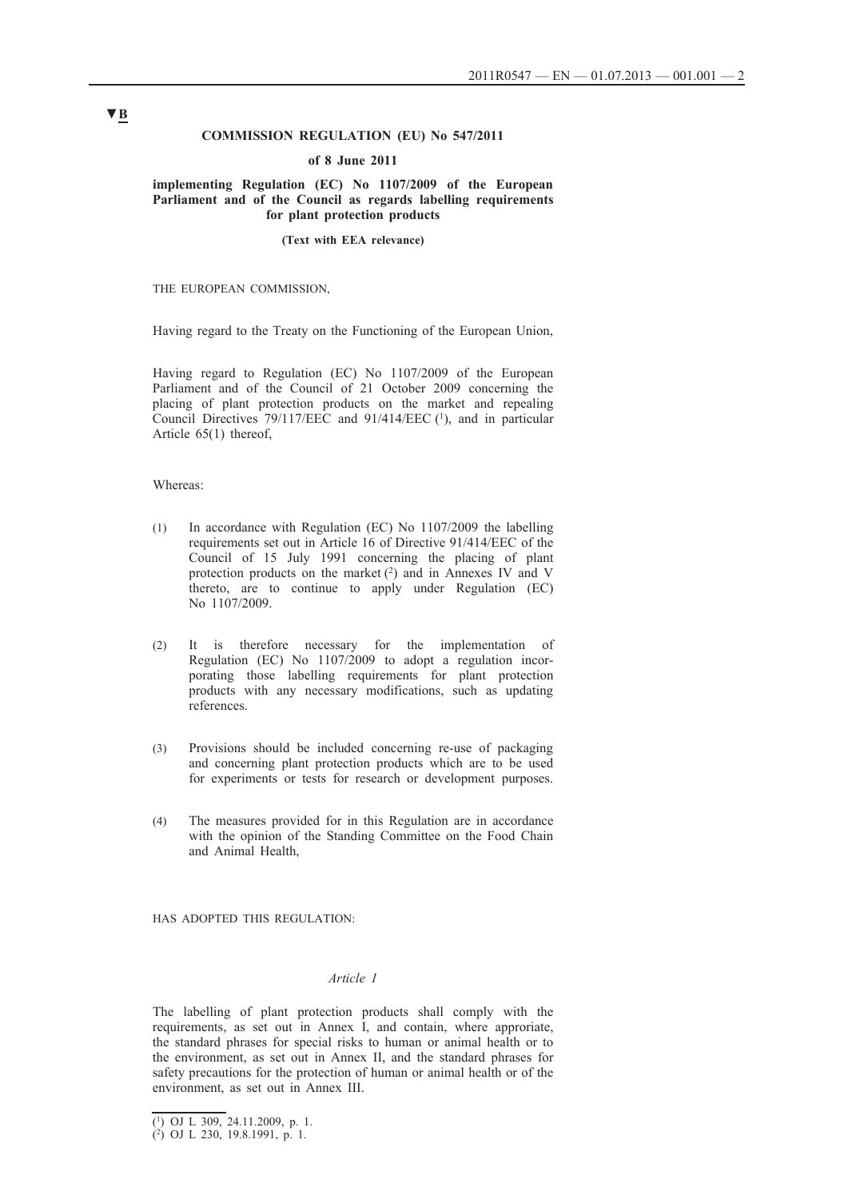#### **COMMISSION REGULATION (EU) No 547/2011**

#### **of 8 June 2011**

#### **implementing Regulation (EC) No 1107/2009 of the European Parliament and of the Council as regards labelling requirements for plant protection products**

#### **(Text with EEA relevance)**

THE EUROPEAN COMMISSION,

Having regard to the Treaty on the Functioning of the European Union,

Having regard to Regulation (EC) No 1107/2009 of the European Parliament and of the Council of 21 October 2009 concerning the placing of plant protection products on the market and repealing Council Directives 79/117/EEC and 91/414/EEC (1), and in particular Article 65(1) thereof,

#### Whereas:

- (1) In accordance with Regulation (EC) No 1107/2009 the labelling requirements set out in Article 16 of Directive 91/414/EEC of the Council of 15 July 1991 concerning the placing of plant protection products on the market (2) and in Annexes IV and V thereto, are to continue to apply under Regulation (EC) No 1107/2009.
- (2) It is therefore necessary for the implementation of Regulation (EC) No 1107/2009 to adopt a regulation incorporating those labelling requirements for plant protection products with any necessary modifications, such as updating references.
- (3) Provisions should be included concerning re-use of packaging and concerning plant protection products which are to be used for experiments or tests for research or development purposes.
- (4) The measures provided for in this Regulation are in accordance with the opinion of the Standing Committee on the Food Chain and Animal Health,

HAS ADOPTED THIS REGULATION:

#### *Article 1*

The labelling of plant protection products shall comply with the requirements, as set out in Annex I, and contain, where approriate, the standard phrases for special risks to human or animal health or to the environment, as set out in Annex II, and the standard phrases for safety precautions for the protection of human or animal health or of the environment, as set out in Annex III.

<sup>(1)</sup> OJ L 309, 24.11.2009, p. 1.

<sup>(2)</sup> OJ L 230, 19.8.1991, p. 1.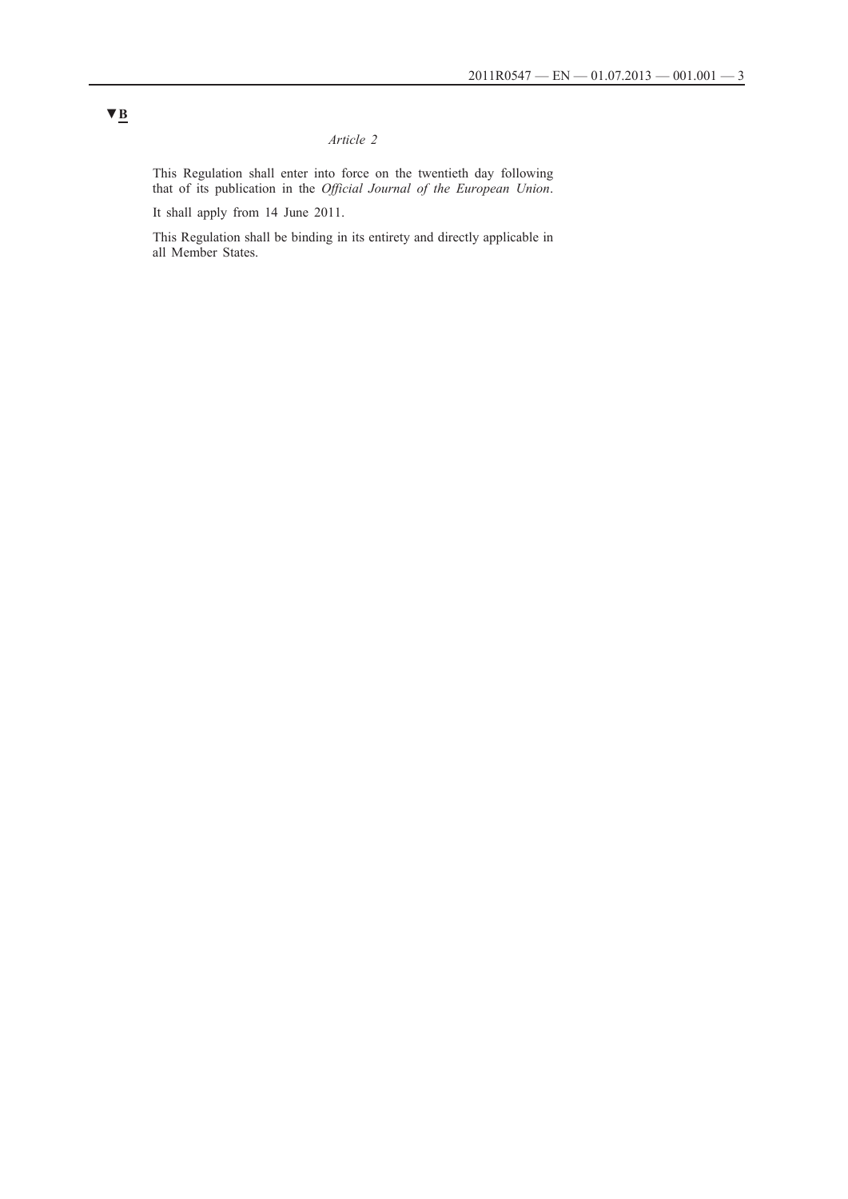### *Article 2*

This Regulation shall enter into force on the twentieth day following that of its publication in the *Official Journal of the European Union*.

It shall apply from 14 June 2011.

This Regulation shall be binding in its entirety and directly applicable in all Member States.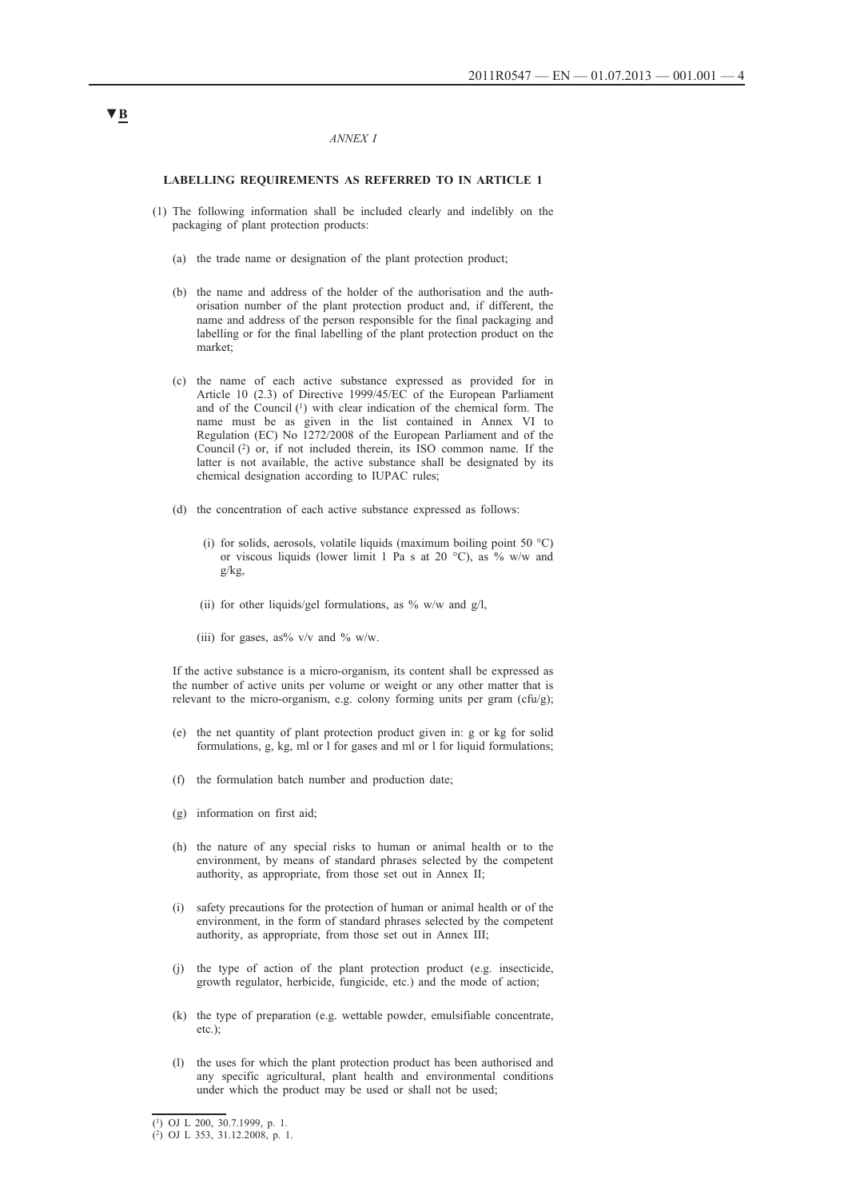#### *ANNEX I*

#### **LABELLING REQUIREMENTS AS REFERRED TO IN ARTICLE 1**

- (1) The following information shall be included clearly and indelibly on the packaging of plant protection products:
	- (a) the trade name or designation of the plant protection product;
	- (b) the name and address of the holder of the authorisation and the authorisation number of the plant protection product and, if different, the name and address of the person responsible for the final packaging and labelling or for the final labelling of the plant protection product on the market;
	- (c) the name of each active substance expressed as provided for in Article 10 (2.3) of Directive 1999/45/EC of the European Parliament and of the Council (1) with clear indication of the chemical form. The name must be as given in the list contained in Annex VI to Regulation (EC) No 1272/2008 of the European Parliament and of the Council  $(2)$  or, if not included therein, its ISO common name. If the latter is not available, the active substance shall be designated by its chemical designation according to IUPAC rules;
	- (d) the concentration of each active substance expressed as follows:
		- (i) for solids, aerosols, volatile liquids (maximum boiling point 50  $^{\circ}$ C) or viscous liquids (lower limit 1 Pa s at 20 °C), as % w/w and g/kg,
		- (ii) for other liquids/gel formulations, as  $\%$  w/w and g/l,
		- (iii) for gases, as%  $v/v$  and % w/w.

If the active substance is a micro-organism, its content shall be expressed as the number of active units per volume or weight or any other matter that is relevant to the micro-organism, e.g. colony forming units per gram  $(cfu/g)$ ;

- (e) the net quantity of plant protection product given in: g or kg for solid formulations, g, kg, ml or l for gases and ml or l for liquid formulations;
- (f) the formulation batch number and production date;
- (g) information on first aid;
- (h) the nature of any special risks to human or animal health or to the environment, by means of standard phrases selected by the competent authority, as appropriate, from those set out in Annex II;
- (i) safety precautions for the protection of human or animal health or of the environment, in the form of standard phrases selected by the competent authority, as appropriate, from those set out in Annex III;
- (j) the type of action of the plant protection product (e.g. insecticide, growth regulator, herbicide, fungicide, etc.) and the mode of action;
- (k) the type of preparation (e.g. wettable powder, emulsifiable concentrate, etc.);
- (l) the uses for which the plant protection product has been authorised and any specific agricultural, plant health and environmental conditions under which the product may be used or shall not be used;

<sup>(1)</sup> OJ L 200, 30.7.1999, p. 1.

<sup>(2)</sup> OJ L 353, 31.12.2008, p. 1.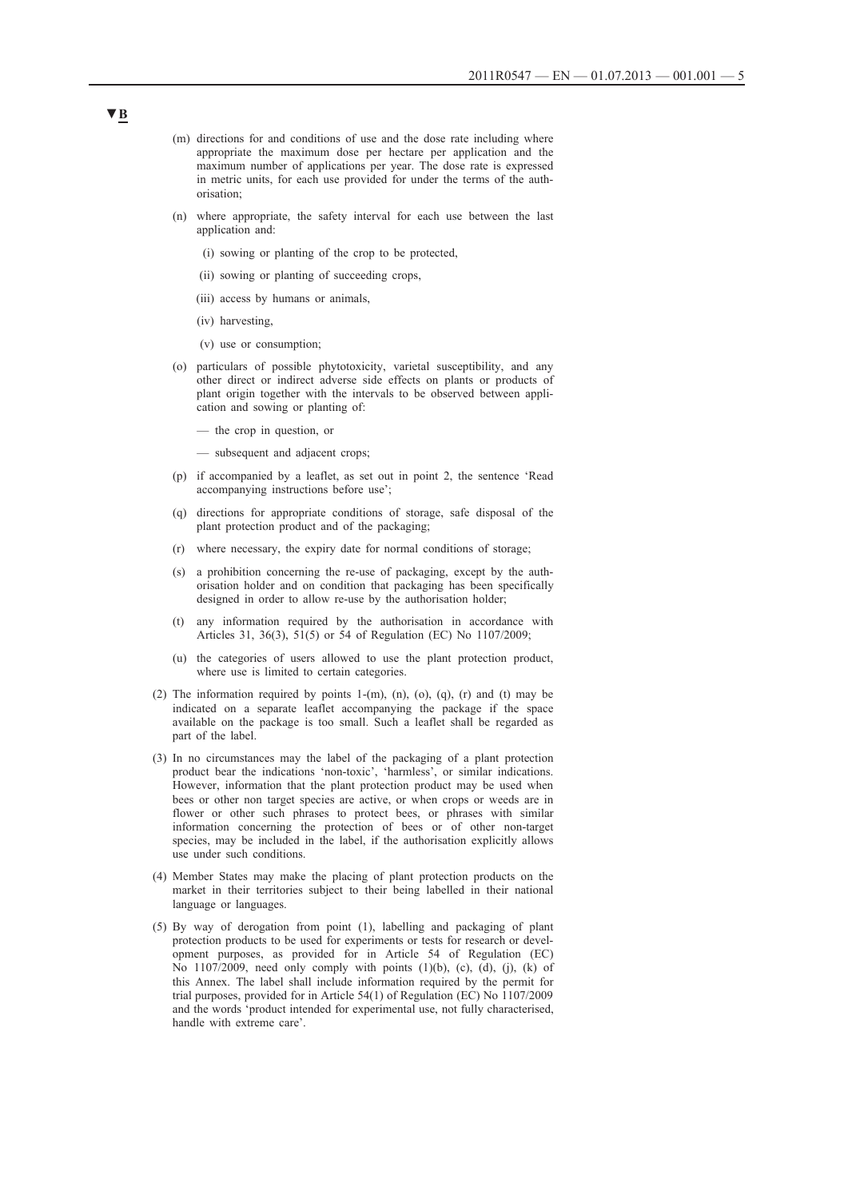- (m) directions for and conditions of use and the dose rate including where appropriate the maximum dose per hectare per application and the maximum number of applications per year. The dose rate is expressed in metric units, for each use provided for under the terms of the authorisation;
- (n) where appropriate, the safety interval for each use between the last application and:
	- (i) sowing or planting of the crop to be protected,
	- (ii) sowing or planting of succeeding crops,
	- (iii) access by humans or animals,
	- (iv) harvesting,
	- (v) use or consumption;
- (o) particulars of possible phytotoxicity, varietal susceptibility, and any other direct or indirect adverse side effects on plants or products of plant origin together with the intervals to be observed between application and sowing or planting of:
	- the crop in question, or
	- subsequent and adjacent crops;
- (p) if accompanied by a leaflet, as set out in point 2, the sentence 'Read accompanying instructions before use';
- (q) directions for appropriate conditions of storage, safe disposal of the plant protection product and of the packaging;
- (r) where necessary, the expiry date for normal conditions of storage;
- (s) a prohibition concerning the re-use of packaging, except by the authorisation holder and on condition that packaging has been specifically designed in order to allow re-use by the authorisation holder;
- (t) any information required by the authorisation in accordance with Articles 31, 36(3), 51(5) or 54 of Regulation (EC) No 1107/2009;
- (u) the categories of users allowed to use the plant protection product, where use is limited to certain categories.
- (2) The information required by points 1- $(m)$ ,  $(n)$ ,  $(0)$ ,  $(q)$ ,  $(r)$  and  $(t)$  may be indicated on a separate leaflet accompanying the package if the space available on the package is too small. Such a leaflet shall be regarded as part of the label.
- (3) In no circumstances may the label of the packaging of a plant protection product bear the indications 'non-toxic', 'harmless', or similar indications. However, information that the plant protection product may be used when bees or other non target species are active, or when crops or weeds are in flower or other such phrases to protect bees, or phrases with similar information concerning the protection of bees or of other non-target species, may be included in the label, if the authorisation explicitly allows use under such conditions.
- (4) Member States may make the placing of plant protection products on the market in their territories subject to their being labelled in their national language or languages.
- (5) By way of derogation from point (1), labelling and packaging of plant protection products to be used for experiments or tests for research or development purposes, as provided for in Article 54 of Regulation (EC) No  $1107/2009$ , need only comply with points  $(1)(b)$ ,  $(c)$ ,  $(d)$ ,  $(i)$ ,  $(k)$  of this Annex. The label shall include information required by the permit for trial purposes, provided for in Article 54(1) of Regulation (EC) No 1107/2009 and the words 'product intended for experimental use, not fully characterised, handle with extreme care'.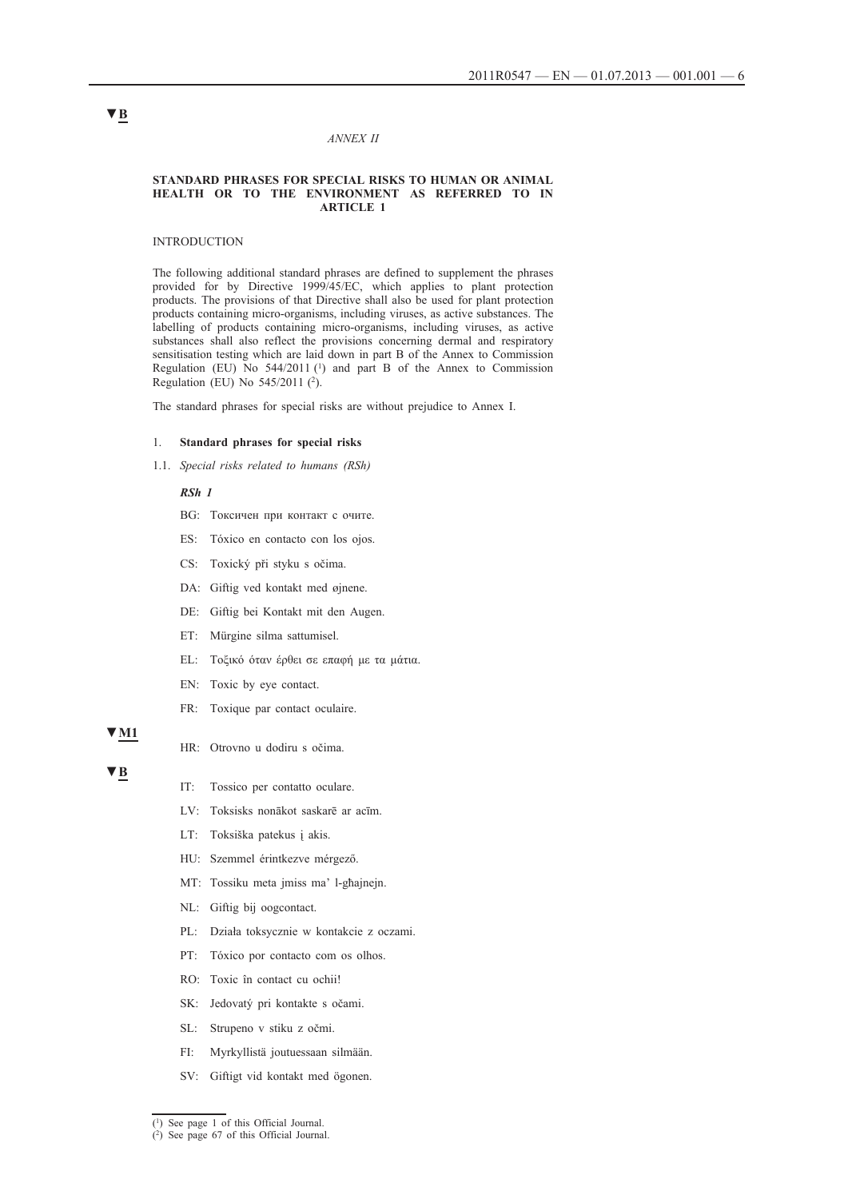#### *ANNEX II*

#### **STANDARD PHRASES FOR SPECIAL RISKS TO HUMAN OR ANIMAL HEALTH OR TO THE ENVIRONMENT AS REFERRED TO IN ARTICLE 1**

#### INTRODUCTION

The following additional standard phrases are defined to supplement the phrases provided for by Directive 1999/45/EC, which applies to plant protection products. The provisions of that Directive shall also be used for plant protection products containing micro-organisms, including viruses, as active substances. The labelling of products containing micro-organisms, including viruses, as active substances shall also reflect the provisions concerning dermal and respiratory sensitisation testing which are laid down in part B of the Annex to Commission Regulation (EU) No  $544/2011$  (<sup>1</sup>) and part B of the Annex to Commission Regulation (EU) No 545/2011 (2).

The standard phrases for special risks are without prejudice to Annex I.

#### 1. **Standard phrases for special risks**

1.1. *Special risks related to humans (RSh)*

### *RSh 1*

- BG: Токсичен при контакт с очите.
- ES: Tóxico en contacto con los ojos.
- CS: Toxický při styku s očima.
- DA: Giftig ved kontakt med øjnene.
- DE: Giftig bei Kontakt mit den Augen.
- ET: Mürgine silma sattumisel.
- EL: Τοξικό όταν έρθει σε επαφή με τα μάτια.
- EN: Toxic by eye contact.
- FR: Toxique par contact oculaire.

### **▼M1**

- HR: Otrovno u dodiru s očima.
- **▼B**
- IT: Tossico per contatto oculare.
- LV: Toksisks nonākot saskarē ar acīm.
- LT: Toksiška patekus į akis.
- HU: Szemmel érintkezve mérgező.
- MT: Tossiku meta jmiss ma' l-għajnejn.
- NL: Giftig bij oogcontact.
- PL: Działa toksycznie w kontakcie z oczami.
- PT: Tóxico por contacto com os olhos.
- RO: Toxic în contact cu ochii!
- SK: Jedovatý pri kontakte s očami.
- SL: Strupeno v stiku z očmi.
- FI: Myrkyllistä joutuessaan silmään.
- SV: Giftigt vid kontakt med ögonen.

<sup>(1)</sup> See page 1 of this Official Journal.

<sup>(2)</sup> See page 67 of this Official Journal.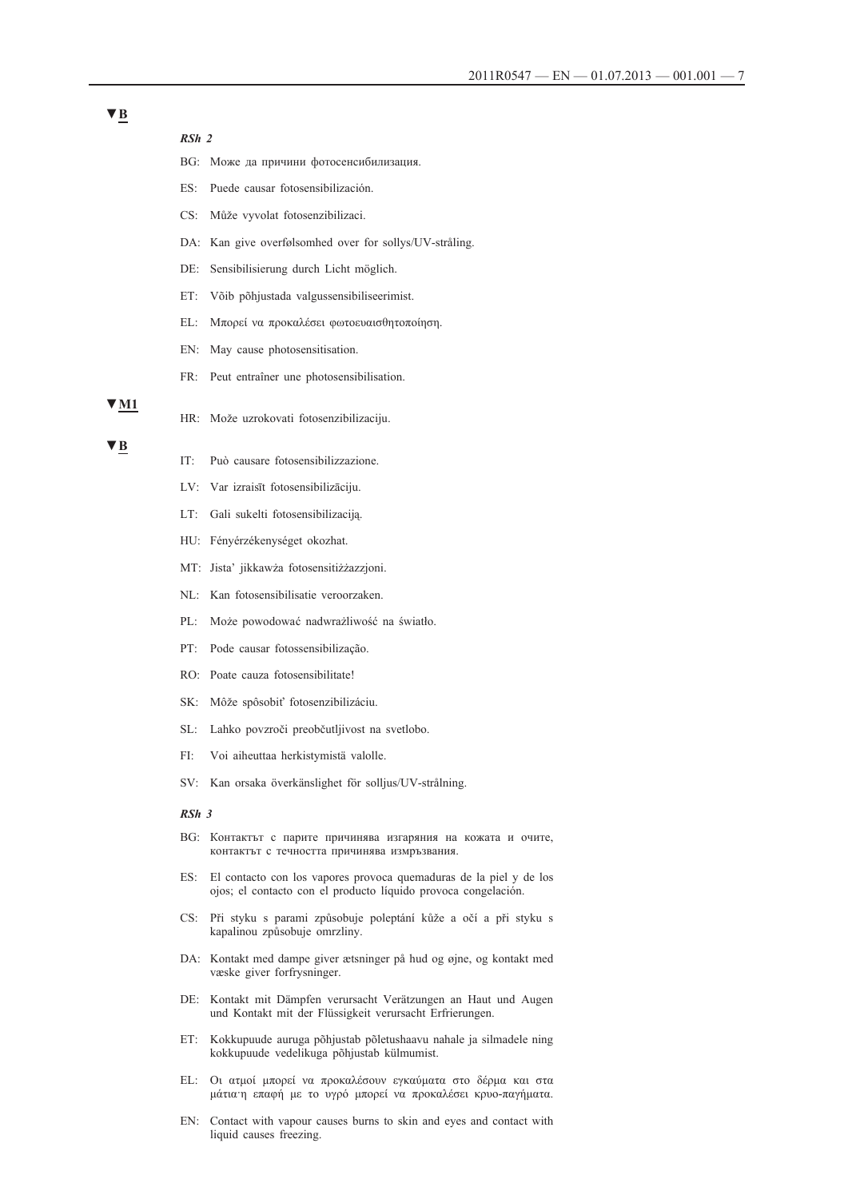*RSh 2* BG: Може да причини фотосенсибилизация. ES: Puede causar fotosensibilización. CS: Může vyvolat fotosenzibilizaci. DA: Kan give overfølsomhed over for sollys/UV-stråling. DE: Sensibilisierung durch Licht möglich. ET: Võib põhjustada valgussensibiliseerimist. EL: Μπορεί να προκαλέσει φωτοευαισθητοποίηση. EN: May cause photosensitisation. FR: Peut entraîner une photosensibilisation. HR: Može uzrokovati fotosenzibilizaciju. IT: Può causare fotosensibilizzazione. LV: Var izraisīt fotosensibilizāciju. LT: Gali sukelti fotosensibilizaciją. HU: Fényérzékenységet okozhat. MT: Jista' jikkawża fotosensitiżżazzjoni. NL: Kan fotosensibilisatie veroorzaken. PL: Może powodować nadwrażliwość na światło. PT: Pode causar fotossensibilização. RO: Poate cauza fotosensibilitate! SK: Môže spôsobiť fotosenzibilizáciu. SL: Lahko povzroči preobčutljivost na svetlobo. FI: Voi aiheuttaa herkistymistä valolle. SV: Kan orsaka överkänslighet för solljus/UV-strålning. *RSh 3* BG: Контактът с парите причинява изгаряния на кожата и очите, контактът с течността причинява измръзвания. ES: El contacto con los vapores provoca quemaduras de la piel y de los ojos; el contacto con el producto líquido provoca congelación. CS: Při styku s parami způsobuje poleptání kůže a očí a při styku s kapalinou způsobuje omrzliny. DA: Kontakt med dampe giver ætsninger på hud og øjne, og kontakt med væske giver forfrysninger. DE: Kontakt mit Dämpfen verursacht Verätzungen an Haut und Augen und Kontakt mit der Flüssigkeit verursacht Erfrierungen. ET: Kokkupuude auruga põhjustab põletushaavu nahale ja silmadele ning kokkupuude vedelikuga põhjustab külmumist. EL: Οι ατμοί μπορεί να προκαλέσουν εγκαύματα στο δέρμα και στα μάτια·η επαφή με το υγρό μπορεί να προκαλέσει κρυο-παγήματα.

EN: Contact with vapour causes burns to skin and eyes and contact with liquid causes freezing.

### **▼M1**

**▼B**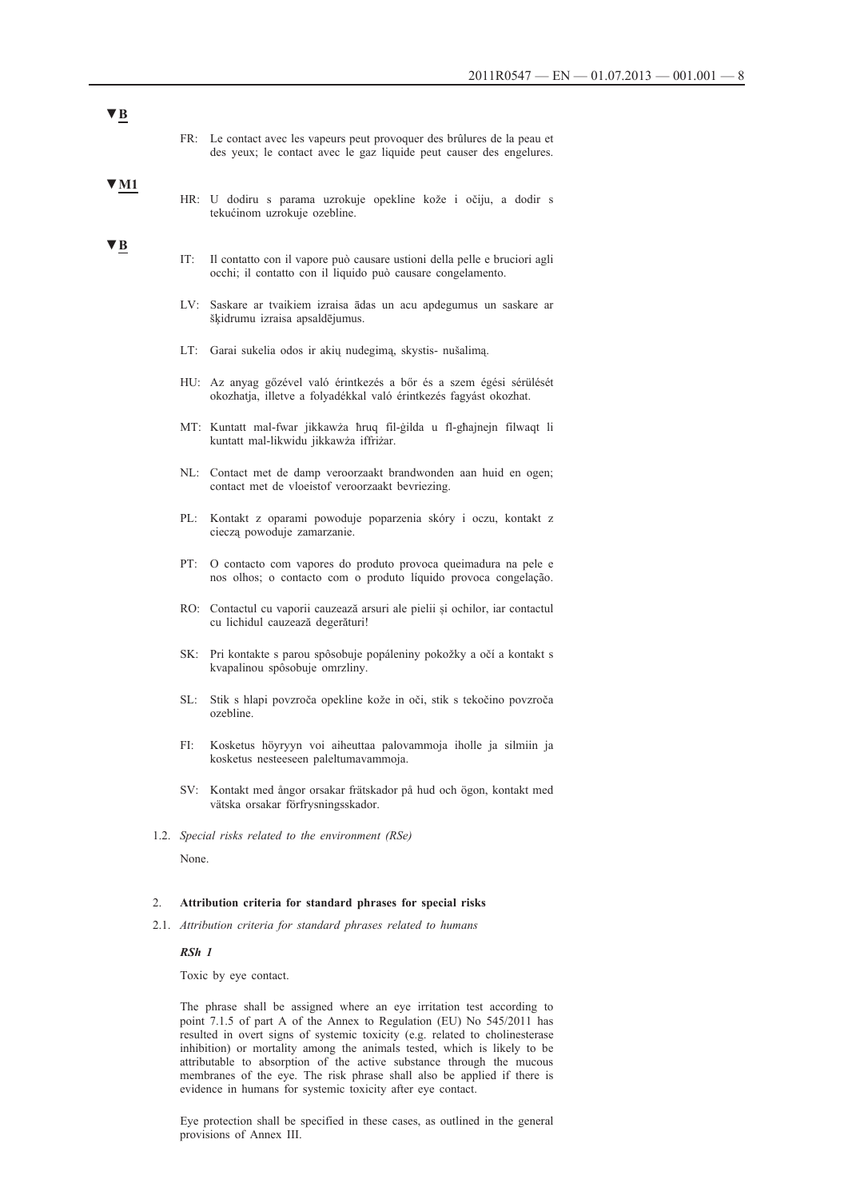| , R                     |    |                                                                  |                                                                                                                                                  |  |  |  |
|-------------------------|----|------------------------------------------------------------------|--------------------------------------------------------------------------------------------------------------------------------------------------|--|--|--|
|                         |    |                                                                  | FR: Le contact avec les vapeurs peut provoquer des brûlures de la peau et<br>des yeux; le contact avec le gaz liquide peut causer des engelures. |  |  |  |
| $\blacktriangledown$ M1 |    |                                                                  | HR: U dodiru s parama uzrokuje opekline kože i očiju, a dodir s<br>tekućinom uzrokuje ozebline.                                                  |  |  |  |
| $\blacktriangledown$ B  |    | IT:                                                              | Il contatto con il vapore può causare ustioni della pelle e bruciori agli<br>occhi; il contatto con il liquido può causare congelamento.         |  |  |  |
|                         |    |                                                                  | LV: Saskare ar tvaikiem izraisa ādas un acu apdegumus un saskare ar<br>šķidrumu izraisa apsaldējumus.                                            |  |  |  |
|                         |    | LT:                                                              | Garai sukelia odos ir akių nudegimą, skystis- nušalimą.                                                                                          |  |  |  |
|                         |    |                                                                  | HU: Az anyag gőzével való érintkezés a bőr és a szem égési sérülését<br>okozhatja, illetve a folyadékkal való érintkezés fagyást okozhat.        |  |  |  |
|                         |    |                                                                  | MT: Kuntatt mal-fwar jikkawża hruq fil-gilda u fl-ghajnejn filwaqt li<br>kuntatt mal-likwidu jikkawża iffriżar.                                  |  |  |  |
|                         |    |                                                                  | NL: Contact met de damp veroorzaakt brandwonden aan huid en ogen;<br>contact met de vloeistof veroorzaakt bevriezing.                            |  |  |  |
|                         |    | PL:                                                              | Kontakt z oparami powoduje poparzenia skóry i oczu, kontakt z<br>cieczą powoduje zamarzanie.                                                     |  |  |  |
|                         |    |                                                                  | PT: O contacto com vapores do produto provoca queimadura na pele e<br>nos olhos; o contacto com o produto líquido provoca congelação.            |  |  |  |
|                         |    |                                                                  | RO: Contactul cu vaporii cauzează arsuri ale pielii și ochilor, iar contactul<br>cu lichidul cauzează degerături!                                |  |  |  |
|                         |    |                                                                  | SK: Pri kontakte s parou spôsobuje popáleniny pokožky a očí a kontakt s<br>kvapalinou spôsobuje omrzliny.                                        |  |  |  |
|                         |    | SL:                                                              | Stik s hlapi povzroča opekline kože in oči, stik s tekočino povzroča<br>ozebline.                                                                |  |  |  |
|                         |    | FI:                                                              | Kosketus höyryyn voi aiheuttaa palovammoja iholle ja silmiin ja<br>kosketus nesteeseen paleltumavammoja.                                         |  |  |  |
|                         |    | SV:                                                              | Kontakt med ångor orsakar frätskador på hud och ögon, kontakt med<br>vätska orsakar förfrysningsskador.                                          |  |  |  |
|                         |    | 1.2. Special risks related to the environment (RSe)              |                                                                                                                                                  |  |  |  |
|                         |    | None.                                                            |                                                                                                                                                  |  |  |  |
|                         | 2. | Attribution criteria for standard phrases for special risks      |                                                                                                                                                  |  |  |  |
|                         |    | 2.1. Attribution criteria for standard phrases related to humans |                                                                                                                                                  |  |  |  |
|                         |    | RSh 1                                                            |                                                                                                                                                  |  |  |  |

Toxic by eye contact.

The phrase shall be assigned where an eye irritation test according to point 7.1.5 of part A of the Annex to Regulation (EU) No 545/2011 has resulted in overt signs of systemic toxicity (e.g. related to cholinesterase inhibition) or mortality among the animals tested, which is likely to be attributable to absorption of the active substance through the mucous membranes of the eye. The risk phrase shall also be applied if there is evidence in humans for systemic toxicity after eye contact.

Eye protection shall be specified in these cases, as outlined in the general provisions of Annex III.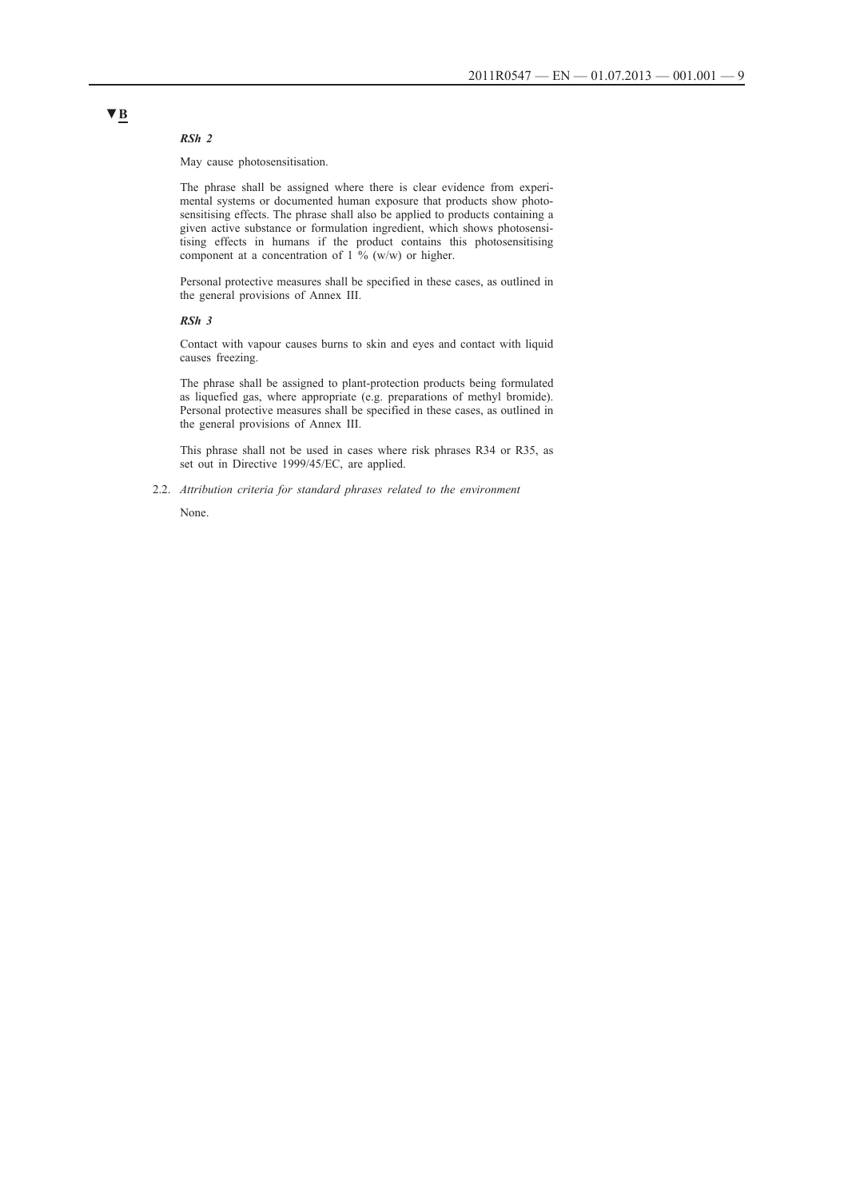#### *RSh 2*

May cause photosensitisation.

The phrase shall be assigned where there is clear evidence from experimental systems or documented human exposure that products show photosensitising effects. The phrase shall also be applied to products containing a given active substance or formulation ingredient, which shows photosensitising effects in humans if the product contains this photosensitising component at a concentration of  $1\frac{6}{10}$  (w/w) or higher.

Personal protective measures shall be specified in these cases, as outlined in the general provisions of Annex III.

#### *RSh 3*

Contact with vapour causes burns to skin and eyes and contact with liquid causes freezing.

The phrase shall be assigned to plant-protection products being formulated as liquefied gas, where appropriate (e.g. preparations of methyl bromide). Personal protective measures shall be specified in these cases, as outlined in the general provisions of Annex III.

This phrase shall not be used in cases where risk phrases R34 or R35, as set out in Directive 1999/45/EC, are applied.

2.2. *Attribution criteria for standard phrases related to the environment*

None.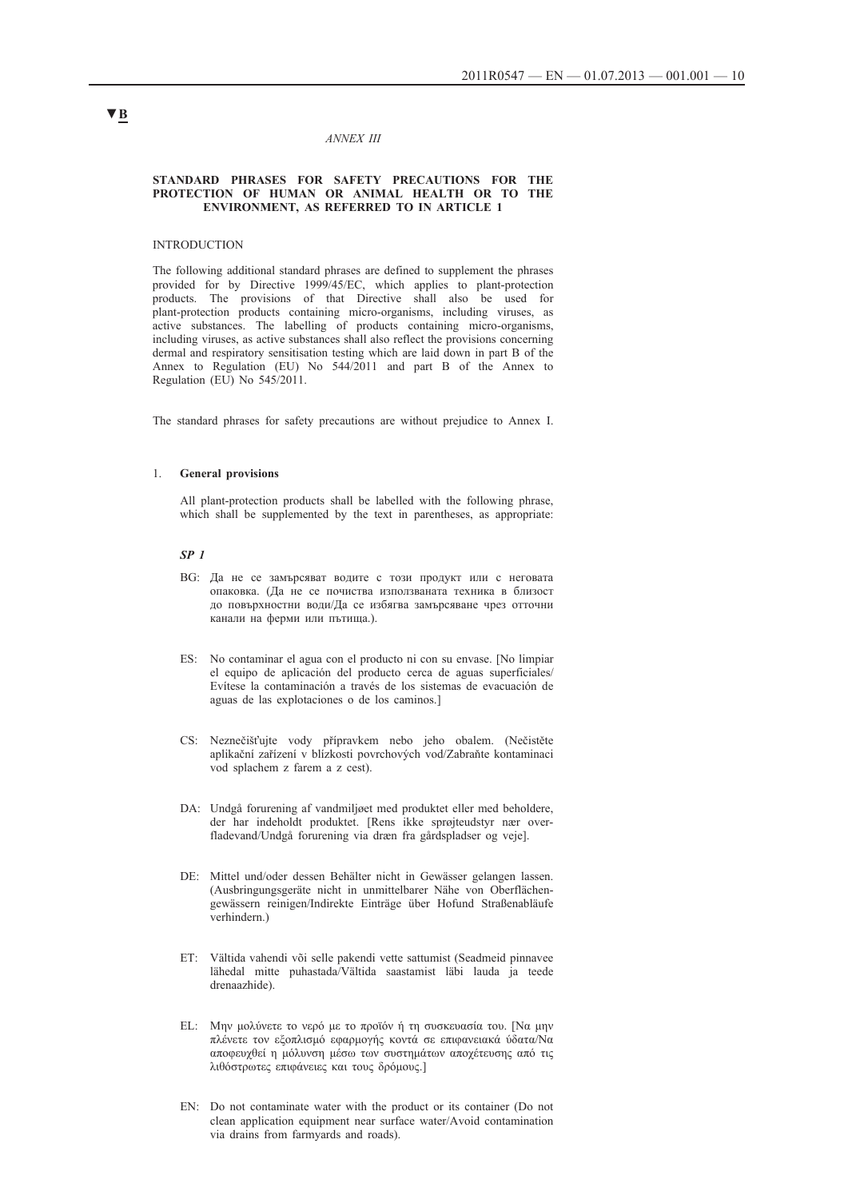#### *ANNEX III*

#### **STANDARD PHRASES FOR SAFETY PRECAUTIONS FOR THE PROTECTION OF HUMAN OR ANIMAL HEALTH OR TO THE ENVIRONMENT, AS REFERRED TO IN ARTICLE 1**

#### **INTRODUCTION**

The following additional standard phrases are defined to supplement the phrases provided for by Directive 1999/45/EC, which applies to plant-protection products. The provisions of that Directive shall also be used for plant-protection products containing micro-organisms, including viruses, as active substances. The labelling of products containing micro-organisms, including viruses, as active substances shall also reflect the provisions concerning dermal and respiratory sensitisation testing which are laid down in part B of the Annex to Regulation (EU) No 544/2011 and part B of the Annex to Regulation (EU) No 545/2011.

The standard phrases for safety precautions are without prejudice to Annex I.

#### 1. **General provisions**

All plant-protection products shall be labelled with the following phrase, which shall be supplemented by the text in parentheses, as appropriate:

### *SP 1*

- BG: Да не се замърсяват водите с този продукт или с неговата опаковка. (Да не се почиства използваната техника в близост до повърхностни води/Да се избягва замърсяване чрез отточни канали на ферми или пътища.).
- ES: No contaminar el agua con el producto ni con su envase. [No limpiar el equipo de aplicación del producto cerca de aguas superficiales/ Evítese la contaminación a través de los sistemas de evacuación de aguas de las explotaciones o de los caminos.]
- CS: Neznečišťujte vody přípravkem nebo jeho obalem. (Nečistěte aplikační zařízení v blízkosti povrchových vod/Zabraňte kontaminaci vod splachem z farem a z cest).
- DA: Undgå forurening af vandmiljøet med produktet eller med beholdere, der har indeholdt produktet. [Rens ikke sprøjteudstyr nær overfladevand/Undgå forurening via dræn fra gårdspladser og veje].
- DE: Mittel und/oder dessen Behälter nicht in Gewässer gelangen lassen. (Ausbringungsgeräte nicht in unmittelbarer Nähe von Oberflächengewässern reinigen/Indirekte Einträge über Hofund Straßenabläufe verhindern.)
- ET: Vältida vahendi või selle pakendi vette sattumist (Seadmeid pinnavee lähedal mitte puhastada/Vältida saastamist läbi lauda ja teede drenaazhide).
- EL: Μην μολύνετε το νερό με το προϊόν ή τη συσκευασία του. [Να μην πλένετε τον εξοπλισμό εφαρμογής κοντά σε επιφανειακά ύδατα/Να αποφευχθεί η μόλυνση μέσω των συστημάτων αποχέτευσης από τις λιθόστρωτες επιφάνειες και τους δρόμους.]
- EN: Do not contaminate water with the product or its container (Do not clean application equipment near surface water/Avoid contamination via drains from farmyards and roads).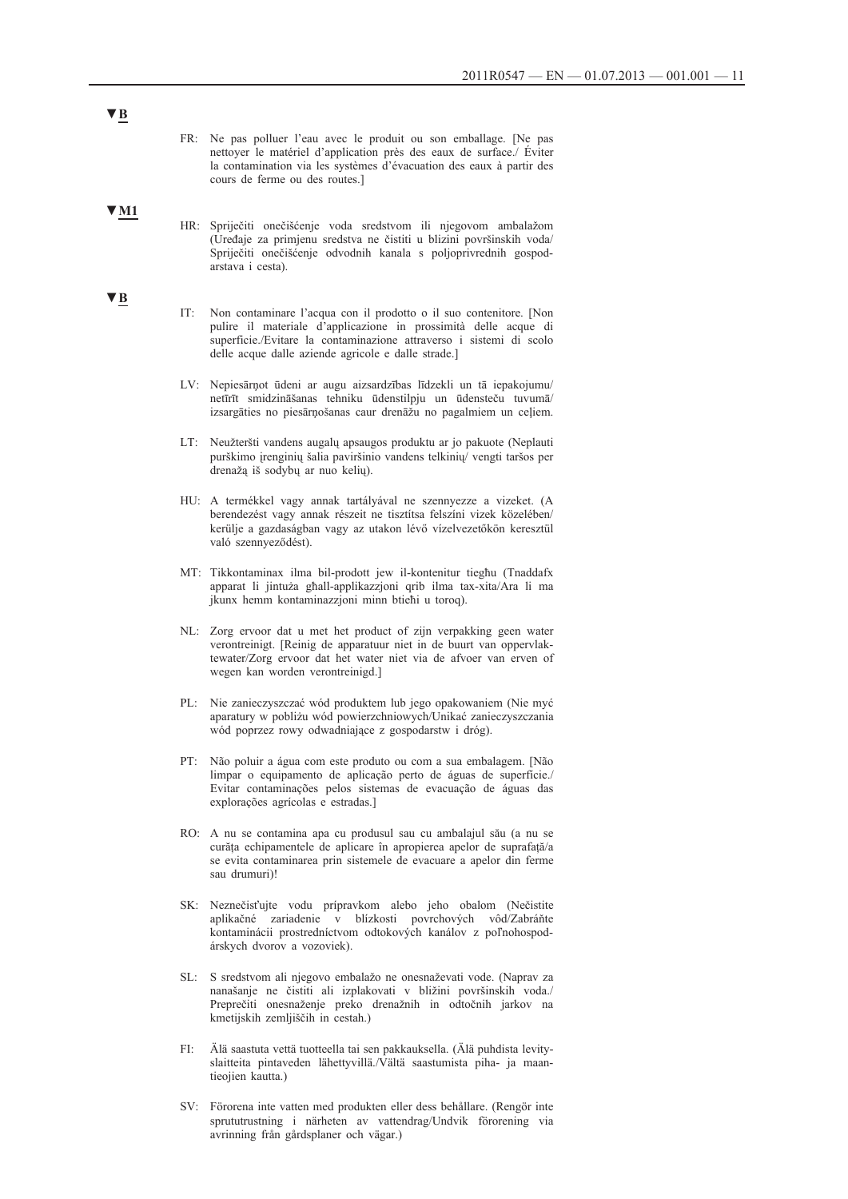FR: Ne pas polluer l'eau avec le produit ou son emballage. [Ne pas nettoyer le matériel d'application près des eaux de surface./ Éviter la contamination via les systèmes d'évacuation des eaux à partir des cours de ferme ou des routes.]

#### **▼M1**

- HR: Spriječiti onečišćenje voda sredstvom ili njegovom ambalažom (Uređaje za primjenu sredstva ne čistiti u blizini površinskih voda/ Spriječiti onečišćenje odvodnih kanala s poljoprivrednih gospodarstava i cesta).
- IT: Non contaminare l'acqua con il prodotto o il suo contenitore. [Non pulire il materiale d'applicazione in prossimità delle acque di superficie./Evitare la contaminazione attraverso i sistemi di scolo delle acque dalle aziende agricole e dalle strade.]
- LV: Nepiesārņot ūdeni ar augu aizsardzības līdzekli un tā iepakojumu/ netīrīt smidzināšanas tehniku ūdenstilpju un ūdensteču tuvumā/ izsargāties no piesārņošanas caur drenāžu no pagalmiem un ceļiem.
- LT: Neužteršti vandens augalų apsaugos produktu ar jo pakuote (Neplauti purškimo įrenginių šalia paviršinio vandens telkinių/ vengti taršos per drenažą iš sodybų ar nuo kelių).
- HU: A termékkel vagy annak tartályával ne szennyezze a vizeket. (A berendezést vagy annak részeit ne tisztítsa felszíni vizek közelében/ kerülje a gazdaságban vagy az utakon lévő vízelvezetőkön keresztül való szennyeződést).
- MT: Tikkontaminax ilma bil-prodott jew il-kontenitur tiegħu (Tnaddafx apparat li jintuża għall-applikazzjoni qrib ilma tax-xita/Ara li ma jkunx hemm kontaminazzjoni minn btieħi u toroq).
- NL: Zorg ervoor dat u met het product of zijn verpakking geen water verontreinigt. [Reinig de apparatuur niet in de buurt van oppervlaktewater/Zorg ervoor dat het water niet via de afvoer van erven of wegen kan worden verontreinigd.]
- PL: Nie zanieczyszczać wód produktem lub jego opakowaniem (Nie myć aparatury w pobliżu wód powierzchniowych/Unikać zanieczyszczania wód poprzez rowy odwadniające z gospodarstw i dróg).
- PT: Não poluir a água com este produto ou com a sua embalagem. [Não limpar o equipamento de aplicação perto de águas de superfície./ Evitar contaminações pelos sistemas de evacuação de águas das explorações agrícolas e estradas.]
- RO: A nu se contamina apa cu produsul sau cu ambalajul său (a nu se curăța echipamentele de aplicare în apropierea apelor de suprafață/a se evita contaminarea prin sistemele de evacuare a apelor din ferme sau drumuri)!
- SK: Neznečisťujte vodu prípravkom alebo jeho obalom (Nečistite aplikačné zariadenie v blízkosti povrchových vôd/Zabráňte kontaminácii prostredníctvom odtokových kanálov z poľnohospodárskych dvorov a vozoviek).
- SL: S sredstvom ali njegovo embalažo ne onesnaževati vode. (Naprav za nanašanje ne čistiti ali izplakovati v bližini površinskih voda./ Preprečiti onesnaženje preko drenažnih in odtočnih jarkov na kmetijskih zemljiščih in cestah.)
- FI: Älä saastuta vettä tuotteella tai sen pakkauksella. (Älä puhdista levityslaitteita pintaveden lähettyvillä./Vältä saastumista piha- ja maantieojien kautta.)
- SV: Förorena inte vatten med produkten eller dess behållare. (Rengör inte sprututrustning i närheten av vattendrag/Undvik förorening via avrinning från gårdsplaner och vägar.)

## **▼B**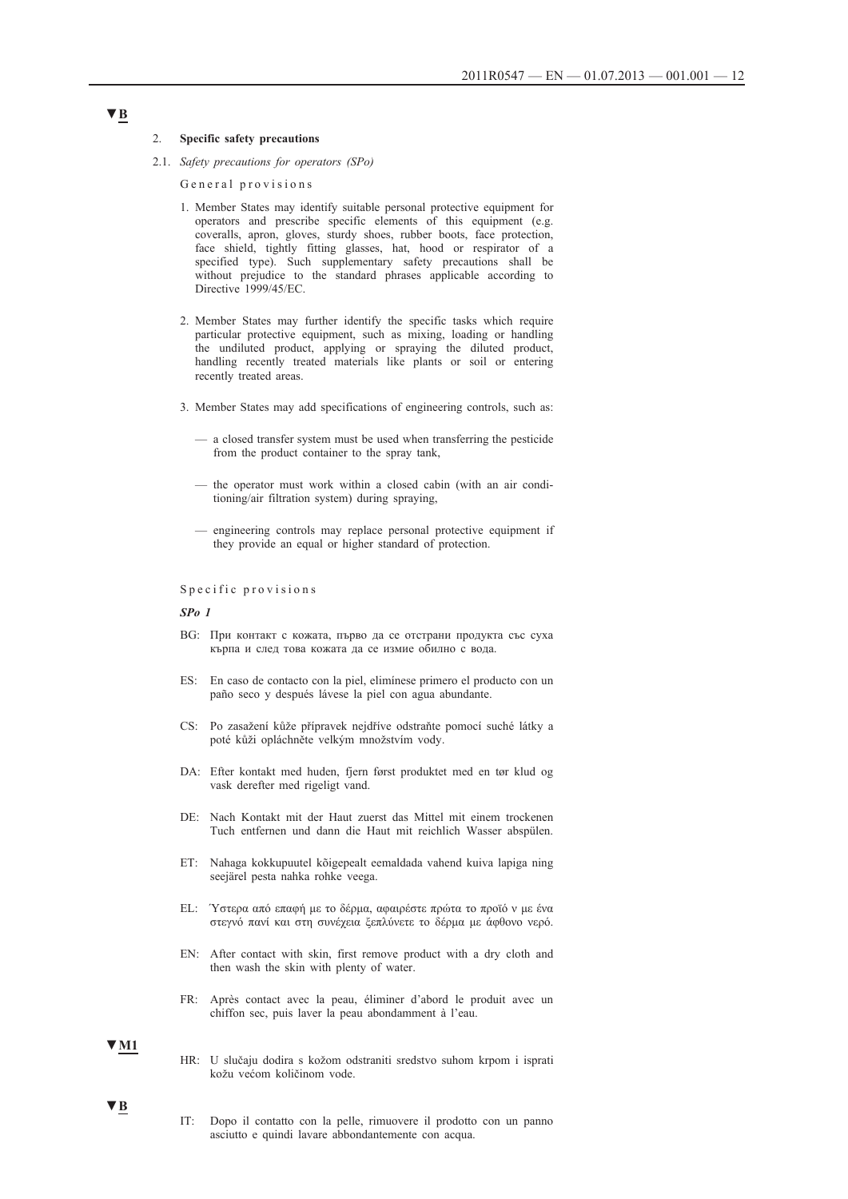#### 2. **Specific safety precautions**

2.1. *Safety precautions for operators (SPo)*

General provisions

- 1. Member States may identify suitable personal protective equipment for operators and prescribe specific elements of this equipment (e.g. coveralls, apron, gloves, sturdy shoes, rubber boots, face protection, face shield, tightly fitting glasses, hat, hood or respirator of a specified type). Such supplementary safety precautions shall be without prejudice to the standard phrases applicable according to Directive 1999/45/EC.
- 2. Member States may further identify the specific tasks which require particular protective equipment, such as mixing, loading or handling the undiluted product, applying or spraying the diluted product, handling recently treated materials like plants or soil or entering recently treated areas.
- 3. Member States may add specifications of engineering controls, such as:
	- a closed transfer system must be used when transferring the pesticide from the product container to the spray tank,
	- the operator must work within a closed cabin (with an air conditioning/air filtration system) during spraying,
	- engineering controls may replace personal protective equipment if they provide an equal or higher standard of protection.

#### Specific provisions

#### *SPo 1*

- BG: При контакт с кожата, първо да се отстрани продукта със суха кърпа и след това кожата да се измие обилно с вода.
- ES: En caso de contacto con la piel, elimínese primero el producto con un paño seco y después lávese la piel con agua abundante.
- CS: Po zasažení kůže přípravek nejdříve odstraňte pomocí suché látky a poté kůži opláchněte velkým množstvím vody.
- DA: Efter kontakt med huden, fjern først produktet med en tør klud og vask derefter med rigeligt vand.
- DE: Nach Kontakt mit der Haut zuerst das Mittel mit einem trockenen Tuch entfernen und dann die Haut mit reichlich Wasser abspülen.
- ET: Nahaga kokkupuutel kõigepealt eemaldada vahend kuiva lapiga ning seejärel pesta nahka rohke veega.
- EL: Ύστερα από επαφή με το δέρμα, αφαιρέστε πρώτα το προϊό ν με ένα στεγνό πανί και στη συνέχεια ξεπλύνετε το δέρμα με άφθονο νερό.
- EN: After contact with skin, first remove product with a dry cloth and then wash the skin with plenty of water.
- FR: Après contact avec la peau, éliminer d'abord le produit avec un chiffon sec, puis laver la peau abondamment à l'eau.

#### **▼M1**

**▼B**

- HR: U slučaju dodira s kožom odstraniti sredstvo suhom krpom i isprati kožu većom količinom vode.
- IT: Dopo il contatto con la pelle, rimuovere il prodotto con un panno asciutto e quindi lavare abbondantemente con acqua.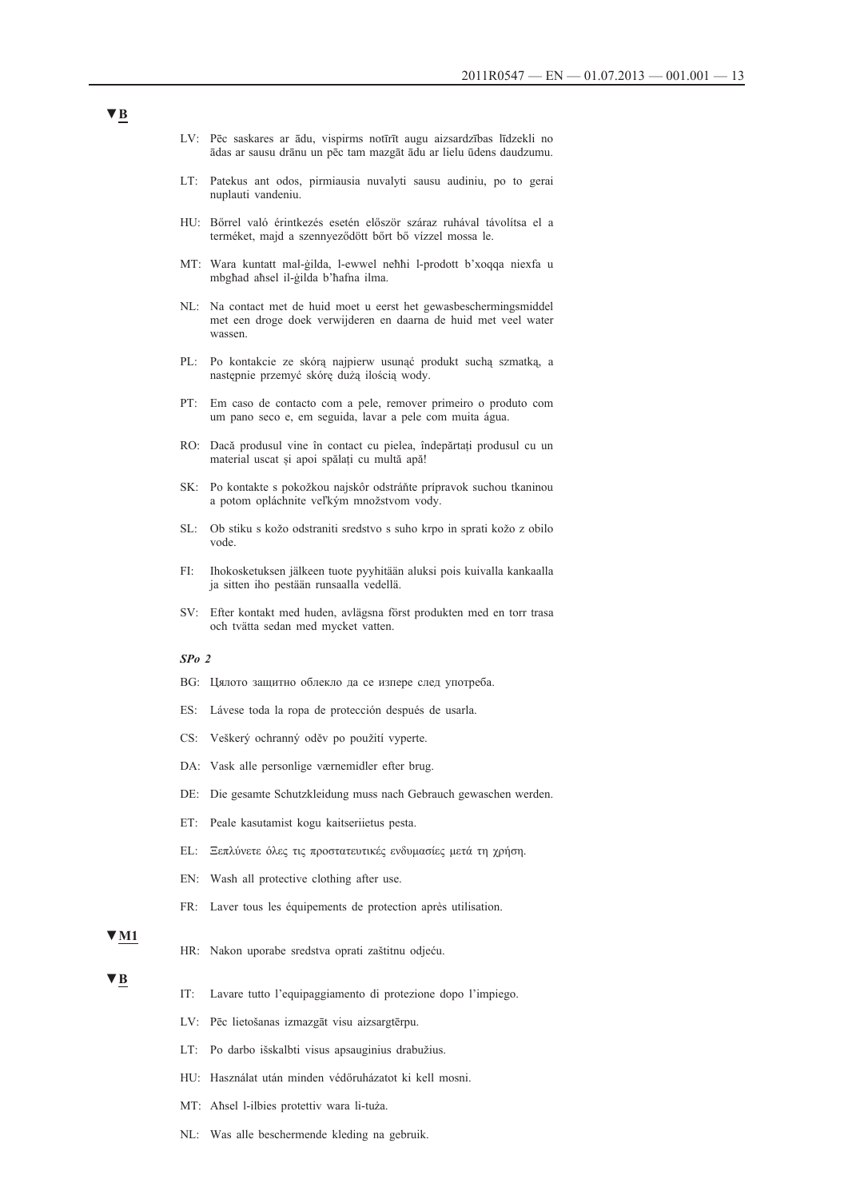- LV: Pēc saskares ar ādu, vispirms notīrīt augu aizsardzības līdzekli no ādas ar sausu drānu un pēc tam mazgāt ādu ar lielu ūdens daudzumu.
- LT: Patekus ant odos, pirmiausia nuvalyti sausu audiniu, po to gerai nuplauti vandeniu.
- HU: Bőrrel való érintkezés esetén először száraz ruhával távolítsa el a terméket, majd a szennyeződött bőrt bő vízzel mossa le.
- MT: Wara kuntatt mal-ġilda, l-ewwel neħħi l-prodott b'xoqqa niexfa u mbgħad aħsel il-ġilda b'ħafna ilma.
- NL: Na contact met de huid moet u eerst het gewasbeschermingsmiddel met een droge doek verwijderen en daarna de huid met veel water wassen.
- PL: Po kontakcie ze skórą najpierw usunąć produkt suchą szmatką, a następnie przemyć skórę dużą ilością wody.
- PT: Em caso de contacto com a pele, remover primeiro o produto com um pano seco e, em seguida, lavar a pele com muita água.
- RO: Dacă produsul vine în contact cu pielea, îndepărtați produsul cu un material uscat și apoi spălați cu multă apă!
- SK: Po kontakte s pokožkou najskôr odstráňte prípravok suchou tkaninou a potom opláchnite veľkým množstvom vody.
- SL: Ob stiku s kožo odstraniti sredstvo s suho krpo in sprati kožo z obilo vode.
- FI: Ihokosketuksen jälkeen tuote pyyhitään aluksi pois kuivalla kankaalla ja sitten iho pestään runsaalla vedellä.
- SV: Efter kontakt med huden, avlägsna först produkten med en torr trasa och tvätta sedan med mycket vatten.

#### *SPo 2*

- BG: Цялото защитно облекло да се изпере след употреба.
- ES: Lávese toda la ropa de protección después de usarla.
- CS: Veškerý ochranný oděv po použití vyperte.
- DA: Vask alle personlige værnemidler efter brug.
- DE: Die gesamte Schutzkleidung muss nach Gebrauch gewaschen werden.
- ET: Peale kasutamist kogu kaitseriietus pesta.
- EL: Ξεπλύνετε όλες τις προστατευτικές ενδυμασίες μετά τη χρήση.
- EN: Wash all protective clothing after use.
- FR: Laver tous les équipements de protection après utilisation.

#### **▼M1**

HR: Nakon uporabe sredstva oprati zaštitnu odjeću.

#### **▼B**

- IT: Lavare tutto l'equipaggiamento di protezione dopo l'impiego.
- LV: Pēc lietošanas izmazgāt visu aizsargtērpu.
- LT: Po darbo išskalbti visus apsauginius drabužius.
- HU: Használat után minden védőruházatot ki kell mosni.
- MT: Aħsel l-ilbies protettiv wara li-tuża.
- NL: Was alle beschermende kleding na gebruik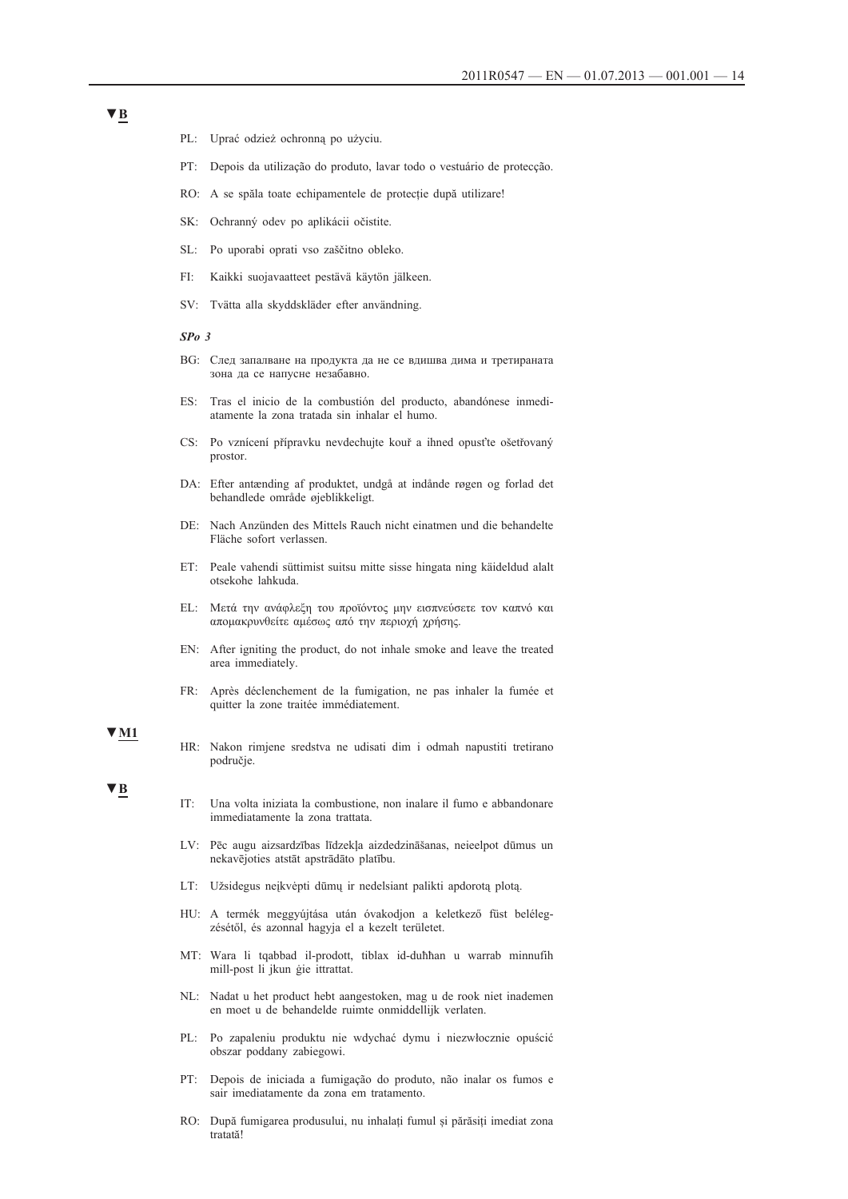- PL: Uprać odzież ochronną po użyciu.
- PT: Depois da utilização do produto, lavar todo o vestuário de protecção.
- RO: A se spăla toate echipamentele de protecție după utilizare!
- SK: Ochranný odev po aplikácii očistite.
- SL: Po uporabi oprati vso zaščitno obleko.
- FI: Kaikki suojavaatteet pestävä käytön jälkeen.
- SV: Tvätta alla skyddskläder efter användning.

#### *SPo 3*

- BG: След запалване на продукта да не се вдишва дима и третираната зона да се напусне незабавно.
- ES: Tras el inicio de la combustión del producto, abandónese inmediatamente la zona tratada sin inhalar el humo.
- CS: Po vznícení přípravku nevdechujte kouř a ihned opusťte ošetřovaný prostor.
- DA: Efter antænding af produktet, undgå at indånde røgen og forlad det behandlede område øjeblikkeligt.
- DE: Nach Anzünden des Mittels Rauch nicht einatmen und die behandelte Fläche sofort verlassen.
- ET: Peale vahendi süttimist suitsu mitte sisse hingata ning käideldud alalt otsekohe lahkuda.
- EL: Μετά την ανάφλεξη του προϊόντος μην εισπνεύσετε τον καπνό και απομακρυνθείτε αμέσως από την περιοχή χρήσης.
- EN: After igniting the product, do not inhale smoke and leave the treated area immediately.
- FR: Après déclenchement de la fumigation, ne pas inhaler la fumée et quitter la zone traitée immédiatement.

#### **▼M1**

HR: Nakon rimjene sredstva ne udisati dim i odmah napustiti tretirano područje.

### **▼B**

- IT: Una volta iniziata la combustione, non inalare il fumo e abbandonare immediatamente la zona trattata.
- LV: Pēc augu aizsardzības līdzekļa aizdedzināšanas, neieelpot dūmus un nekavējoties atstāt apstrādāto platību.
- LT: Užsidegus neįkvėpti dūmų ir nedelsiant palikti apdorotą plotą.
- HU: A termék meggyújtása után óvakodjon a keletkező füst belélegzésétől, és azonnal hagyja el a kezelt területet.
- MT: Wara li tqabbad il-prodott, tiblax id-duħħan u warrab minnufih mill-post li jkun ġie ittrattat.
- NL: Nadat u het product hebt aangestoken, mag u de rook niet inademen en moet u de behandelde ruimte onmiddellijk verlaten.
- PL: Po zapaleniu produktu nie wdychać dymu i niezwłocznie opuścić obszar poddany zabiegowi.
- PT: Depois de iniciada a fumigação do produto, não inalar os fumos e sair imediatamente da zona em tratamento.
- RO: După fumigarea produsului, nu inhalați fumul și părăsiți imediat zona tratată!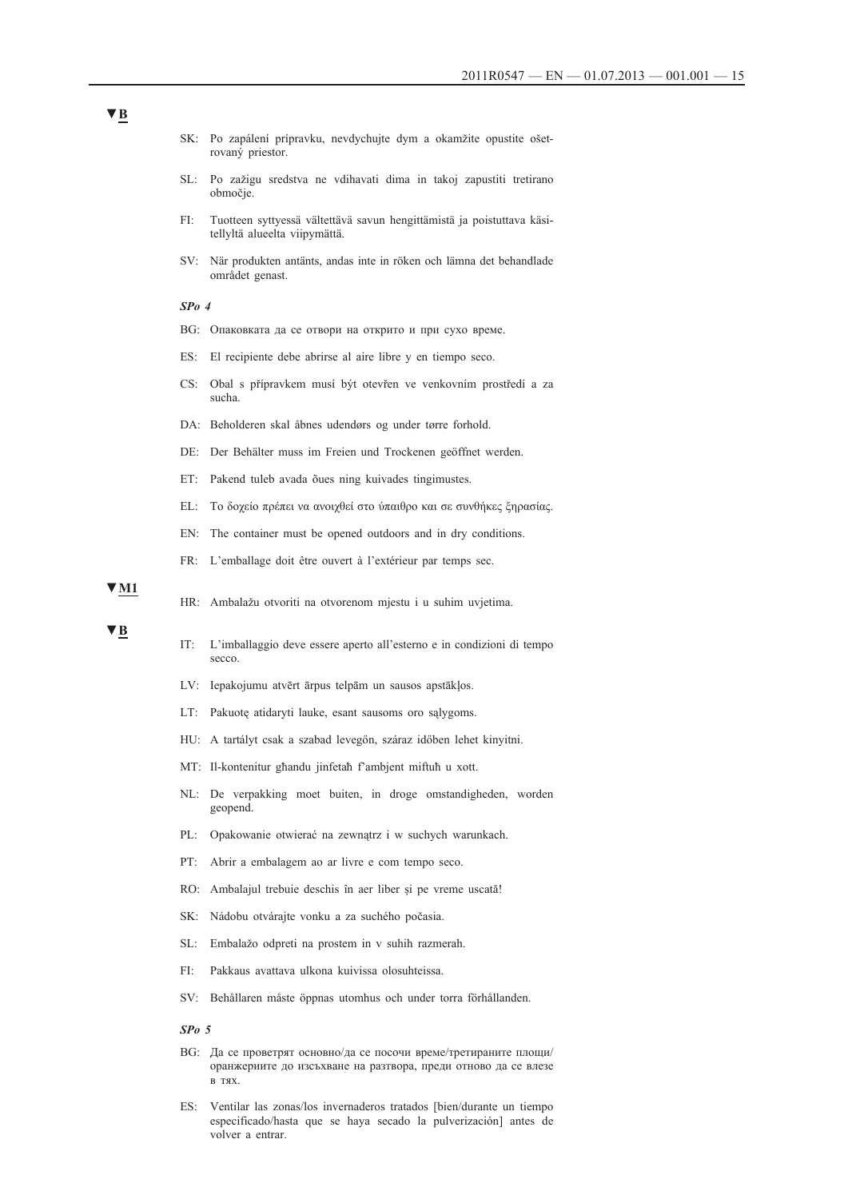- SK: Po zapálení prípravku, nevdychujte dym a okamžite opustite ošetrovaný priestor.
- SL: Po zažigu sredstva ne vdihavati dima in takoj zapustiti tretirano območje.
- FI: Tuotteen syttyessä vältettävä savun hengittämistä ja poistuttava käsitellyltä alueelta viipymättä.
- SV: När produkten antänts, andas inte in röken och lämna det behandlade området genast.

#### *SPo 4*

- BG: Опаковката да се отвори на открито и при сухо време.
- ES: El recipiente debe abrirse al aire libre y en tiempo seco.
- CS: Obal s přípravkem musí být otevřen ve venkovním prostředí a za sucha.
- DA: Beholderen skal åbnes udendørs og under tørre forhold.
- DE: Der Behälter muss im Freien und Trockenen geöffnet werden.
- ET: Pakend tuleb avada õues ning kuivades tingimustes.
- EL: Το δοχείο πρέπει να ανοιχθεί στο ύπαιθρο και σε συνθήκες ξηρασίας.
- EN: The container must be opened outdoors and in dry conditions.
- FR: L'emballage doit être ouvert à l'extérieur par temps sec.

**▼M1**

HR: Ambalažu otvoriti na otvorenom mjestu i u suhim uvjetima.

#### **▼B**

- IT: L'imballaggio deve essere aperto all'esterno e in condizioni di tempo secco.
- LV: Iepakojumu atvērt ārpus telpām un sausos apstākļos.
- LT: Pakuotę atidaryti lauke, esant sausoms oro sąlygoms.
- HU: A tartályt csak a szabad levegőn, száraz időben lehet kinyitni.
- MT: Il-kontenitur għandu jinfetaħ f'ambjent miftuħ u xott.
- NL: De verpakking moet buiten, in droge omstandigheden, worden geopend.
- PL: Opakowanie otwierać na zewnątrz i w suchych warunkach.
- PT: Abrir a embalagem ao ar livre e com tempo seco.
- RO: Ambalajul trebuie deschis în aer liber și pe vreme uscată!
- SK: Nádobu otvárajte vonku a za suchého počasia.
- SL: Embalažo odpreti na prostem in v suhih razmerah.
- FI: Pakkaus avattava ulkona kuivissa olosuhteissa.
- SV: Behållaren måste öppnas utomhus och under torra förhållanden.

*SPo 5*

- BG: Да се проветрят основно/да се посочи време/третираните площи/ оранжериите до изсъхване на разтвора, преди отново да се влезе в тях.
- ES: Ventilar las zonas/los invernaderos tratados [bien/durante un tiempo especificado/hasta que se haya secado la pulverización] antes de volver a entrar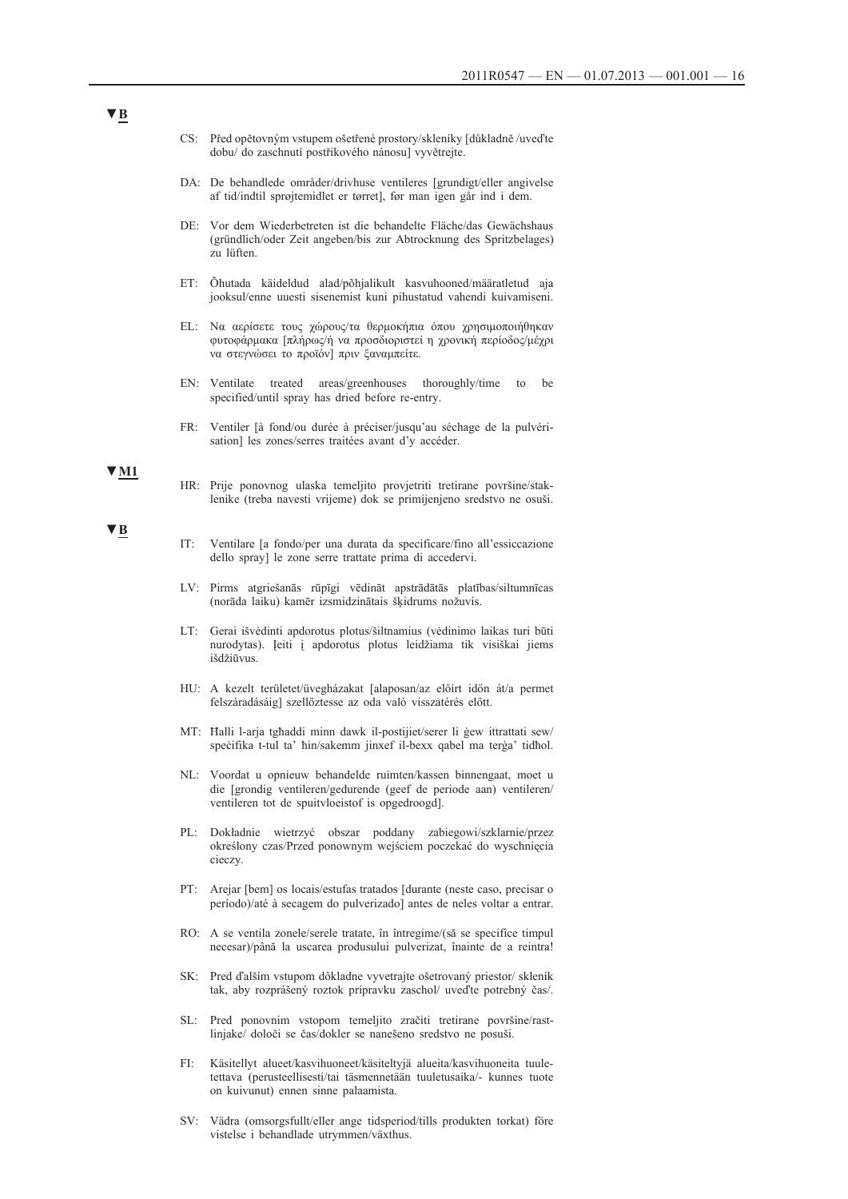- CS: Před opětovným vstupem ošetřené prostory/skleníky [důkladně /uveďte dobu/ do zaschnutí postřikového nánosu] vyvětrejte.
- DA: De behandlede områder/drivhuse ventileres [grundigt/eller angivelse af tid/indtil sprøjtemidlet er tørret], før man igen går ind i dem.
- DE: Vor dem Wiederbetreten ist die behandelte Fläche/das Gewächshaus (gründlich/oder Zeit angeben/bis zur Abtrocknung des Spritzbelages) zu lüften.
- ET: Õhutada käideldud alad/põhjalikult kasvuhooned/määratletud aja jooksul/enne uuesti sisenemist kuni pihustatud vahendi kuivamiseni.
- EL: Να αερίσετε τους χώρους/τα θερμοκήπια όπου χρησιμοποιήθηκαν φυτοφάρμακα [πλήρως/ή να προσδιοριστεί η χρονική περίοδος/μέχρι να στεγνώσει το προϊόν] πριν ξαναμπείτε.
- EN: Ventilate treated areas/greenhouses thoroughly/time to be specified/until spray has dried before re-entry.
- FR: Ventiler [à fond/ou durée à préciser/jusqu'au séchage de la pulvérisation] les zones/serres traitées avant d'y accéder.

**▼M1**

**▼B**

- HR: Prije ponovnog ulaska temeljito provjetriti tretirane površine/staklenike (treba navesti vrijeme) dok se primijenjeno sredstvo ne osuši.
- IT: Ventilare [a fondo/per una durata da specificare/fino all'essiccazione dello spray] le zone serre trattate prima di accedervi.
- LV: Pirms atgriešanās rūpīgi vēdināt apstrādātās platības/siltumnīcas (norāda laiku) kamēr izsmidzinātais šķidrums nožuvis.
- LT: Gerai išvėdinti apdorotus plotus/šiltnamius (vėdinimo laikas turi būti nurodytas). Įeiti į apdorotus plotus leidžiama tik visiškai jiems išdžiūvus.
- HU: A kezelt területet/üvegházakat [alaposan/az előírt időn át/a permet felszáradásáig] szellőztesse az oda való visszatérés előtt.
- MT: Ħalli l-arja tgħaddi minn dawk il-postijiet/serer li ġew ittrattati sew/ speċifika t-tul ta' ħin/sakemm jinxef il-bexx qabel ma terġa' tidħol.
- NL: Voordat u opnieuw behandelde ruimten/kassen binnengaat, moet u die [grondig ventileren/gedurende (geef de periode aan) ventileren/ ventileren tot de spuitvloeistof is opgedroogd].
- PL: Dokładnie wietrzyć obszar poddany zabiegowi/szklarnie/przez określony czas/Przed ponownym wejściem poczekać do wyschnięcia cieczy.
- PT: Arejar [bem] os locais/estufas tratados [durante (neste caso, precisar o período)/até à secagem do pulverizado] antes de neles voltar a entrar.
- RO: A se ventila zonele/serele tratate, în întregime/(să se specifice timpul necesar)/până la uscarea produsului pulverizat, înainte de a reintra!
- SK: Pred ďalším vstupom dôkladne vyvetrajte ošetrovaný priestor/ skleník tak, aby rozprášený roztok prípravku zaschol/ uveďte potrebný čas/.
- SL: Pred ponovnim vstopom temeljito zračiti tretirane površine/rastlinjake/ določi se čas/dokler se nanešeno sredstvo ne posuši.
- FI: Käsitellyt alueet/kasvihuoneet/käsiteltyjä alueita/kasvihuoneita tuuletettava (perusteellisesti/tai täsmennetään tuuletusaika/- kunnes tuote on kuivunut) ennen sinne palaamista.
- SV: Vädra (omsorgsfullt/eller ange tidsperiod/tills produkten torkat) före vistelse i behandlade utrymmen/växthus.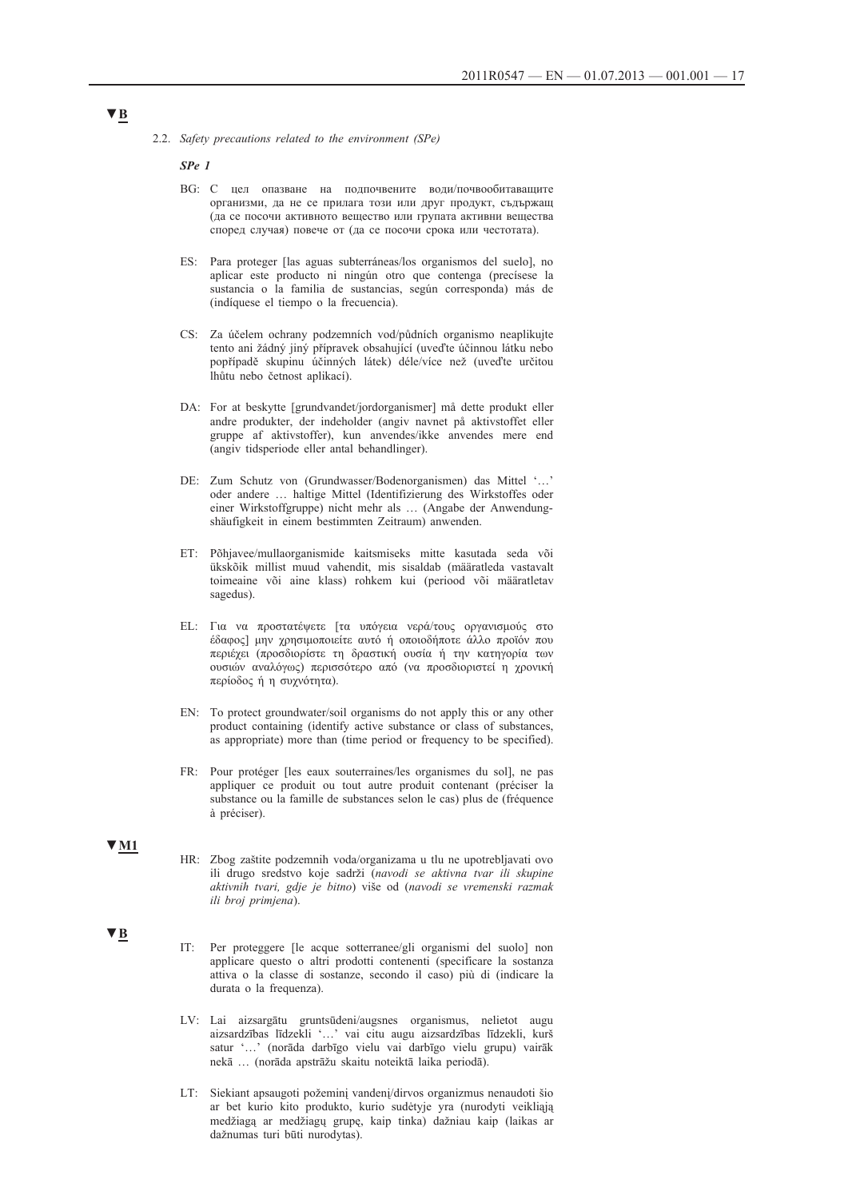*SPe 1*

- BG: С цел опазване на подпочвените води/почвообитаващите организми, да не се прилага този или друг продукт, съдържащ (да се посочи активното вещество или групата активни вещества според случая) повече от (да се посочи срока или честотата).
- ES: Para proteger [las aguas subterráneas/los organismos del suelo], no aplicar este producto ni ningún otro que contenga (precísese la sustancia o la familia de sustancias, según corresponda) más de (indíquese el tiempo o la frecuencia).
- CS: Za účelem ochrany podzemních vod/půdních organismo neaplikujte tento ani žádný jiný přípravek obsahující (uveďte účinnou látku nebo popřípadě skupinu účinných látek) déle/více než (uveďte určitou lhůtu nebo četnost aplikací).
- DA: For at beskytte [grundvandet/jordorganismer] må dette produkt eller andre produkter, der indeholder (angiv navnet på aktivstoffet eller gruppe af aktivstoffer), kun anvendes/ikke anvendes mere end (angiv tidsperiode eller antal behandlinger).
- DE: Zum Schutz von (Grundwasser/Bodenorganismen) das Mittel '…' oder andere … haltige Mittel (Identifizierung des Wirkstoffes oder einer Wirkstoffgruppe) nicht mehr als … (Angabe der Anwendungshäufigkeit in einem bestimmten Zeitraum) anwenden.
- ET: Põhjavee/mullaorganismide kaitsmiseks mitte kasutada seda või ükskõik millist muud vahendit, mis sisaldab (määratleda vastavalt toimeaine või aine klass) rohkem kui (periood või määratletav sagedus).
- EL: Για να προστατέψετε [τα υπόγεια νερά/τους οργανισμούς στο έδαφος] μην χρησιμοποιείτε αυτό ή οποιοδήποτε άλλο προϊόν που περιέχει (προσδιορίστε τη δραστική ουσία ή την κατηγορία των ουσιών αναλόγως) περισσότερο από (να προσδιοριστεί η χρονική περίοδος ή η συχνότητα).
- EN: To protect groundwater/soil organisms do not apply this or any other product containing (identify active substance or class of substances, as appropriate) more than (time period or frequency to be specified).
- FR: Pour protéger [les eaux souterraines/les organismes du sol], ne pas appliquer ce produit ou tout autre produit contenant (préciser la substance ou la famille de substances selon le cas) plus de (fréquence à préciser).

#### **▼M1**

- HR: Zbog zaštite podzemnih voda/organizama u tlu ne upotrebljavati ovo ili drugo sredstvo koje sadrži (*navodi se aktivna tvar ili skupine aktivnih tvari, gdje je bitno*) više od (*navodi se vremenski razmak ili broj primjena*).
- **▼B**

IT: Per proteggere [le acque sotterranee/gli organismi del suolo] non applicare questo o altri prodotti contenenti (specificare la sostanza attiva o la classe di sostanze, secondo il caso) più di (indicare la durata o la frequenza).

- LV: Lai aizsargātu gruntsūdeni/augsnes organismus, nelietot augu aizsardzības līdzekli '…' vai citu augu aizsardzības līdzekli, kurš satur '…' (norāda darbīgo vielu vai darbīgo vielu grupu) vairāk nekā … (norāda apstrāžu skaitu noteiktā laika periodā).
- LT: Siekiant apsaugoti požeminį vandenį/dirvos organizmus nenaudoti šio ar bet kurio kito produkto, kurio sudėtyje yra (nurodyti veikliąją medžiagą ar medžiagų grupę, kaip tinka) dažniau kaip (laikas ar dažnumas turi būti nurodytas).

<sup>2.2.</sup> *Safety precautions related to the environment (SPe)*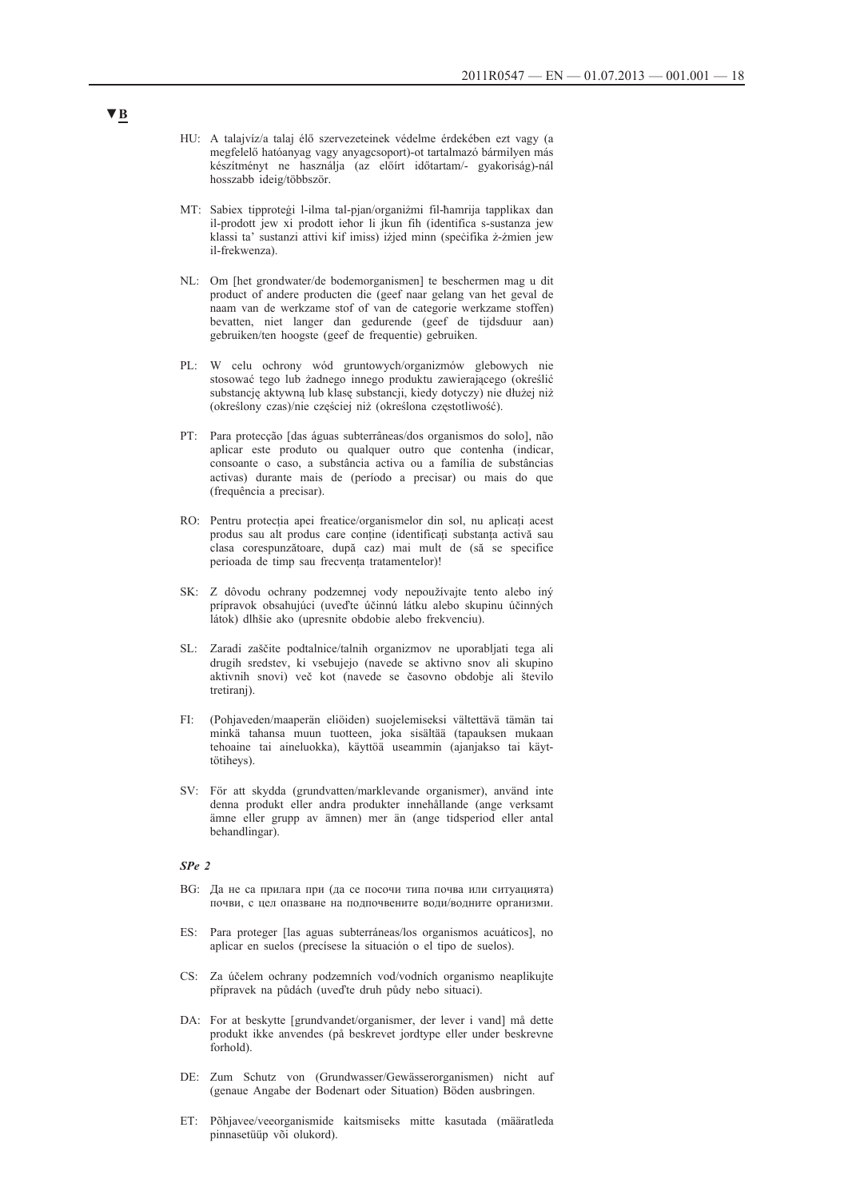- HU: A talajvíz/a talaj élő szervezeteinek védelme érdekében ezt vagy (a megfelelő hatóanyag vagy anyagcsoport)-ot tartalmazó bármilyen más készítményt ne használja (az előírt időtartam/- gyakoriság)-nál hosszabb ideig/többször.
- MT: Sabiex tipproteġi l-ilma tal-pjan/organiżmi fil-ħamrija tapplikax dan il-prodott jew xi prodott ieħor li jkun fih (identifica s-sustanza jew klassi ta' sustanzi attivi kif imiss) iżjed minn (specifika ż-żmien jew il-frekwenza).
- NL: Om [het grondwater/de bodemorganismen] te beschermen mag u dit product of andere producten die (geef naar gelang van het geval de naam van de werkzame stof of van de categorie werkzame stoffen) bevatten, niet langer dan gedurende (geef de tijdsduur aan) gebruiken/ten hoogste (geef de frequentie) gebruiken.
- PL: W celu ochrony wód gruntowych/organizmów glebowych nie stosować tego lub żadnego innego produktu zawierającego (określić substancję aktywną lub klasę substancji, kiedy dotyczy) nie dłużej niż (określony czas)/nie częściej niż (określona częstotliwość).
- PT: Para protecção [das águas subterrâneas/dos organismos do solo], não aplicar este produto ou qualquer outro que contenha (indicar, consoante o caso, a substância activa ou a família de substâncias activas) durante mais de (período a precisar) ou mais do que (frequência a precisar).
- RO: Pentru protecția apei freatice/organismelor din sol, nu aplicați acest produs sau alt produs care conține (identificați substanța activă sau clasa corespunzătoare, după caz) mai mult de (să se specifice perioada de timp sau frecvența tratamentelor)!
- SK: Z dôvodu ochrany podzemnej vody nepoužívajte tento alebo iný prípravok obsahujúci (uveďte účinnú látku alebo skupinu účinných látok) dlhšie ako (upresnite obdobie alebo frekvenciu).
- SL: Zaradi zaščite podtalnice/talnih organizmov ne uporabljati tega ali drugih sredstev, ki vsebujejo (navede se aktivno snov ali skupino aktivnih snovi) več kot (navede se časovno obdobje ali število tretiranj).
- FI: (Pohjaveden/maaperän eliöiden) suojelemiseksi vältettävä tämän tai minkä tahansa muun tuotteen, joka sisältää (tapauksen mukaan tehoaine tai aineluokka), käyttöä useammin (ajanjakso tai käyttötiheys).
- SV: För att skydda (grundvatten/marklevande organismer), använd inte denna produkt eller andra produkter innehållande (ange verksamt ämne eller grupp av ämnen) mer än (ange tidsperiod eller antal behandlingar).

#### *SPe 2*

- BG: Да не са прилага при (да се посочи типа почва или ситуацията) почви, с цел опазване на подпочвените води/водните организми.
- ES: Para proteger [las aguas subterráneas/los organismos acuáticos], no aplicar en suelos (precísese la situación o el tipo de suelos).
- CS: Za účelem ochrany podzemních vod/vodních organismo neaplikujte přípravek na půdách (uveďte druh půdy nebo situaci).
- DA: For at beskytte [grundvandet/organismer, der lever i vand] må dette produkt ikke anvendes (på beskrevet jordtype eller under beskrevne forhold).
- DE: Zum Schutz von (Grundwasser/Gewässerorganismen) nicht auf (genaue Angabe der Bodenart oder Situation) Böden ausbringen.
- ET: Põhjavee/veeorganismide kaitsmiseks mitte kasutada (määratleda pinnasetüüp või olukord).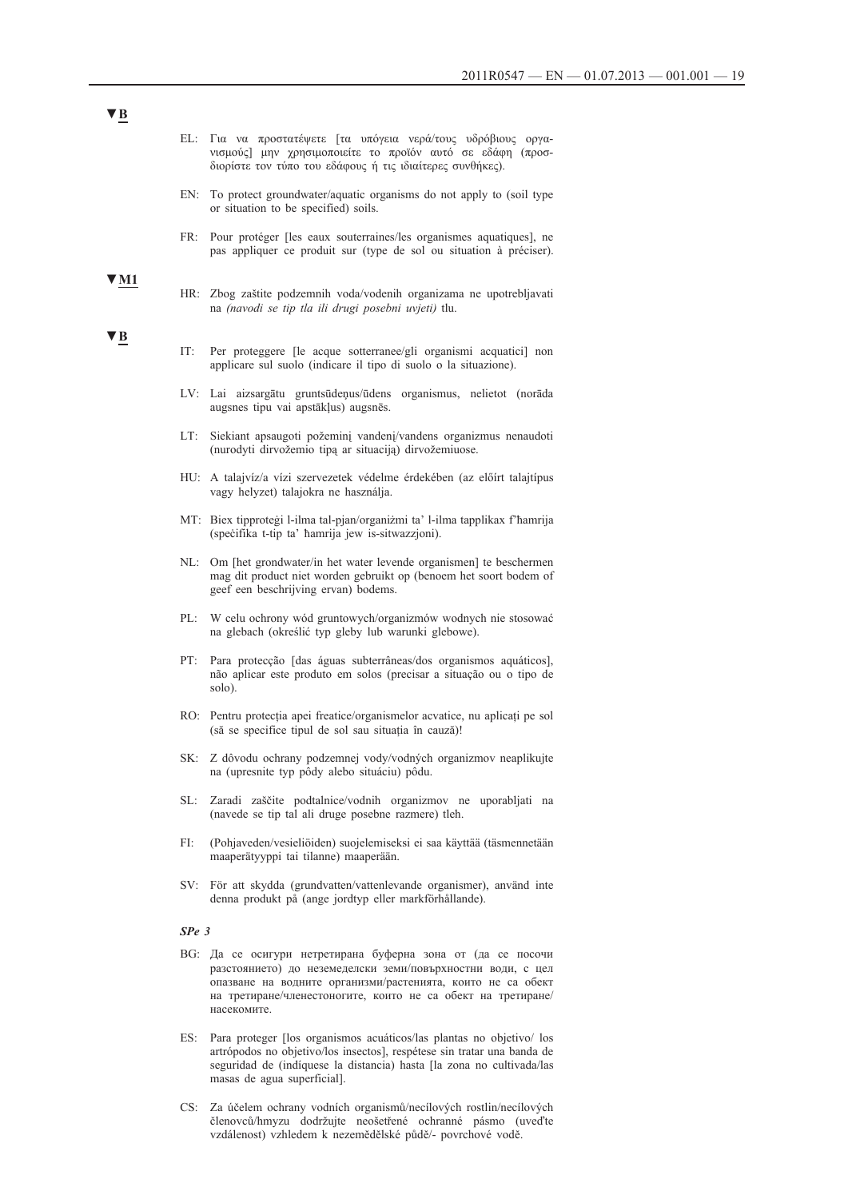| ΕL: Για να προστατέψετε [τα υπόγεια νερά/τους υδρόβιους οργα- |  |  |  |  |  |  |
|---------------------------------------------------------------|--|--|--|--|--|--|
| νισμούς μην χρησιμοποιείτε το προϊόν αυτό σε εδάφη (προσ-     |  |  |  |  |  |  |
| διορίστε τον τύπο του εδάφους ή τις ιδιαίτερες συνθήκες).     |  |  |  |  |  |  |

- EN: To protect groundwater/aquatic organisms do not apply to (soil type or situation to be specified) soils.
- FR: Pour protéger [les eaux souterraines/les organismes aquatiques], ne pas appliquer ce produit sur (type de sol ou situation à préciser).
- HR: Zbog zaštite podzemnih voda/vodenih organizama ne upotrebljavati na *(navodi se tip tla ili drugi posebni uvjeti)* tlu.

### **▼B**

**▼M1**

- IT: Per proteggere [le acque sotterranee/gli organismi acquatici] non applicare sul suolo (indicare il tipo di suolo o la situazione).
- LV: Lai aizsargātu gruntsūdeņus/ūdens organismus, nelietot (norāda augsnes tipu vai apstākļus) augsnēs.
- LT: Siekiant apsaugoti požeminį vandenį/vandens organizmus nenaudoti (nurodyti dirvožemio tipą ar situaciją) dirvožemiuose.
- HU: A talajvíz/a vízi szervezetek védelme érdekében (az előírt talajtípus vagy helyzet) talajokra ne használja.
- MT: Biex tipproteġi l-ilma tal-pjan/organiżmi ta' l-ilma tapplikax f'ħamrija (speċifika t-tip ta' ħamrija jew is-sitwazzjoni).
- NL: Om [het grondwater/in het water levende organismen] te beschermen mag dit product niet worden gebruikt op (benoem het soort bodem of geef een beschrijving ervan) bodems.
- PL: W celu ochrony wód gruntowych/organizmów wodnych nie stosować na glebach (określić typ gleby lub warunki glebowe).
- PT: Para protecção [das águas subterrâneas/dos organismos aquáticos], não aplicar este produto em solos (precisar a situação ou o tipo de solo).
- RO: Pentru protecția apei freatice/organismelor acvatice, nu aplicați pe sol (să se specifice tipul de sol sau situația în cauză)!
- SK: Z dôvodu ochrany podzemnej vody/vodných organizmov neaplikujte na (upresnite typ pôdy alebo situáciu) pôdu.
- SL: Zaradi zaščite podtalnice/vodnih organizmov ne uporabljati na (navede se tip tal ali druge posebne razmere) tleh.
- FI: (Pohjaveden/vesieliöiden) suojelemiseksi ei saa käyttää (täsmennetään maaperätyyppi tai tilanne) maaperään.
- SV: För att skydda (grundvatten/vattenlevande organismer), använd inte denna produkt på (ange jordtyp eller markförhållande).

#### *SPe 3*

- BG: Да се осигури нетретирана буферна зона от (да се посочи разстоянието) до неземеделски земи/повърхностни води, с цел опазване на водните организми/растенията, които не са обект на третиране/членестоногите, които не са обект на третиране/ насекомите.
- ES: Para proteger [los organismos acuáticos/las plantas no objetivo/ los artrópodos no objetivo/los insectos], respétese sin tratar una banda de seguridad de (indíquese la distancia) hasta [la zona no cultivada/las masas de agua superficial].
- CS: Za účelem ochrany vodních organismů/necílových rostlin/necílových členovců/hmyzu dodržujte neošetřené ochranné pásmo (uveďte vzdálenost) vzhledem k nezemědělské půdě/- povrchové vodě.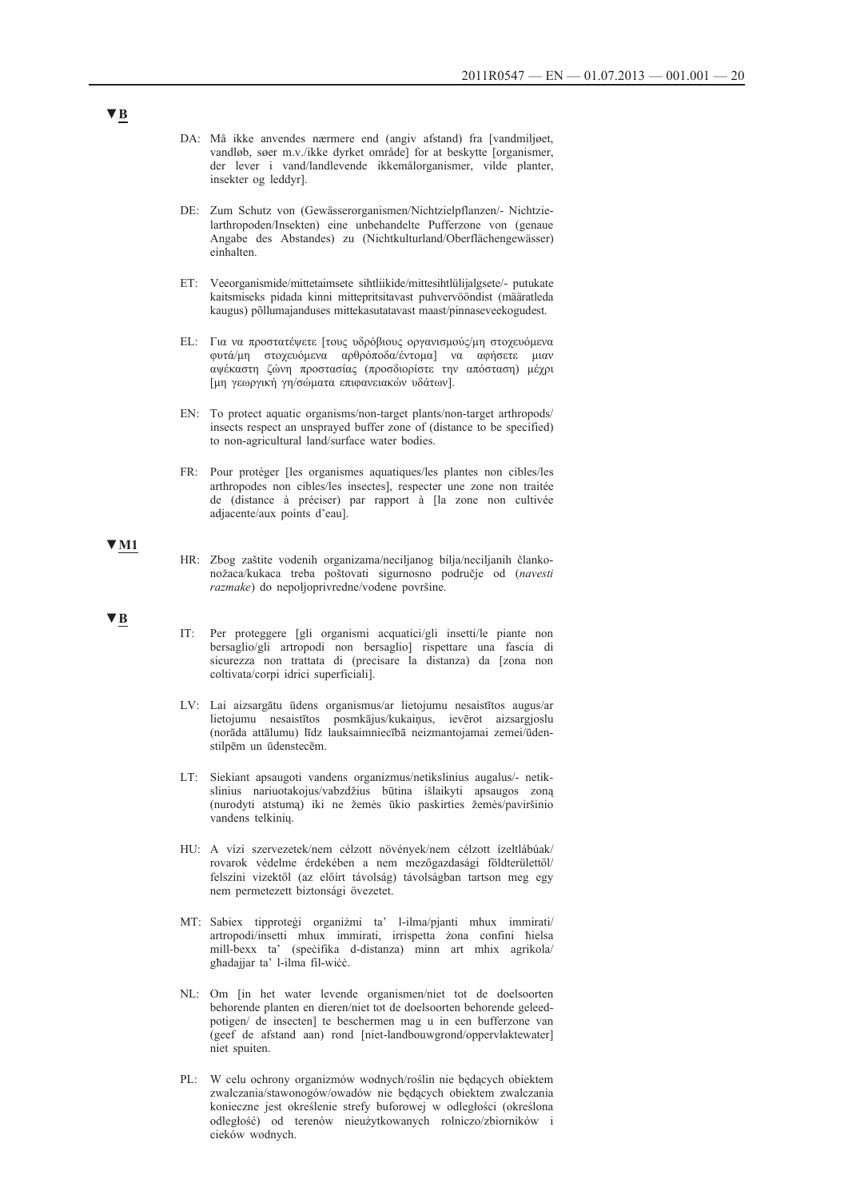- DA: Må ikke anvendes nærmere end (angiv afstand) fra [vandmiljøet, vandløb, søer m.v./ikke dyrket område] for at beskytte [organismer, der lever i vand/landlevende ikkemålorganismer, vilde planter, insekter og leddyr].
- DE: Zum Schutz von (Gewässerorganismen/Nichtzielpflanzen/- Nichtzielarthropoden/Insekten) eine unbehandelte Pufferzone von (genaue Angabe des Abstandes) zu (Nichtkulturland/Oberflächengewässer) einhalten.
- ET: Veeorganismide/mittetaimsete sihtliikide/mittesihtlülijalgsete/- putukate kaitsmiseks pidada kinni mittepritsitavast puhvervööndist (määratleda kaugus) põllumajanduses mittekasutatavast maast/pinnaseveekogudest.
- EL: Για να προστατέψετε [τους υδρόβιους οργανισμούς/μη στοχευόμενα φυτά/μη στοχευόμενα αρθρόποδα/έντομα] να αφήσετε μιαν αψέκαστη ζώνη προστασίας (προσδιορίστε την απόσταση) μέχρι [μη γεωργική γη/σώματα επιφανειακών υδάτων].
- EN: To protect aquatic organisms/non-target plants/non-target arthropods/ insects respect an unsprayed buffer zone of (distance to be specified) to non-agricultural land/surface water bodies.
- FR: Pour protéger [les organismes aquatiques/les plantes non cibles/les arthropodes non cibles/les insectes], respecter une zone non traitée de (distance à préciser) par rapport à [la zone non cultivée adjacente/aux points d'eau].

#### **▼M1**

HR: Zbog zaštite vodenih organizama/neciljanog bilja/neciljanih člankonožaca/kukaca treba poštovati sigurnosno područje od (*navesti razmake*) do nepoljoprivredne/vodene površine.

#### **▼B**

- IT: Per proteggere [gli organismi acquatici/gli insetti/le piante non bersaglio/gli artropodi non bersaglio] rispettare una fascia di sicurezza non trattata di (precisare la distanza) da [zona non coltivata/corpi idrici superficiali].
- LV: Lai aizsargātu ūdens organismus/ar lietojumu nesaistītos augus/ar lietojumu nesaistītos posmkājus/kukaiņus, ievērot aizsargjoslu (norāda attālumu) līdz lauksaimniecībā neizmantojamai zemei/ūdenstilpēm un ūdenstecēm.
- LT: Siekiant apsaugoti vandens organizmus/netikslinius augalus/- netikslinius nariuotakojus/vabzdžius būtina išlaikyti apsaugos zoną (nurodyti atstumą) iki ne žemės ūkio paskirties žemės/paviršinio vandens telkinių.
- HU: A vízi szervezetek/nem célzott növények/nem célzott ízeltlábúak/ rovarok védelme érdekében a nem mezőgazdasági földterülettől/ felszíni vizektől (az előírt távolság) távolságban tartson meg egy nem permetezett biztonsági övezetet.
- MT: Sabiex tipproteġi organiżmi ta' l-ilma/pjanti mhux immirati/ artropodi/insetti mhux immirati, irrispetta żona confini ħielsa mill-bexx ta' (speċifika d-distanza) minn art mhix agrikola/ għadajjar ta' l-ilma fil-wiċċ.
- NL: Om [in het water levende organismen/niet tot de doelsoorten behorende planten en dieren/niet tot de doelsoorten behorende geleedpotigen/ de insecten] te beschermen mag u in een bufferzone van (geef de afstand aan) rond [niet-landbouwgrond/oppervlaktewater] niet spuiten.
- PL: W celu ochrony organizmów wodnych/roślin nie będących obiektem zwalczania/stawonogów/owadów nie będących obiektem zwalczania konieczne jest określenie strefy buforowej w odległości (określona odległość) od terenów nieużytkowanych rolniczo/zbiorników i cieków wodnych.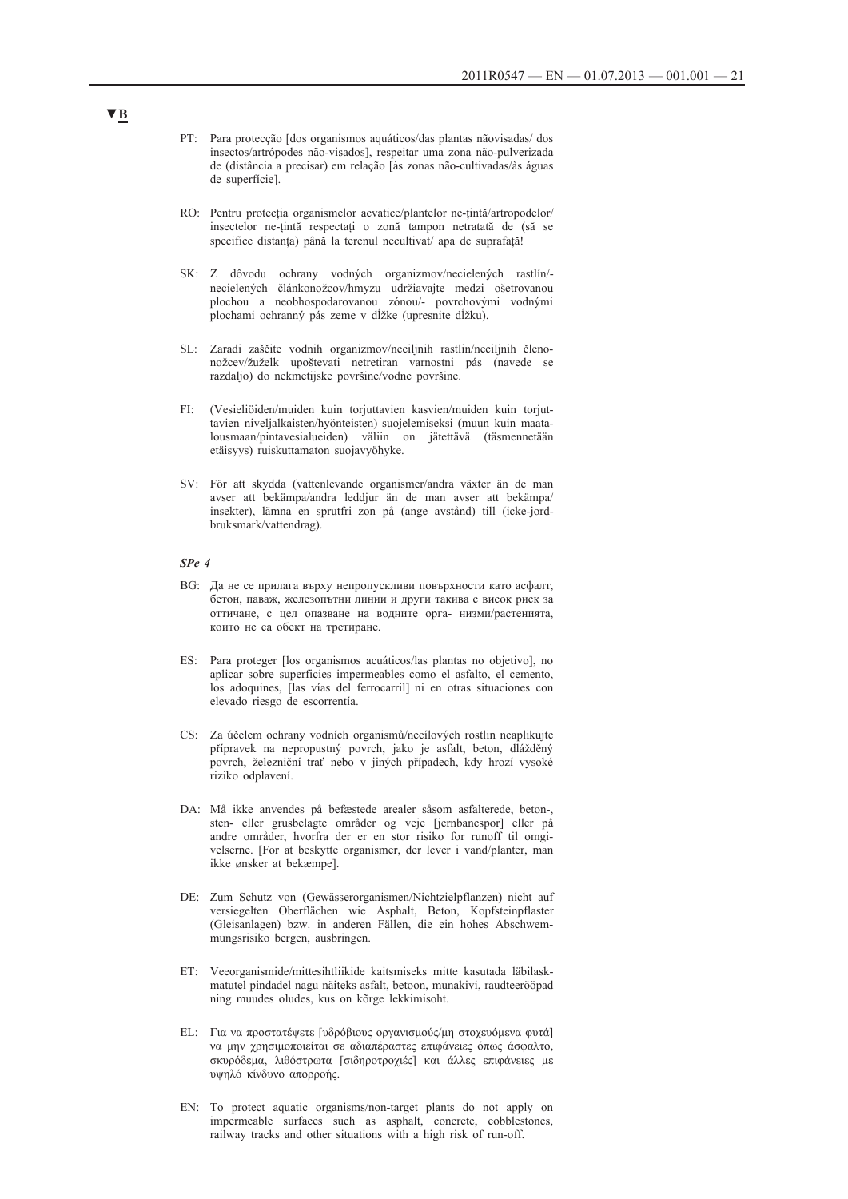- PT: Para protecção [dos organismos aquáticos/das plantas nãovisadas/ dos insectos/artrópodes não-visados], respeitar uma zona não-pulverizada de (distância a precisar) em relação [às zonas não-cultivadas/às águas de superfície].
- RO: Pentru protecția organismelor acvatice/plantelor ne-țintă/artropodelor/ insectelor ne-țintă respectați o zonă tampon netratată de (să se specifice distanța) până la terenul necultivat/ apa de suprafață!
- SK: Z dôvodu ochrany vodných organizmov/necielených rastlín/ necielených článkonožcov/hmyzu udržiavajte medzi ošetrovanou plochou a neobhospodarovanou zónou/- povrchovými vodnými plochami ochranný pás zeme v dĺžke (upresnite dĺžku).
- SL: Zaradi zaščite vodnih organizmov/neciljnih rastlin/neciljnih členonožcev/žuželk upoštevati netretiran varnostni pás (navede se razdaljo) do nekmetijske površine/vodne površine.
- FI: (Vesieliöiden/muiden kuin torjuttavien kasvien/muiden kuin torjuttavien niveljalkaisten/hyönteisten) suojelemiseksi (muun kuin maatalousmaan/pintavesialueiden) väliin on jätettävä (täsmennetään etäisyys) ruiskuttamaton suojavyöhyke.
- SV: För att skydda (vattenlevande organismer/andra växter än de man avser att bekämpa/andra leddjur än de man avser att bekämpa/ insekter), lämna en sprutfri zon på (ange avstånd) till (icke-jordbruksmark/vattendrag).

#### *SPe 4*

- BG: Да не се прилага върху непропускливи повърхности като асфалт, бетон, паваж, железопътни линии и други такива с висок риск за оттичане, с цел опазване на водните орга- низми/растенията, които не са обект на третиране.
- ES: Para proteger [los organismos acuáticos/las plantas no objetivo], no aplicar sobre superficies impermeables como el asfalto, el cemento, los adoquines, [las vías del ferrocarril] ni en otras situaciones con elevado riesgo de escorrentía.
- CS: Za účelem ochrany vodních organismů/necílových rostlin neaplikujte přípravek na nepropustný povrch, jako je asfalt, beton, dlážděný povrch, železniční trať nebo v jiných případech, kdy hrozí vysoké riziko odplavení.
- DA: Må ikke anvendes på befæstede arealer såsom asfalterede, beton-, sten- eller grusbelagte områder og veje [jernbanespor] eller på andre områder, hvorfra der er en stor risiko for runoff til omgivelserne. [For at beskytte organismer, der lever i vand/planter, man ikke ønsker at bekæmpe].
- DE: Zum Schutz von (Gewässerorganismen/Nichtzielpflanzen) nicht auf versiegelten Oberflächen wie Asphalt, Beton, Kopfsteinpflaster (Gleisanlagen) bzw. in anderen Fällen, die ein hohes Abschwemmungsrisiko bergen, ausbringen.
- ET: Veeorganismide/mittesihtliikide kaitsmiseks mitte kasutada läbilaskmatutel pindadel nagu näiteks asfalt, betoon, munakivi, raudteerööpad ning muudes oludes, kus on kõrge lekkimisoht.
- EL: Για να προστατέψετε [υδρόβιους οργανισμούς/μη στοχευόμενα φυτά] να μην χρησιμοποιείται σε αδιαπέραστες επιφάνειες όπως άσφαλτο, σκυρόδεμα, λιθόστρωτα [σιδηροτροχιές] και άλλες επιφάνειες με υψηλό κίνδυνο απορροής.
- EN: To protect aquatic organisms/non-target plants do not apply on impermeable surfaces such as asphalt, concrete, cobblestones, railway tracks and other situations with a high risk of run-off.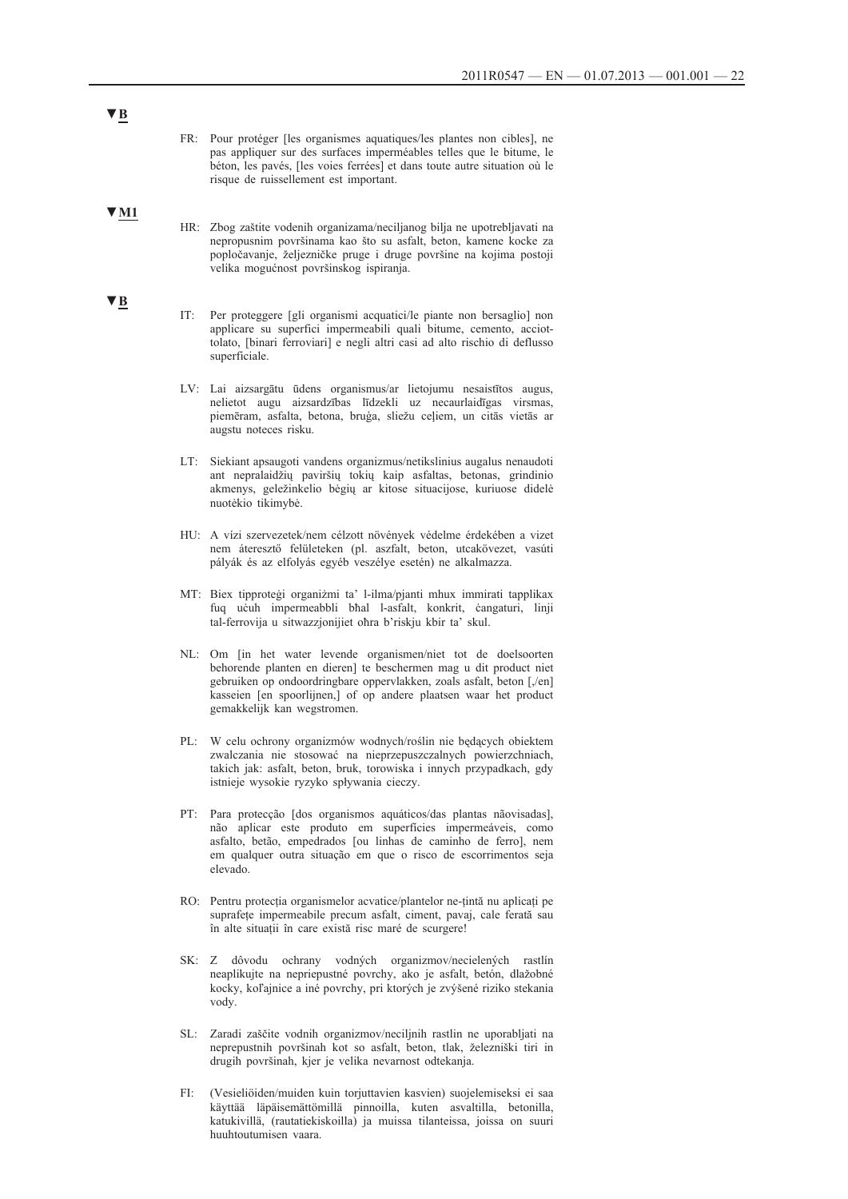- FR: Pour protéger [les organismes aquatiques/les plantes non cibles], ne pas appliquer sur des surfaces imperméables telles que le bitume, le béton, les pavés, [les voies ferrées] et dans toute autre situation où le risque de ruissellement est important.
- **▼M1**
- HR: Zbog zaštite vodenih organizama/neciljanog bilja ne upotrebljavati na nepropusnim površinama kao što su asfalt, beton, kamene kocke za popločavanje, željezničke pruge i druge površine na kojima postoji velika mogućnost površinskog ispiranja.
- IT: Per proteggere [gli organismi acquatici/le piante non bersaglio] non applicare su superfici impermeabili quali bitume, cemento, acciottolato, [binari ferroviari] e negli altri casi ad alto rischio di deflusso superficiale.
- LV: Lai aizsargātu ūdens organismus/ar lietojumu nesaistītos augus, nelietot augu aizsardzības līdzekli uz necaurlaidīgas virsmas, piemēram, asfalta, betona, bruģa, sliežu ceļiem, un citās vietās ar augstu noteces risku.
- LT: Siekiant apsaugoti vandens organizmus/netikslinius augalus nenaudoti ant nepralaidžių paviršių tokių kaip asfaltas, betonas, grindinio akmenys, geležinkelio bėgių ar kitose situacijose, kuriuose didelė nuotėkio tikimybė.
- HU: A vízi szervezetek/nem célzott növények védelme érdekében a vizet nem áteresztő felületeken (pl. aszfalt, beton, utcakövezet, vasúti pályák és az elfolyás egyéb veszélye esetén) ne alkalmazza.
- MT: Biex tipproteġi organiżmi ta' l-ilma/pjanti mhux immirati tapplikax fuq uċuh impermeabbli bħal l-asfalt, konkrit, ċangaturi, linji tal-ferrovija u sitwazzjonijiet oħra b'riskju kbir ta' skul.
- NL: Om [in het water levende organismen/niet tot de doelsoorten behorende planten en dieren] te beschermen mag u dit product niet gebruiken op ondoordringbare oppervlakken, zoals asfalt, beton [,/en] kasseien [en spoorlijnen,] of op andere plaatsen waar het product gemakkelijk kan wegstromen.
- PL: W celu ochrony organizmów wodnych/roślin nie będących obiektem zwalczania nie stosować na nieprzepuszczalnych powierzchniach, takich jak: asfalt, beton, bruk, torowiska i innych przypadkach, gdy istnieje wysokie ryzyko spływania cieczy.
- PT: Para protecção [dos organismos aquáticos/das plantas nãovisadas], não aplicar este produto em superfícies impermeáveis, como asfalto, betão, empedrados [ou linhas de caminho de ferro], nem em qualquer outra situação em que o risco de escorrimentos seja elevado.
- RO: Pentru protecția organismelor acvatice/plantelor ne-țintă nu aplicați pe suprafețe impermeabile precum asfalt, ciment, pavaj, cale ferată sau în alte situații în care există risc maré de scurgere!
- SK: Z dôvodu ochrany vodných organizmov/necielených rastlín neaplikujte na nepriepustné povrchy, ako je asfalt, betón, dlažobné kocky, koľajnice a iné povrchy, pri ktorých je zvýšené riziko stekania vody.
- SL: Zaradi zaščite vodnih organizmov/neciljnih rastlin ne uporabljati na neprepustnih površinah kot so asfalt, beton, tlak, železniški tiri in drugih površinah, kjer je velika nevarnost odtekanja.
- FI: (Vesieliöiden/muiden kuin torjuttavien kasvien) suojelemiseksi ei saa käyttää läpäisemättömillä pinnoilla, kuten asvaltilla, betonilla, katukivillä, (rautatiekiskoilla) ja muissa tilanteissa, joissa on suuri huuhtoutumisen vaara.

### **▼B**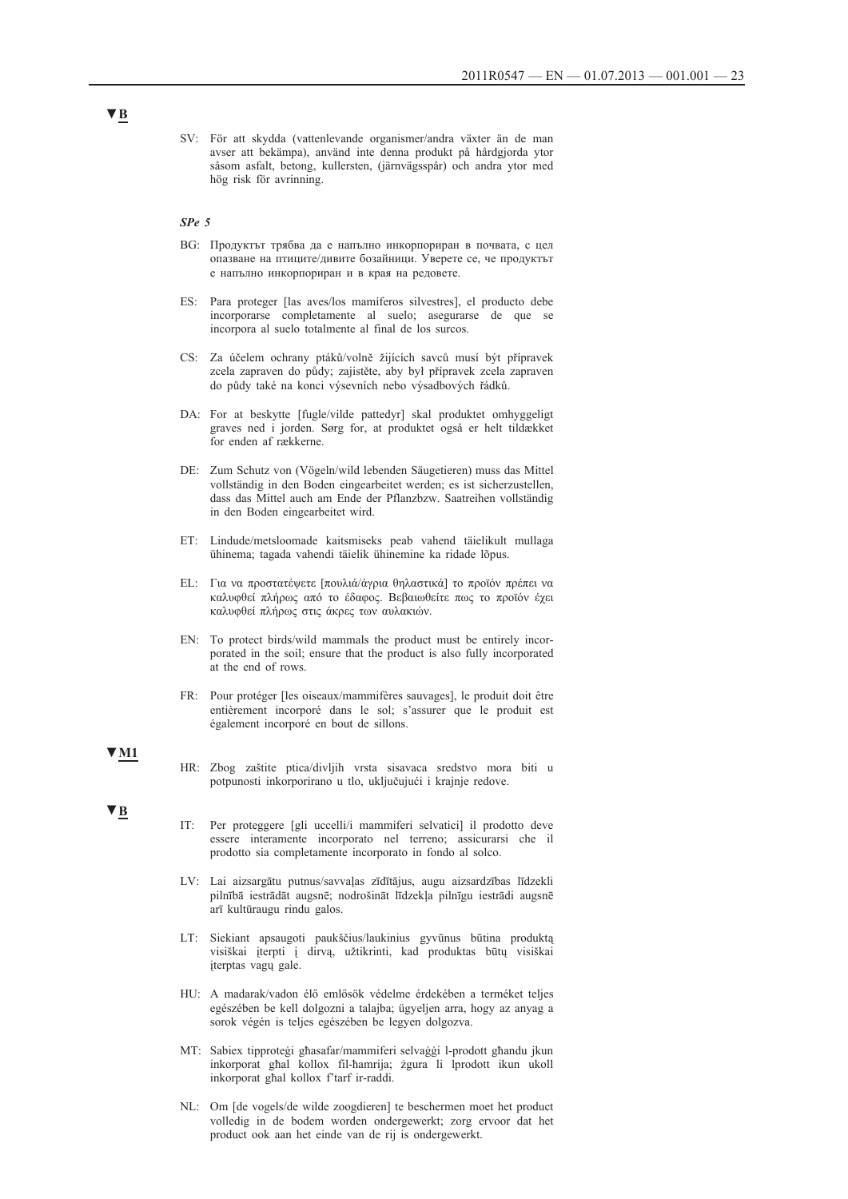SV: För att skydda (vattenlevande organismer/andra växter än de man avser att bekämpa), använd inte denna produkt på hårdgjorda ytor såsom asfalt, betong, kullersten, (järnvägsspår) och andra ytor med hög risk för avrinning.

#### *SPe 5*

- BG: Продуктът трябва да е напълно инкорпориран в почвата, с цел опазване на птиците/дивите бозайници. Уверете се, че продуктът е напълно инкорпориран и в края на редовете.
- ES: Para proteger [las aves/los mamíferos silvestres], el producto debe incorporarse completamente al suelo; asegurarse de que se incorpora al suelo totalmente al final de los surcos.
- CS: Za účelem ochrany ptáků/volně žijících savců musí být přípravek zcela zapraven do půdy; zajistěte, aby był přípravek zcela zapraven do půdy také na konci výsevních nebo výsadbových řádků.
- DA: For at beskytte [fugle/vilde pattedyr] skal produktet omhyggeligt graves ned i jorden. Sørg for, at produktet også er helt tildækket for enden af rækkerne.
- DE: Zum Schutz von (Vögeln/wild lebenden Säugetieren) muss das Mittel vollständig in den Boden eingearbeitet werden; es ist sicherzustellen, dass das Mittel auch am Ende der Pflanzbzw. Saatreihen vollständig in den Boden eingearbeitet wird.
- ET: Lindude/metsloomade kaitsmiseks peab vahend täielikult mullaga ühinema; tagada vahendi täielik ühinemine ka ridade lõpus.
- EL: Για να προστατέψετε [πουλιά/άγρια θηλαστικά] το προϊόν πρέπει να καλυφθεί πλήρως από το έδαφος. Βεβαιωθείτε πως το προϊόν έχει καλυφθεί πλήρως στις άκρες των αυλακιών.
- EN: To protect birds/wild mammals the product must be entirely incorporated in the soil; ensure that the product is also fully incorporated at the end of rows.
- FR: Pour protéger [les oiseaux/mammifères sauvages], le produit doit être entièrement incorporé dans le sol; s'assurer que le produit est également incorporé en bout de sillons.

#### **▼M1**

HR: Zbog zaštite ptica/divljih vrsta sisavaca sredstvo mora biti u potpunosti inkorporirano u tlo, uključujući i krajnje redove.

#### **▼B**

- IT: Per proteggere [gli uccelli/i mammiferi selvatici] il prodotto deve essere interamente incorporato nel terreno; assicurarsi che il prodotto sia completamente incorporato in fondo al solco.
- LV: Lai aizsargātu putnus/savvaļas zīdītājus, augu aizsardzības līdzekli pilnībā iestrādāt augsnē; nodrošināt līdzekļa pilnīgu iestrādi augsnē arī kultūraugu rindu galos.
- LT: Siekiant apsaugoti paukščius/laukinius gyvūnus būtina produktą visiškai įterpti į dirvą, užtikrinti, kad produktas būtų visiškai įterptas vagų gale.
- HU: A madarak/vadon élő emlősök védelme érdekében a terméket teljes egészében be kell dolgozni a talajba; ügyeljen arra, hogy az anyag a sorok végén is teljes egészében be legyen dolgozva.
- MT: Sabiex tipproteġi għasafar/mammiferi selvaġġi l-prodott għandu jkun inkorporat għal kollox fil-ħamrija; żgura li lprodott ikun ukoll inkorporat għal kollox f'tarf ir-raddi.
- NL: Om [de vogels/de wilde zoogdieren] te beschermen moet het product volledig in de bodem worden ondergewerkt; zorg ervoor dat het product ook aan het einde van de rij is ondergewerkt.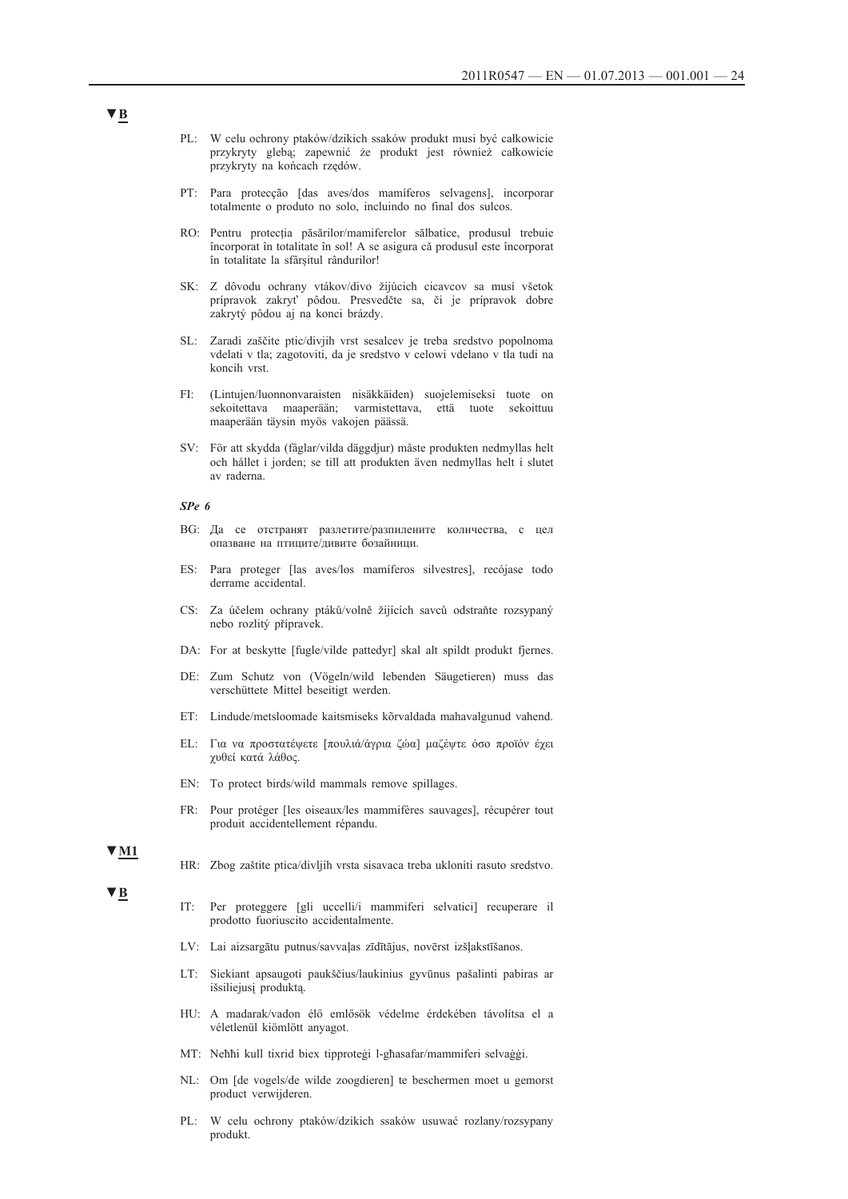- PL: W celu ochrony ptaków/dzikich ssaków produkt musi być całkowicie przykryty glebą; zapewnić że produkt jest również całkowicie przykryty na końcach rzędów.
- PT: Para protecção [das aves/dos mamíferos selvagens], incorporar totalmente o produto no solo, incluindo no final dos sulcos.
- RO: Pentru protecția păsărilor/mamiferelor sălbatice, produsul trebuie încorporat în totalitate în sol! A se asigura că produsul este încorporat în totalitate la sfârșitul rândurilor!
- SK: Z dôvodu ochrany vtákov/divo žijúcich cicavcov sa musí všetok prípravok zakryť pôdou. Presvedčte sa, či je prípravok dobre zakrytý pôdou aj na konci brázdy.
- SL: Zaradi zaščite ptic/divjih vrst sesalcev je treba sredstvo popolnoma vdelati v tla; zagotoviti, da je sredstvo v celowi vdelano v tla tudi na koncih vrst.
- FI: (Lintujen/luonnonvaraisten nisäkkäiden) suojelemiseksi tuote on sekoitettava maaperään; varmistettava, että tuote sekoittuu maaperään täysin myös vakojen päässä.
- SV: För att skydda (fåglar/vilda däggdjur) måste produkten nedmyllas helt och hållet i jorden; se till att produkten även nedmyllas helt i slutet av raderna.

#### *SPe 6*

- BG: Да се отстранят разлетите/разпилените количества, с цел опазване на птиците/дивите бозайници.
- ES: Para proteger [las aves/los mamíferos silvestres], recójase todo derrame accidental.
- CS: Za účelem ochrany ptáků/volně žijících savců odstraňte rozsypaný nebo rozlitý přípravek.
- DA: For at beskytte [fugle/vilde pattedyr] skal alt spildt produkt fjernes.
- DE: Zum Schutz von (Vögeln/wild lebenden Säugetieren) muss das verschüttete Mittel beseitigt werden.
- ET: Lindude/metsloomade kaitsmiseks kõrvaldada mahavalgunud vahend.
- EL: Για να προστατέψετε [πουλιά/άγρια ζώα] μαζέψτε όσο προϊόν έχει χυθεί κατά λάθος.
- EN: To protect birds/wild mammals remove spillages.
- FR: Pour protéger [les oiseaux/les mammifères sauvages], récupérer tout produit accidentellement répandu.

#### **▼M1**

**▼B**

- HR: Zbog zaštite ptica/divljih vrsta sisavaca treba ukloniti rasuto sredstvo.
- IT: Per proteggere [gli uccelli/i mammiferi selvatici] recuperare il prodotto fuoriuscito accidentalmente.
- LV: Lai aizsargātu putnus/savvaļas zīdītājus, novērst izšļakstīšanos.
- LT: Siekiant apsaugoti paukščius/laukinius gyvūnus pašalinti pabiras ar išsiliejusį produktą.
- HU: A madarak/vadon élő emlősök védelme érdekében távolítsa el a véletlenül kiömlött anyagot.
- MT: Neħħi kull tixrid biex tipproteġi l-għasafar/mammiferi selvaġġi.
- NL: Om [de vogels/de wilde zoogdieren] te beschermen moet u gemorst product verwijderen.
- PL: W celu ochrony ptaków/dzikich ssaków usuwać rozlany/rozsypany produkt.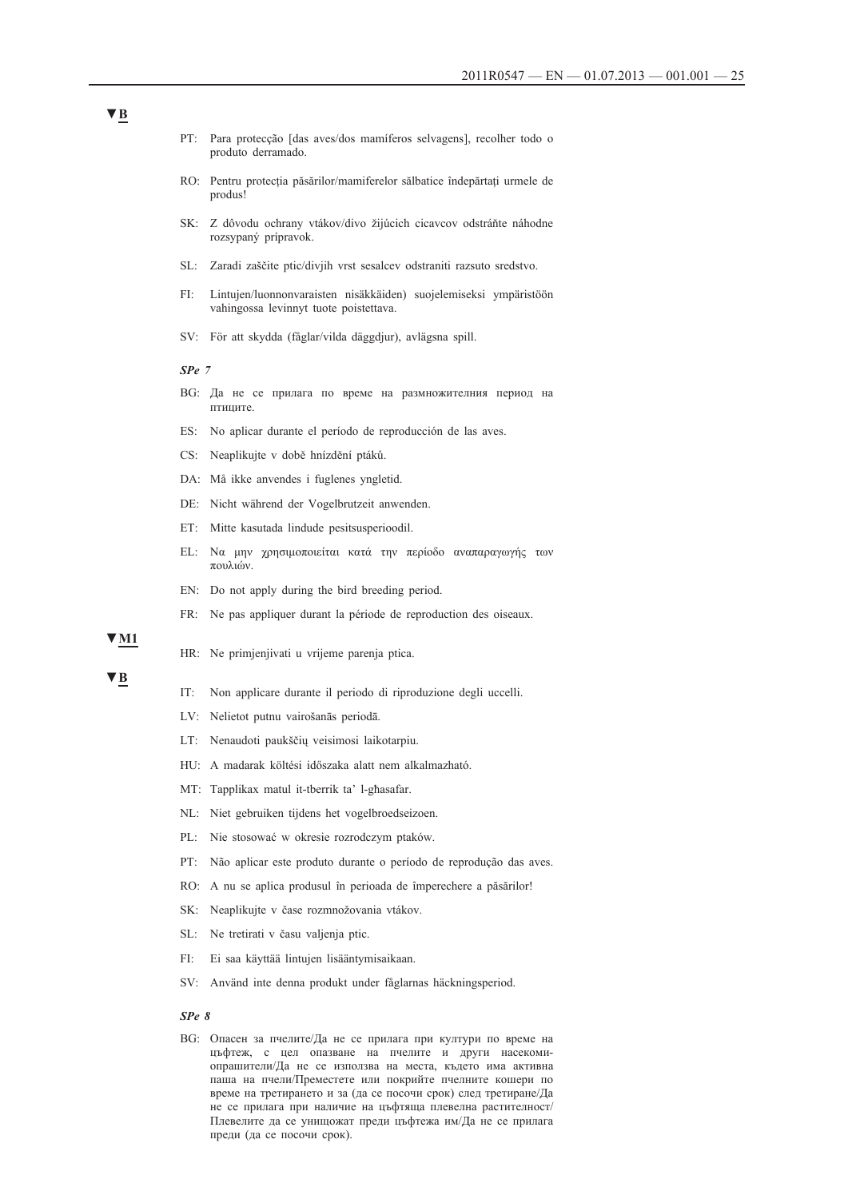- PT: Para protecção [das aves/dos mamíferos selvagens], recolher todo o produto derramado.
- RO: Pentru protecția păsărilor/mamiferelor sălbatice îndepărtați urmele de produs!
- SK: Z dôvodu ochrany vtákov/divo žijúcich cicavcov odstráňte náhodne rozsypaný prípravok.
- SL: Zaradi zaščite ptic/divjih vrst sesalcev odstraniti razsuto sredstvo.
- FI: Lintujen/luonnonvaraisten nisäkkäiden) suojelemiseksi ympäristöön vahingossa levinnyt tuote poistettava.
- SV: För att skydda (fåglar/vilda däggdjur), avlägsna spill.

#### *SPe 7*

- BG: Да не се прилага по време на размножителния период на птиците.
- ES: No aplicar durante el período de reproducción de las aves.
- CS: Neaplikujte v době hnízdění ptáků.
- DA: Må ikke anvendes i fuglenes yngletid.
- DE: Nicht während der Vogelbrutzeit anwenden.
- ET: Mitte kasutada lindude pesitsusperioodil.
- EL: Να μην χρησιμοποιείται κατά την περίοδο αναπαραγωγής των πουλιών.
- EN: Do not apply during the bird breeding period.
- FR: Ne pas appliquer durant la période de reproduction des oiseaux.

#### **▼M1**

HR: Ne primjenjivati u vrijeme parenja ptica.

#### **▼B**

- IT: Non applicare durante il periodo di riproduzione degli uccelli.
- LV: Nelietot putnu vairošanās periodā.
- LT: Nenaudoti paukščių veisimosi laikotarpiu.
- HU: A madarak költési időszaka alatt nem alkalmazható.
- MT: Tapplikax matul it-tberrik ta' l-għasafar.
- NL: Niet gebruiken tijdens het vogelbroedseizoen.
- PL: Nie stosować w okresie rozrodczym ptaków.
- PT: Não aplicar este produto durante o período de reprodução das aves.
- RO: A nu se aplica produsul în perioada de împerechere a păsărilor!
- SK: Neaplikujte v čase rozmnožovania vtákov.
- SL: Ne tretirati v času valjenja ptic.
- FI: Ei saa käyttää lintujen lisääntymisaikaan.
- SV: Använd inte denna produkt under fåglarnas häckningsperiod.

#### *SPe 8*

BG: Опасен за пчелите/Да не се прилага при култури по време на цъфтеж, с цел опазване на пчелите и други насекомиопрашители/Да не се използва на места, където има активна паша на пчели/Преместете или покрийте пчелните кошери по време на третирането и за (да се посочи срок) след третиране/Да не се прилага при наличие на цъфтяща плевелна растителност/ Плевелите да се унищожат преди цъфтежа им/Да не се прилага преди (да се посочи срок).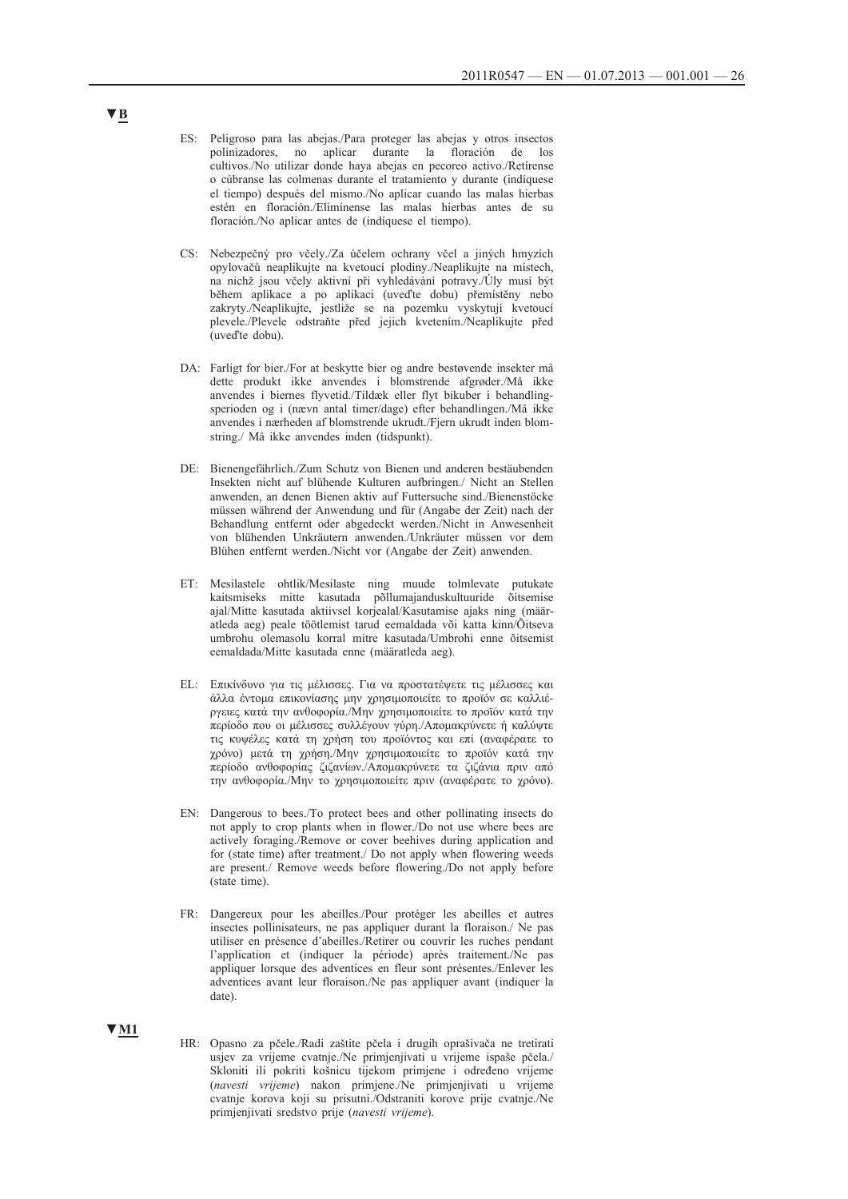- ES: Peligroso para las abejas./Para proteger las abejas y otros insectos polinizadores, no aplicar durante la floración de los cultivos./No utilizar donde haya abejas en pecoreo activo./Retírense o cúbranse las colmenas durante el tratamiento y durante (indíquese el tiempo) después del mismo./No aplicar cuando las malas hierbas estén en floración./Elimínense las malas hierbas antes de su floración./No aplicar antes de (indíquese el tiempo).
- CS: Nebezpečný pro včely./Za účelem ochrany včel a jiných hmyzích opylovačů neaplikujte na kvetoucí plodiny./Neaplikujte na místech, na nichž jsou včely aktivní při vyhledávání potravy./Úly musí být během aplikace a po aplikaci (uveďte dobu) přemístěny nebo zakryty./Neaplikujte, jestliže se na pozemku vyskytují kvetoucí plevele./Plevele odstraňte před jejich kvetením./Neaplikujte před (uveďte dobu).
- DA: Farligt for bier./For at beskytte bier og andre bestøvende insekter må dette produkt ikke anvendes i blomstrende afgrøder./Må ikke anvendes i biernes flyvetid./Tildæk eller flyt bikuber i behandlingsperioden og i (nævn antal timer/dage) efter behandlingen./Må ikke anvendes i nærheden af blomstrende ukrudt./Fjern ukrudt inden blomstring./ Må ikke anvendes inden (tidspunkt).
- DE: Bienengefährlich./Zum Schutz von Bienen und anderen bestäubenden Insekten nicht auf blühende Kulturen aufbringen./ Nicht an Stellen anwenden, an denen Bienen aktiv auf Futtersuche sind./Bienenstöcke müssen während der Anwendung und für (Angabe der Zeit) nach der Behandlung entfernt oder abgedeckt werden./Nicht in Anwesenheit von blühenden Unkräutern anwenden./Unkräuter müssen vor dem Blühen entfernt werden./Nicht vor (Angabe der Zeit) anwenden.
- ET: Mesilastele ohtlik/Mesilaste ning muude tolmlevate putukate kaitsmiseks mitte kasutada põllumajanduskultuuride õitsemise ajal/Mitte kasutada aktiivsel korjealal/Kasutamise ajaks ning (määratleda aeg) peale töötlemist tarud eemaldada või katta kinn/Õitseva umbrohu olemasolu korral mitre kasutada/Umbrohi enne õitsemist eemaldada/Mitte kasutada enne (määratleda aeg).
- EL: Επικίνδυνο για τις μέλισσες. Για να προστατέψετε τις μέλισσες και άλλα έντομα επικονίασης μην χρησιμοποιείτε το προϊόν σε καλλιέργειες κατά την ανθοφορία./Μην χρησιμοποιείτε το προϊόν κατά την περίοδο που οι μέλισσες συλλέγουν γύρη./Απομακρύνετε ή καλύψτε τις κυψέλες κατά τη χρήση του προϊόντος και επί (αναφέρατε το χρόνο) μετά τη χρήση./Μην χρησιμοποιείτε το προϊόν κατά την περίοδο ανθοφορίας ζιζανίων./Απομακρύνετε τα ζιζάνια πριν από την ανθοφορία./Μην το χρησιμοποιείτε πριν (αναφέρατε το χρόνο).
- EN: Dangerous to bees./To protect bees and other pollinating insects do not apply to crop plants when in flower./Do not use where bees are actively foraging./Remove or cover beehives during application and for (state time) after treatment./ Do not apply when flowering weeds are present./ Remove weeds before flowering./Do not apply before (state time).
- FR: Dangereux pour les abeilles./Pour protéger les abeilles et autres insectes pollinisateurs, ne pas appliquer durant la floraison./ Ne pas utiliser en présence d'abeilles./Retirer ou couvrir les ruches pendant l'application et (indiquer la période) après traitement./Ne pas appliquer lorsque des adventices en fleur sont présentes./Enlever les adventices avant leur floraison./Ne pas appliquer avant (indiquer la date).
- HR: Opasno za pčele./Radi zaštite pčela i drugih oprašivača ne tretirati usjev za vrijeme cvatnje./Ne primjenjivati u vrijeme ispaše pčela./ Skloniti ili pokriti košnicu tijekom primjene i određeno vrijeme (*navesti vrijeme*) nakon primjene./Ne primjenjivati u vrijeme cvatnje korova koji su prisutni./Odstraniti korove prije cvatnje./Ne primjenjivati sredstvo prije (*navesti vrijeme*).

### **▼B**

**▼M1**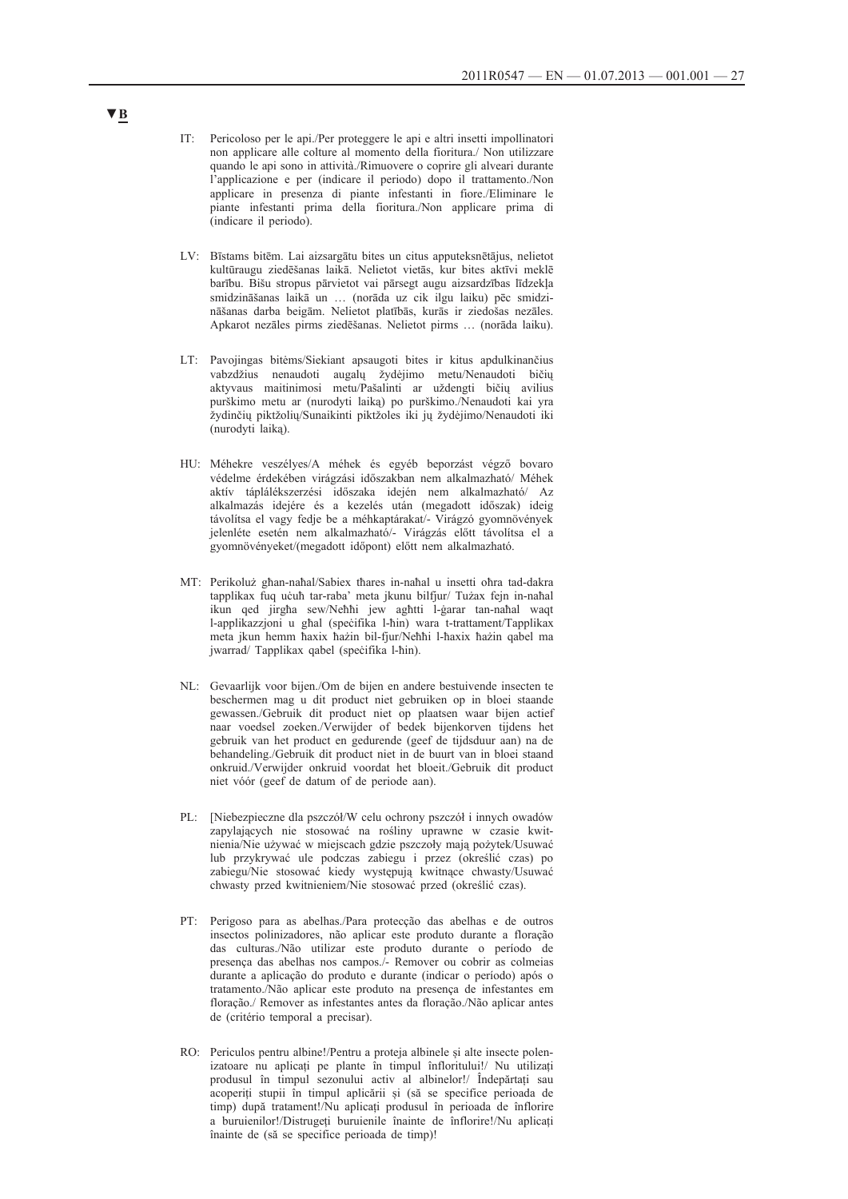- IT: Pericoloso per le api./Per proteggere le api e altri insetti impollinatori non applicare alle colture al momento della fioritura./ Non utilizzare quando le api sono in attività./Rimuovere o coprire gli alveari durante l'applicazione e per (indicare il periodo) dopo il trattamento./Non applicare in presenza di piante infestanti in fiore./Eliminare le piante infestanti prima della fioritura./Non applicare prima di (indicare il periodo).
- LV: Bīstams bitēm. Lai aizsargātu bites un citus apputeksnētājus, nelietot kultūraugu ziedēšanas laikā. Nelietot vietās, kur bites aktīvi meklē barību. Bišu stropus pārvietot vai pārsegt augu aizsardzības līdzekļa smidzināšanas laikā un … (norāda uz cik ilgu laiku) pēc smidzināšanas darba beigām. Nelietot platībās, kurās ir ziedošas nezāles. Apkarot nezāles pirms ziedēšanas. Nelietot pirms … (norāda laiku).
- LT: Pavojingas bitėms/Siekiant apsaugoti bites ir kitus apdulkinančius vabzdžius nenaudoti augalų žydėjimo metu/Nenaudoti bičių aktyvaus maitinimosi metu/Pašalinti ar uždengti bičių avilius purškimo metu ar (nurodyti laiką) po purškimo./Nenaudoti kai yra žydinčių piktžolių/Sunaikinti piktžoles iki jų žydėjimo/Nenaudoti iki (nurodyti laiką).
- HU: Méhekre veszélyes/A méhek és egyéb beporzást végző bovaro védelme érdekében virágzási időszakban nem alkalmazható/ Méhek aktív táplálékszerzési időszaka idején nem alkalmazható/ Az alkalmazás idejére és a kezelés után (megadott időszak) ideig távolítsa el vagy fedje be a méhkaptárakat/- Virágzó gyomnövények jelenléte esetén nem alkalmazható/- Virágzás előtt távolítsa el a gyomnövényeket/(megadott időpont) előtt nem alkalmazható.
- MT: Perikoluż għan-naħal/Sabiex tħares in-naħal u insetti oħra tad-dakra tapplikax fuq uċuħ tar-raba' meta jkunu bilfjur/ Tużax fejn in-naħal ikun qed jirgħa sew/Neħħi jew agħtti l-ġarar tan-naħal waqt l-applikazzjoni u għal (speċifika l-ħin) wara t-trattament/Tapplikax meta jkun hemm ħaxix ħażin bil-fjur/Neħħi l-ħaxix ħażin qabel ma jwarrad/ Tapplikax qabel (speċifika l-ħin).
- NL: Gevaarlijk voor bijen./Om de bijen en andere bestuivende insecten te beschermen mag u dit product niet gebruiken op in bloei staande gewassen./Gebruik dit product niet op plaatsen waar bijen actief naar voedsel zoeken./Verwijder of bedek bijenkorven tijdens het gebruik van het product en gedurende (geef de tijdsduur aan) na de behandeling./Gebruik dit product niet in de buurt van in bloei staand onkruid./Verwijder onkruid voordat het bloeit./Gebruik dit product niet vóór (geef de datum of de periode aan).
- PL: [Niebezpieczne dla pszczół/W celu ochrony pszczół i innych owadów zapylających nie stosować na rośliny uprawne w czasie kwitnienia/Nie używać w miejscach gdzie pszczoły mają pożytek/Usuwać lub przykrywać ule podczas zabiegu i przez (określić czas) po zabiegu/Nie stosować kiedy występują kwitnące chwasty/Usuwać chwasty przed kwitnieniem/Nie stosować przed (określić czas).
- PT: Perigoso para as abelhas./Para protecção das abelhas e de outros insectos polinizadores, não aplicar este produto durante a floração das culturas./Não utilizar este produto durante o período de presença das abelhas nos campos./- Remover ou cobrir as colmeias durante a aplicação do produto e durante (indicar o período) após o tratamento./Não aplicar este produto na presença de infestantes em floração./ Remover as infestantes antes da floração./Não aplicar antes de (critério temporal a precisar).
- RO: Periculos pentru albine!/Pentru a proteja albinele și alte insecte polenizatoare nu aplicați pe plante în timpul înfloritului!/ Nu utilizați produsul în timpul sezonului activ al albinelor!/ Îndepărtați sau acoperiți stupii în timpul aplicării și (să se specifice perioada de timp) după tratament!/Nu aplicați produsul în perioada de înflorire a buruienilor!/Distrugeți buruienile înainte de înflorire!/Nu aplicați înainte de (să se specifice perioada de timp)!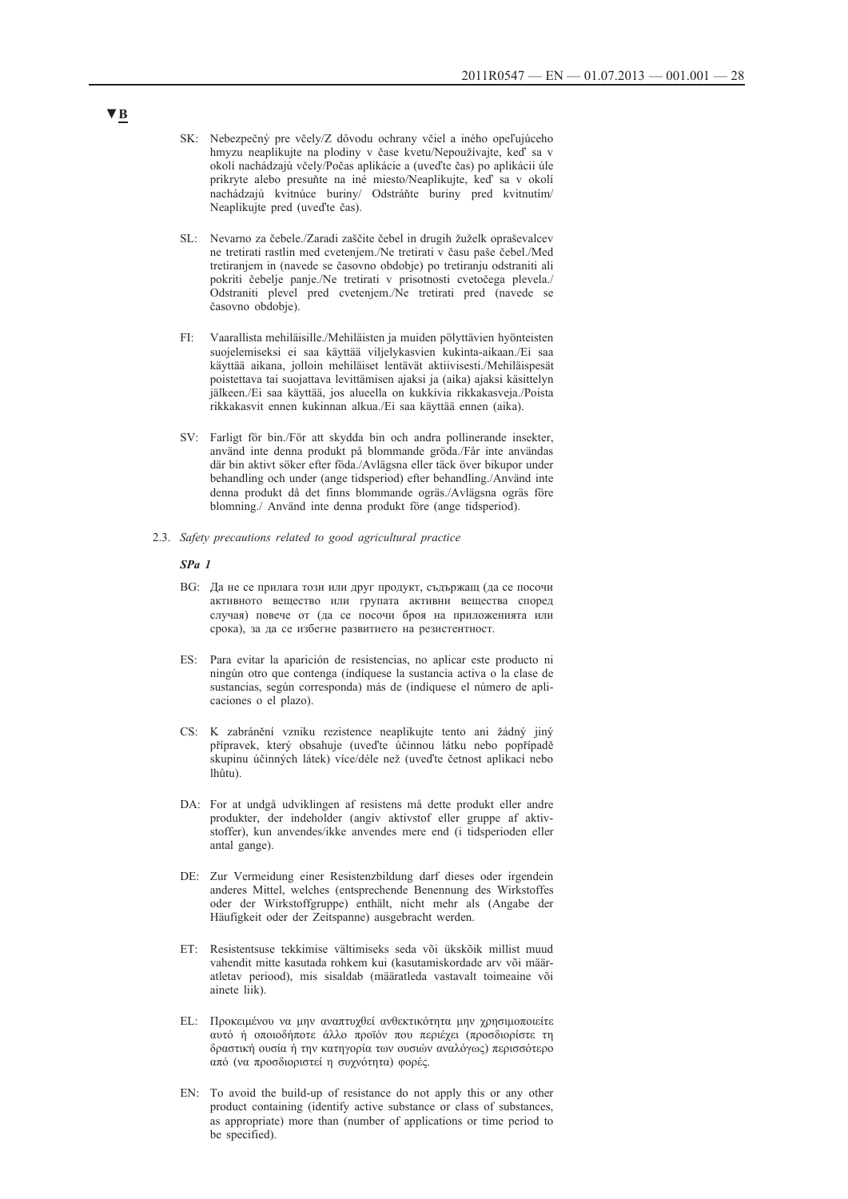- SK: Nebezpečný pre včely/Z dôvodu ochrany včiel a iného opeľujúceho hmyzu neaplikujte na plodiny v čase kvetu/Nepoužívajte, keď sa v okolí nachádzajú včely/Počas aplikácie a (uveďte čas) po aplikácii úle prikryte alebo presuňte na iné miesto/Neaplikujte, keď sa v okolí nachádzajú kvitnúce buriny/ Odstráňte buriny pred kvitnutím/ Neaplikujte pred (uveďte čas).
- SL: Nevarno za čebele./Zaradi zaščite čebel in drugih žuželk opraševalcev ne tretirati rastlin med cvetenjem./Ne tretirati v času paše čebel./Med tretiranjem in (navede se časovno obdobje) po tretiranju odstraniti ali pokriti čebelje panje./Ne tretirati v prisotnosti cvetočega plevela./ Odstraniti plevel pred cvetenjem./Ne tretirati pred (navede se časovno obdobje).
- FI: Vaarallista mehiläisille./Mehiläisten ja muiden pölyttävien hyönteisten suojelemiseksi ei saa käyttää viljelykasvien kukinta-aikaan./Ei saa käyttää aikana, jolloin mehiläiset lentävät aktiivisesti./Mehiläispesät poistettava tai suojattava levittämisen ajaksi ja (aika) ajaksi käsittelyn jälkeen./Ei saa käyttää, jos alueella on kukkivia rikkakasveja./Poista rikkakasvit ennen kukinnan alkua./Ei saa käyttää ennen (aika).
- SV: Farligt för bin./För att skydda bin och andra pollinerande insekter, använd inte denna produkt på blommande gröda./Får inte användas där bin aktivt söker efter föda./Avlägsna eller täck över bikupor under behandling och under (ange tidsperiod) efter behandling./Använd inte denna produkt då det finns blommande ogräs./Avlägsna ogräs före blomning./ Använd inte denna produkt före (ange tidsperiod).
- 2.3. *Safety precautions related to good agricultural practice*

#### *SPa 1*

- BG: Да не се прилага този или друг продукт, съдържащ (да се посочи активното вещество или групата активни вещества според случая) повече от (да се посочи броя на приложенията или срока), за да се избегне развитието на резистентност.
- ES: Para evitar la aparición de resistencias, no aplicar este producto ni ningún otro que contenga (indíquese la sustancia activa o la clase de sustancias, según corresponda) más de (indíquese el número de aplicaciones o el plazo).
- CS: K zabránění vzniku rezistence neaplikujte tento ani žádný jiný přípravek, který obsahuje (uveďte účinnou látku nebo popřípadě skupinu účinných látek) více/déle než (uveďte četnost aplikací nebo lhůtu).
- DA: For at undgå udviklingen af resistens må dette produkt eller andre produkter, der indeholder (angiv aktivstof eller gruppe af aktivstoffer), kun anvendes/ikke anvendes mere end (i tidsperioden eller antal gange).
- DE: Zur Vermeidung einer Resistenzbildung darf dieses oder irgendein anderes Mittel, welches (entsprechende Benennung des Wirkstoffes oder der Wirkstoffgruppe) enthält, nicht mehr als (Angabe der Häufigkeit oder der Zeitspanne) ausgebracht werden.
- ET: Resistentsuse tekkimise vältimiseks seda või ükskõik millist muud vahendit mitte kasutada rohkem kui (kasutamiskordade arv või määratletav periood), mis sisaldab (määratleda vastavalt toimeaine või ainete liik).
- EL: Προκειμένου να μην αναπτυχθεί ανθεκτικότητα μην χρησιμοποιείτε αυτό ή οποιοδήποτε άλλο προϊόν που περιέχει (προσδιορίστε τη δραστική ουσία ή την κατηγορία των ουσιών αναλόγως) περισσότερο από (να προσδιοριστεί η συχνότητα) φορές.
- EN: To avoid the build-up of resistance do not apply this or any other product containing (identify active substance or class of substances, as appropriate) more than (number of applications or time period to be specified).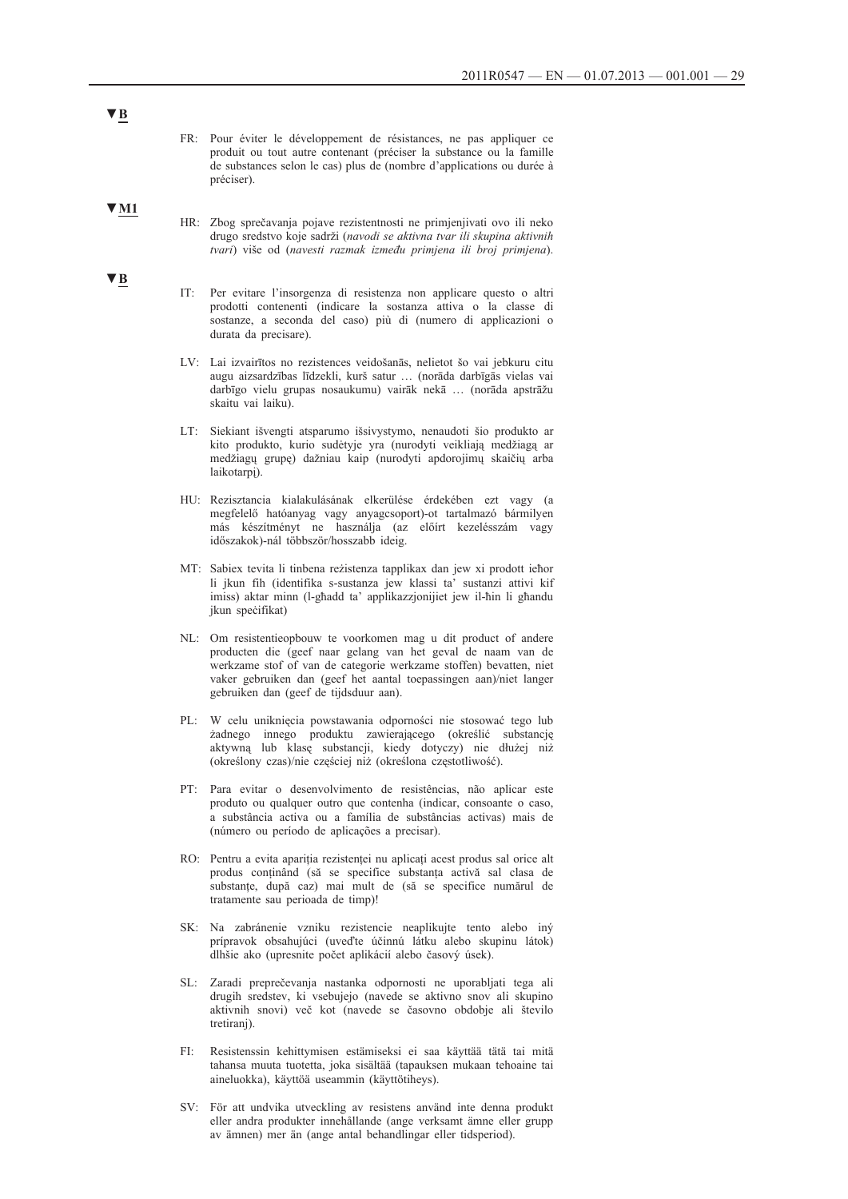- FR: Pour éviter le développement de résistances, ne pas appliquer ce produit ou tout autre contenant (préciser la substance ou la famille de substances selon le cas) plus de (nombre d'applications ou durée à préciser).
- **▼M1**
- HR: Zbog sprečavanja pojave rezistentnosti ne primjenjivati ovo ili neko drugo sredstvo koje sadrži (*navodi se aktivna tvar ili skupina aktivnih tvari*) više od (*navesti razmak između primjena ili broj primjena*).
- IT: Per evitare l'insorgenza di resistenza non applicare questo o altri prodotti contenenti (indicare la sostanza attiva o la classe di sostanze, a seconda del caso) più di (numero di applicazioni o durata da precisare).
- LV: Lai izvairītos no rezistences veidošanās, nelietot šo vai jebkuru citu augu aizsardzības līdzekli, kurš satur … (norāda darbīgās vielas vai darbīgo vielu grupas nosaukumu) vairāk nekā … (norāda apstrāžu skaitu vai laiku).
- LT: Siekiant išvengti atsparumo išsivystymo, nenaudoti šio produkto ar kito produkto, kurio sudėtyje yra (nurodyti veikliają medžiagą ar medžiagų grupę) dažniau kaip (nurodyti apdorojimų skaičių arba laikotarpį).
- HU: Rezisztancia kialakulásának elkerülése érdekében ezt vagy (a megfelelő hatóanyag vagy anyagcsoport)-ot tartalmazó bármilyen más készítményt ne használja (az előírt kezelésszám vagy időszakok)-nál többször/hosszabb ideig.
- MT: Sabiex tevita li tinbena reżistenza tapplikax dan jew xi prodott ieħor li jkun fih (identifika s-sustanza jew klassi ta' sustanzi attivi kif imiss) aktar minn (l-għadd ta' applikazzjonijiet jew il-ħin li għandu jkun speċifikat)
- NL: Om resistentieopbouw te voorkomen mag u dit product of andere producten die (geef naar gelang van het geval de naam van de werkzame stof of van de categorie werkzame stoffen) bevatten, niet vaker gebruiken dan (geef het aantal toepassingen aan)/niet langer gebruiken dan (geef de tijdsduur aan).
- PL: W celu uniknięcia powstawania odporności nie stosować tego lub żadnego innego produktu zawierającego (określić substancję aktywną lub klasę substancji, kiedy dotyczy) nie dłużej niż (określony czas)/nie częściej niż (określona częstotliwość).
- PT: Para evitar o desenvolvimento de resistências, não aplicar este produto ou qualquer outro que contenha (indicar, consoante o caso, a substância activa ou a família de substâncias activas) mais de (número ou período de aplicações a precisar).
- RO: Pentru a evita apariția rezistenței nu aplicați acest produs sal orice alt produs conținând (să se specifice substanța activă sal clasa de substanțe, după caz) mai mult de (să se specifice numărul de tratamente sau perioada de timp)!
- SK: Na zabránenie vzniku rezistencie neaplikujte tento alebo iný prípravok obsahujúci (uveďte účinnú látku alebo skupinu látok) dlhšie ako (upresnite počet aplikácií alebo časový úsek).
- SL: Zaradi preprečevanja nastanka odpornosti ne uporabljati tega ali drugih sredstev, ki vsebujejo (navede se aktivno snov ali skupino aktivnih snovi) več kot (navede se časovno obdobje ali število tretiranj).
- FI: Resistenssin kehittymisen estämiseksi ei saa käyttää tätä tai mitä tahansa muuta tuotetta, joka sisältää (tapauksen mukaan tehoaine tai aineluokka), käyttöä useammin (käyttötiheys).
- SV: För att undvika utveckling av resistens använd inte denna produkt eller andra produkter innehållande (ange verksamt ämne eller grupp av ämnen) mer än (ange antal behandlingar eller tidsperiod).

### **▼B**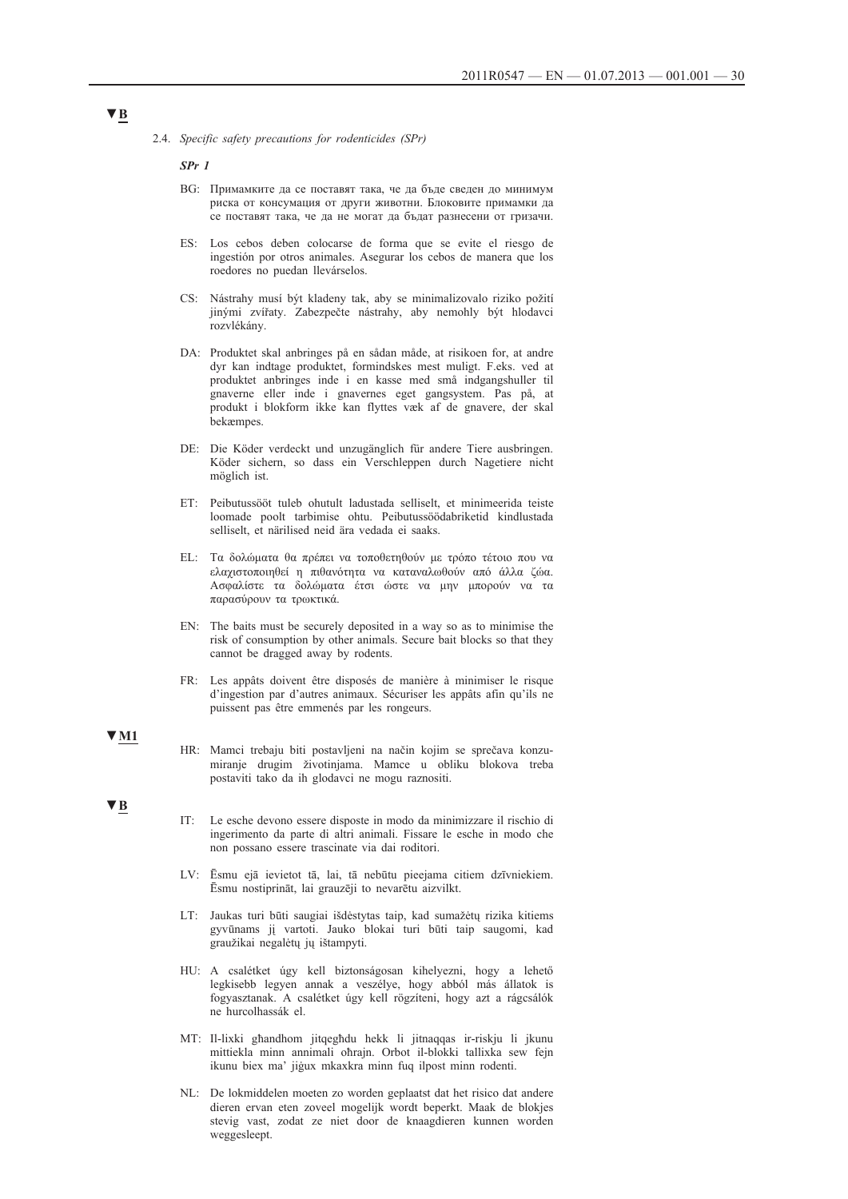2.4. *Specific safety precautions for rodenticides (SPr)*

*SPr 1*

- BG: Примамките да се поставят така, че да бъде сведен до минимум риска от консумация от други животни. Блоковите примамки да се поставят така, че да не могат да бъдат разнесени от гризачи.
- ES: Los cebos deben colocarse de forma que se evite el riesgo de ingestión por otros animales. Asegurar los cebos de manera que los roedores no puedan llevárselos.
- CS: Nástrahy musí být kladeny tak, aby se minimalizovalo riziko požití jinými zvířaty. Zabezpečte nástrahy, aby nemohly být hlodavci rozvlékány.
- DA: Produktet skal anbringes på en sådan måde, at risikoen for, at andre dyr kan indtage produktet, formindskes mest muligt. F.eks. ved at produktet anbringes inde i en kasse med små indgangshuller til gnaverne eller inde i gnavernes eget gangsystem. Pas på, at produkt i blokform ikke kan flyttes væk af de gnavere, der skal bekæmpes.
- DE: Die Köder verdeckt und unzugänglich für andere Tiere ausbringen. Köder sichern, so dass ein Verschleppen durch Nagetiere nicht möglich ist.
- ET: Peibutussööt tuleb ohutult ladustada selliselt, et minimeerida teiste loomade poolt tarbimise ohtu. Peibutussöödabriketid kindlustada selliselt, et närilised neid ära vedada ei saaks.
- EL: Τα δολώματα θα πρέπει να τοποθετηθούν με τρόπο τέτοιο που να ελαχιστοποιηθεί η πιθανότητα να καταναλωθούν από άλλα ζώα. Ασφαλίστε τα δολώματα έτσι ώστε να μην μπορούν να τα παρασύρουν τα τρωκτικά.
- EN: The baits must be securely deposited in a way so as to minimise the risk of consumption by other animals. Secure bait blocks so that they cannot be dragged away by rodents.
- FR: Les appâts doivent être disposés de manière à minimiser le risque d'ingestion par d'autres animaux. Sécuriser les appâts afin qu'ils ne puissent pas être emmenés par les rongeurs.

#### **▼M1**

- HR: Mamci trebaju biti postavljeni na način kojim se sprečava konzumiranje drugim životinjama. Mamce u obliku blokova treba postaviti tako da ih glodavci ne mogu raznositi.
- **▼B**
	- IT: Le esche devono essere disposte in modo da minimizzare il rischio di ingerimento da parte di altri animali. Fissare le esche in modo che non possano essere trascinate via dai roditori.
	- LV: Ēsmu ejā ievietot tā, lai, tā nebūtu pieejama citiem dzīvniekiem. Ēsmu nostiprināt, lai grauzēji to nevarētu aizvilkt.
	- LT: Jaukas turi būti saugiai išdėstytas taip, kad sumažėtų rizika kitiems gyvūnams jį vartoti. Jauko blokai turi būti taip saugomi, kad graužikai negalėtų jų ištampyti.
	- HU: A csalétket úgy kell biztonságosan kihelyezni, hogy a lehető legkisebb legyen annak a veszélye, hogy abból más állatok is fogyasztanak. A csalétket úgy kell rögzíteni, hogy azt a rágcsálók ne hurcolhassák el.
	- MT: Il-lixki għandhom jitqegħdu hekk li jitnaqqas ir-riskju li jkunu mittiekla minn annimali oħrajn. Orbot il-blokki tallixka sew fejn ikunu biex ma' jiġux mkaxkra minn fuq ilpost minn rodenti.
	- NL: De lokmiddelen moeten zo worden geplaatst dat het risico dat andere dieren ervan eten zoveel mogelijk wordt beperkt. Maak de blokjes stevig vast, zodat ze niet door de knaagdieren kunnen worden weggesleept.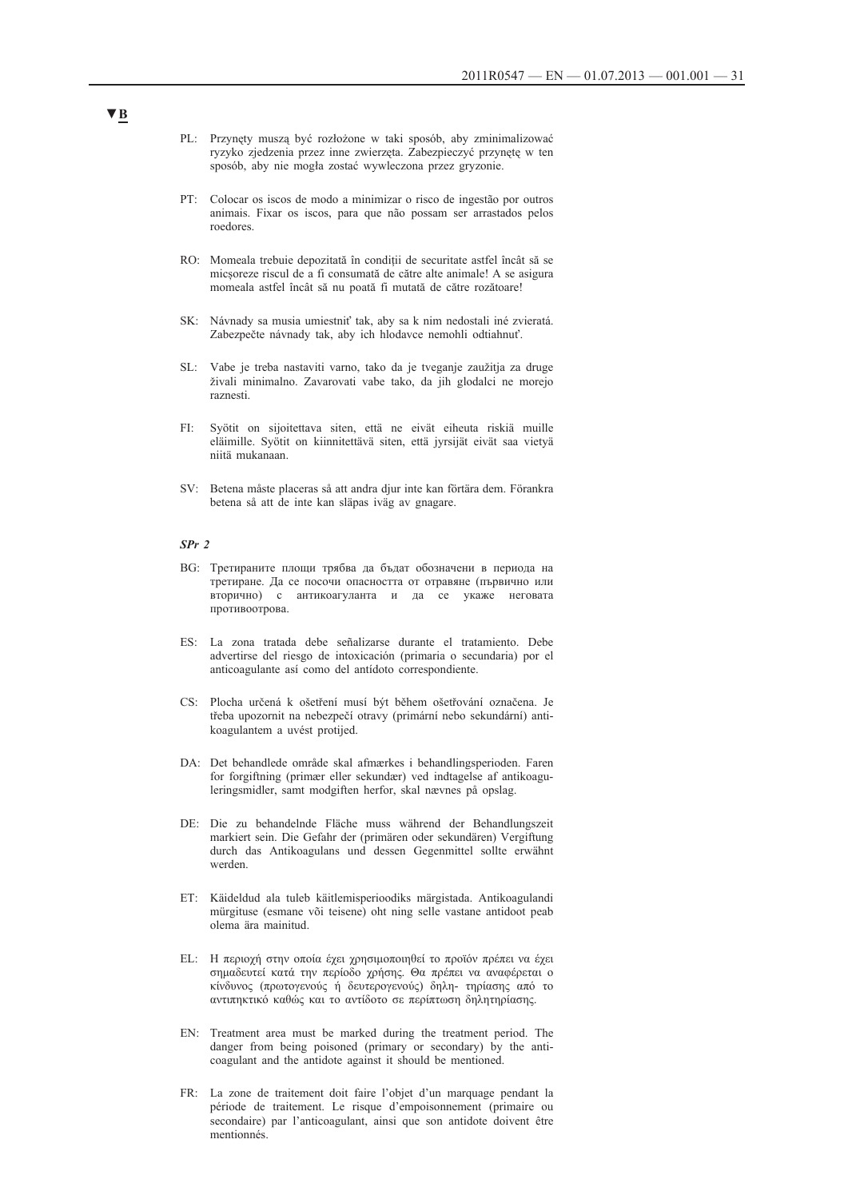- PL: Przynęty muszą być rozłożone w taki sposób, aby zminimalizować ryzyko zjedzenia przez inne zwierzęta. Zabezpieczyć przynętę w ten sposób, aby nie mogła zostać wywleczona przez gryzonie.
- PT: Colocar os iscos de modo a minimizar o risco de ingestão por outros animais. Fixar os iscos, para que não possam ser arrastados pelos roedores.
- RO: Momeala trebuie depozitată în condiții de securitate astfel încât să se micșoreze riscul de a fi consumată de către alte animale! A se asigura momeala astfel încât să nu poată fi mutată de către rozătoare!
- SK: Návnady sa musia umiestniť tak, aby sa k nim nedostali iné zvieratá. Zabezpečte návnady tak, aby ich hlodavce nemohli odtiahnuť.
- SL: Vabe je treba nastaviti varno, tako da je tveganje zaužitja za druge živali minimalno. Zavarovati vabe tako, da jih glodalci ne morejo raznesti.
- FI: Syötit on sijoitettava siten, että ne eivät eiheuta riskiä muille eläimille. Syötit on kiinnitettävä siten, että jyrsijät eivät saa vietyä niitä mukanaan.
- SV: Betena måste placeras så att andra djur inte kan förtära dem. Förankra betena så att de inte kan släpas iväg av gnagare.

#### *SPr 2*

- BG: Третираните площи трябва да бъдат обозначени в периода на третиране. Да се посочи опасността от отравяне (първично или вторично) с антикоагуланта и да се укаже неговата противоотрова.
- ES: La zona tratada debe señalizarse durante el tratamiento. Debe advertirse del riesgo de intoxicación (primaria o secundaria) por el anticoagulante así como del antídoto correspondiente.
- CS: Plocha určená k ošetření musí být během ošetřování označena. Je třeba upozornit na nebezpečí otravy (primární nebo sekundární) antikoagulantem a uvést protijed.
- DA: Det behandlede område skal afmærkes i behandlingsperioden. Faren for forgiftning (primær eller sekundær) ved indtagelse af antikoaguleringsmidler, samt modgiften herfor, skal nævnes på opslag.
- DE: Die zu behandelnde Fläche muss während der Behandlungszeit markiert sein. Die Gefahr der (primären oder sekundären) Vergiftung durch das Antikoagulans und dessen Gegenmittel sollte erwähnt werden.
- ET: Käideldud ala tuleb käitlemisperioodiks märgistada. Antikoagulandi mürgituse (esmane või teisene) oht ning selle vastane antidoot peab olema ära mainitud.
- EL: Η περιοχή στην οποία έχει χρησιμοποιηθεί το προϊόν πρέπει να έχει σημαδευτεί κατά την περίοδο χρήσης. Θα πρέπει να αναφέρεται ο κίνδυνος (πρωτογενούς ή δευτερογενούς) δηλη- τηρίασης από το αντιπηκτικό καθώς και το αντίδοτο σε περίπτωση δηλητηρίασης.
- EN: Treatment area must be marked during the treatment period. The danger from being poisoned (primary or secondary) by the anticoagulant and the antidote against it should be mentioned.
- FR: La zone de traitement doit faire l'objet d'un marquage pendant la période de traitement. Le risque d'empoisonnement (primaire ou secondaire) par l'anticoagulant, ainsi que son antidote doivent être mentionnés.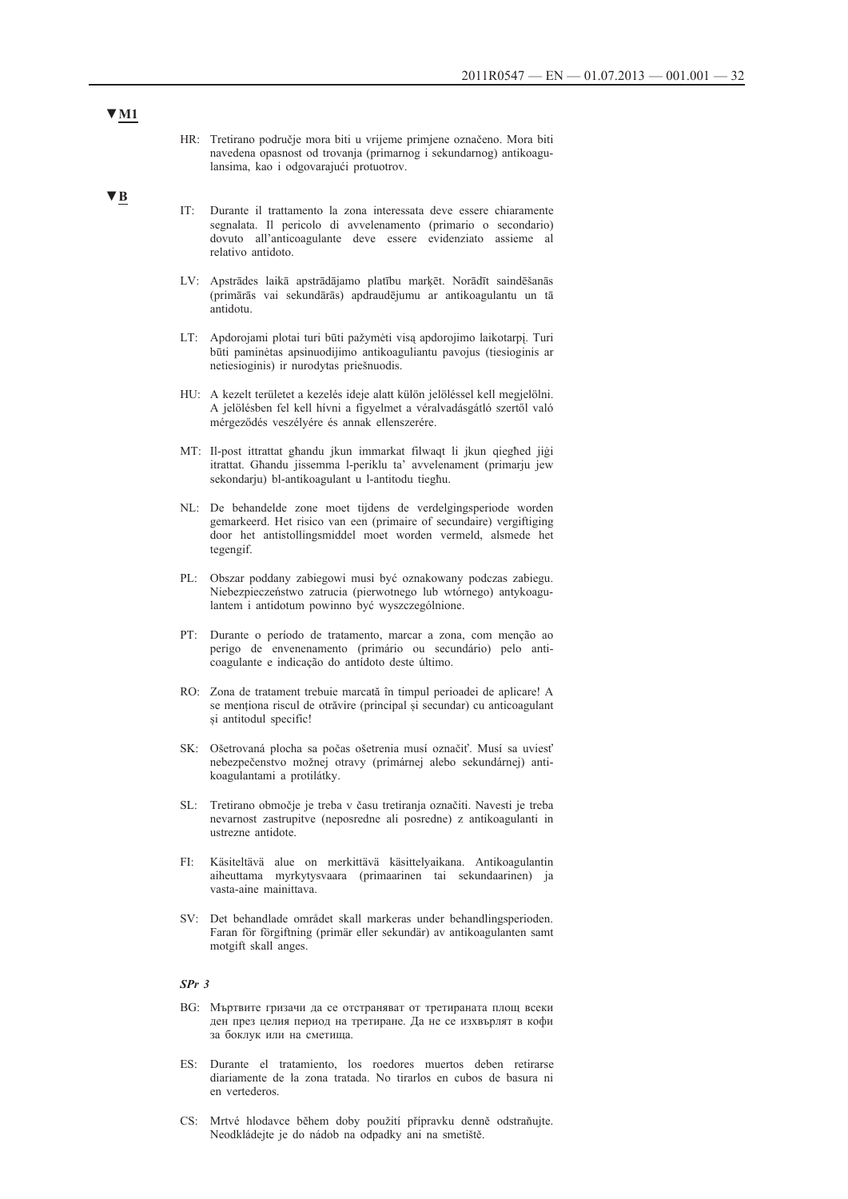- HR: Tretirano područje mora biti u vrijeme primjene označeno. Mora biti navedena opasnost od trovanja (primarnog i sekundarnog) antikoagulansima, kao i odgovarajući protuotrov.
- **▼B**
- IT: Durante il trattamento la zona interessata deve essere chiaramente segnalata. Il pericolo di avvelenamento (primario o secondario) dovuto all'anticoagulante deve essere evidenziato assieme al relativo antidoto.
- LV: Apstrādes laikā apstrādājamo platību marķēt. Norādīt saindēšanās (primārās vai sekundārās) apdraudējumu ar antikoagulantu un tā antidotu.
- LT: Apdorojami plotai turi būti pažymėti visą apdorojimo laikotarpį. Turi būti paminėtas apsinuodijimo antikoaguliantu pavojus (tiesioginis ar netiesioginis) ir nurodytas priešnuodis.
- HU: A kezelt területet a kezelés ideje alatt külön jelöléssel kell megjelölni. A jelölésben fel kell hívni a figyelmet a véralvadásgátló szertől való mérgeződés veszélyére és annak ellenszerére.
- MT: Il-post ittrattat għandu jkun immarkat filwaqt li jkun qiegħed jiġi itrattat. Għandu jissemma l-periklu ta' avvelenament (primarju jew sekondarju) bl-antikoagulant u l-antitodu tiegħu.
- NL: De behandelde zone moet tijdens de verdelgingsperiode worden gemarkeerd. Het risico van een (primaire of secundaire) vergiftiging door het antistollingsmiddel moet worden vermeld, alsmede het tegengif.
- PL: Obszar poddany zabiegowi musi być oznakowany podczas zabiegu. Niebezpieczeństwo zatrucia (pierwotnego lub wtórnego) antykoagulantem i antidotum powinno być wyszczególnione.
- PT: Durante o período de tratamento, marcar a zona, com menção ao perigo de envenenamento (primário ou secundário) pelo anticoagulante e indicação do antídoto deste último.
- RO: Zona de tratament trebuie marcată în timpul perioadei de aplicare! A se menționa riscul de otrăvire (principal și secundar) cu anticoagulant și antitodul specific!
- SK: Ošetrovaná plocha sa počas ošetrenia musí označiť. Musí sa uviesť nebezpečenstvo možnej otravy (primárnej alebo sekundárnej) antikoagulantami a protilátky.
- SL: Tretirano območje je treba v času tretiranja označiti. Navesti je treba nevarnost zastrupitve (neposredne ali posredne) z antikoagulanti in ustrezne antidote.
- FI: Käsiteltävä alue on merkittävä käsittelyaikana. Antikoagulantin aiheuttama myrkytysvaara (primaarinen tai sekundaarinen) ja vasta-aine mainittava.
- SV: Det behandlade området skall markeras under behandlingsperioden. Faran för förgiftning (primär eller sekundär) av antikoagulanten samt motgift skall anges.

#### *SPr 3*

- BG: Мъртвите гризачи да се отстраняват от третираната площ всеки ден през целия период на третиране. Да не се изхвърлят в кофи за боклук или на сметища.
- ES: Durante el tratamiento, los roedores muertos deben retirarse diariamente de la zona tratada. No tirarlos en cubos de basura ni en vertederos.
- CS: Mrtvé hlodavce během doby použití přípravku denně odstraňujte. Neodkládejte je do nádob na odpadky ani na smetiště.

### **▼M1**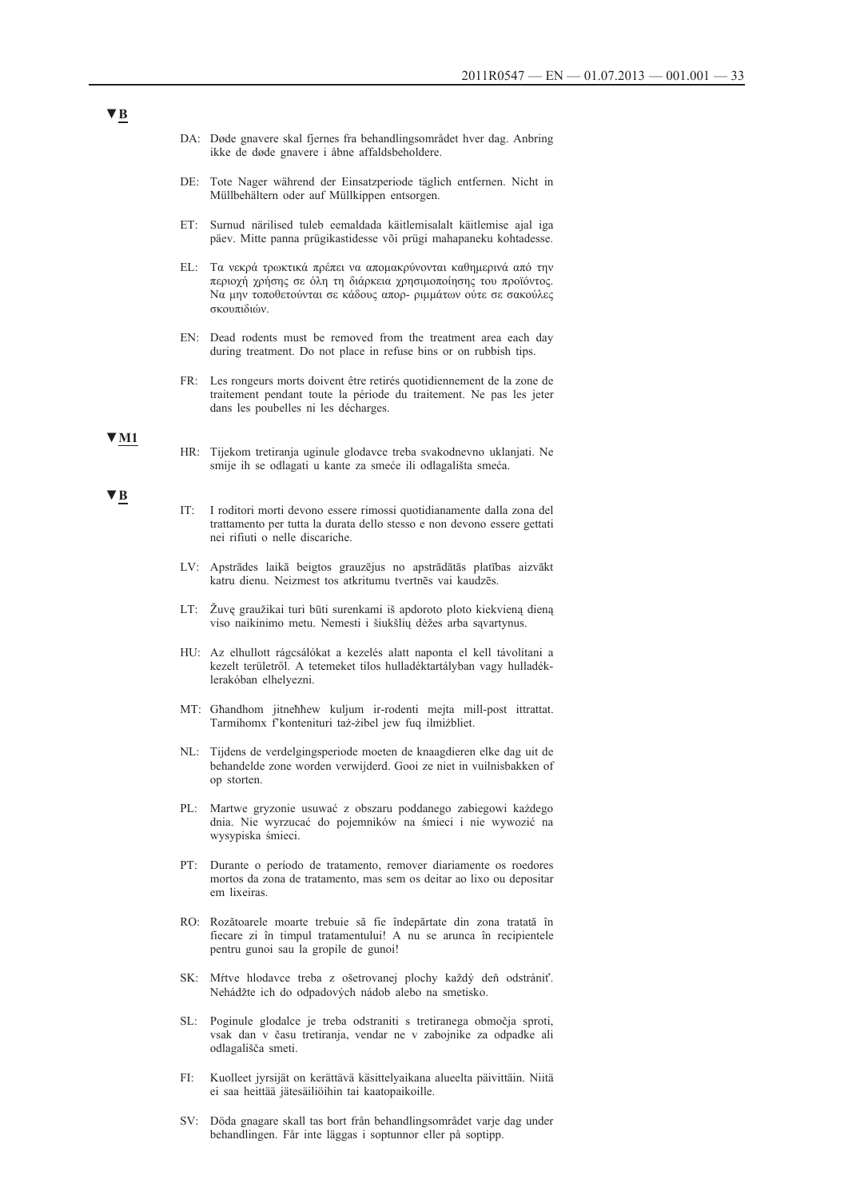- DA: Døde gnavere skal fjernes fra behandlingsområdet hver dag. Anbring ikke de døde gnavere i åbne affaldsbeholdere.
- DE: Tote Nager während der Einsatzperiode täglich entfernen. Nicht in Müllbehältern oder auf Müllkippen entsorgen.
- ET: Surnud närilised tuleb eemaldada käitlemisalalt käitlemise ajal iga päev. Mitte panna prügikastidesse või prügi mahapaneku kohtadesse.
- EL: Τα νεκρά τρωκτικά πρέπει να απομακρύνονται καθημερινά από την περιοχή χρήσης σε όλη τη διάρκεια χρησιμοποίησης του προϊόντος. Να μην τοποθετούνται σε κάδους απορ- ριμμάτων ούτε σε σακούλες σκουπιδιών.
- EN: Dead rodents must be removed from the treatment area each day during treatment. Do not place in refuse bins or on rubbish tips.
- FR: Les rongeurs morts doivent être retirés quotidiennement de la zone de traitement pendant toute la période du traitement. Ne pas les jeter dans les poubelles ni les décharges.

#### **▼M1**

HR: Tijekom tretiranja uginule glodavce treba svakodnevno uklanjati. Ne smije ih se odlagati u kante za smeće ili odlagališta smeća.

#### **▼B**

- IT: I roditori morti devono essere rimossi quotidianamente dalla zona del trattamento per tutta la durata dello stesso e non devono essere gettati nei rifiuti o nelle discariche.
- LV: Apstrādes laikā beigtos grauzējus no apstrādātās platības aizvākt katru dienu. Neizmest tos atkritumu tvertnēs vai kaudzēs.
- LT: Žuvę graužikai turi būti surenkami iš apdoroto ploto kiekvieną dieną viso naikinimo metu. Nemesti i šiukšlių dėžes arba sąvartynus.
- HU: Az elhullott rágcsálókat a kezelés alatt naponta el kell távolítani a kezelt területről. A tetemeket tilos hulladéktartályban vagy hulladéklerakóban elhelyezni.
- MT: Għandhom jitneħħew kuljum ir-rodenti mejta mill-post ittrattat. Tarmihomx f'kontenituri taż-żibel jew fuq ilmiżbliet.
- NL: Tijdens de verdelgingsperiode moeten de knaagdieren elke dag uit de behandelde zone worden verwijderd. Gooi ze niet in vuilnisbakken of op storten.
- PL: Martwe gryzonie usuwać z obszaru poddanego zabiegowi każdego dnia. Nie wyrzucać do pojemników na śmieci i nie wywozić na wysypiska śmieci.
- PT: Durante o período de tratamento, remover diariamente os roedores mortos da zona de tratamento, mas sem os deitar ao lixo ou depositar em lixeiras.
- RO: Rozătoarele moarte trebuie să fie îndepărtate din zona tratată în fiecare zi în timpul tratamentului! A nu se arunca în recipientele pentru gunoi sau la gropile de gunoi!
- SK: Mŕtve hlodavce treba z ošetrovanej plochy každý deň odstrániť. Nehádžte ich do odpadových nádob alebo na smetisko.
- SL: Poginule glodalce je treba odstraniti s tretiranega območja sproti, vsak dan v času tretiranja, vendar ne v zabojnike za odpadke ali odlagališča smeti.
- FI: Kuolleet jyrsijät on kerättävä käsittelyaikana alueelta päivittäin. Niitä ei saa heittää jätesäiliöihin tai kaatopaikoille.
- SV: Döda gnagare skall tas bort från behandlingsområdet varje dag under behandlingen. Får inte läggas i soptunnor eller på soptipp.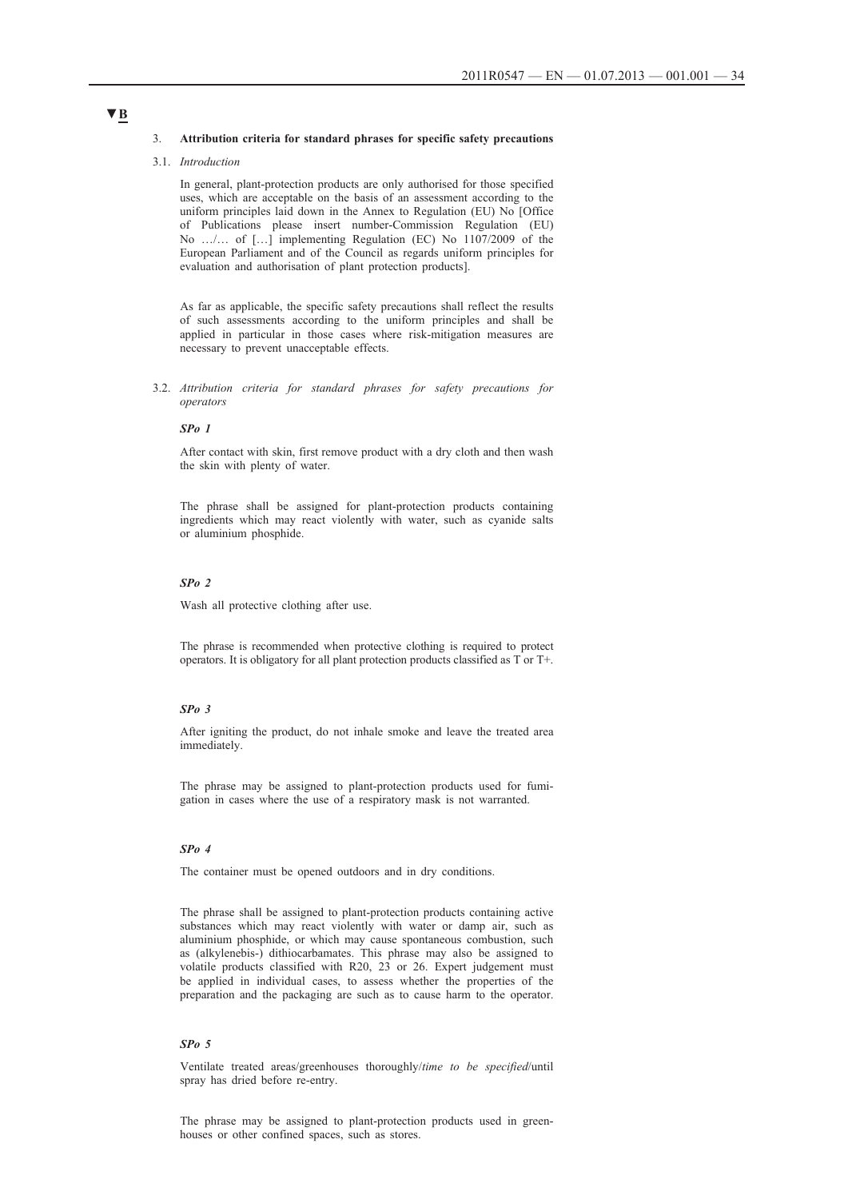#### 3. **Attribution criteria for standard phrases for specific safety precautions**

#### 3.1. *Introduction*

In general, plant-protection products are only authorised for those specified uses, which are acceptable on the basis of an assessment according to the uniform principles laid down in the Annex to Regulation (EU) No [Office of Publications please insert number-Commission Regulation (EU) No …/… of […] implementing Regulation (EC) No 1107/2009 of the European Parliament and of the Council as regards uniform principles for evaluation and authorisation of plant protection products].

As far as applicable, the specific safety precautions shall reflect the results of such assessments according to the uniform principles and shall be applied in particular in those cases where risk-mitigation measures are necessary to prevent unacceptable effects.

3.2. *Attribution criteria for standard phrases for safety precautions for operators*

#### *SPo 1*

After contact with skin, first remove product with a dry cloth and then wash the skin with plenty of water.

The phrase shall be assigned for plant-protection products containing ingredients which may react violently with water, such as cyanide salts or aluminium phosphide.

#### *SPo 2*

Wash all protective clothing after use.

The phrase is recommended when protective clothing is required to protect operators. It is obligatory for all plant protection products classified as T or T+.

### *SPo 3*

After igniting the product, do not inhale smoke and leave the treated area immediately.

The phrase may be assigned to plant-protection products used for fumigation in cases where the use of a respiratory mask is not warranted.

### *SPo 4*

The container must be opened outdoors and in dry conditions.

The phrase shall be assigned to plant-protection products containing active substances which may react violently with water or damp air, such as aluminium phosphide, or which may cause spontaneous combustion, such as (alkylenebis-) dithiocarbamates. This phrase may also be assigned to volatile products classified with R20, 23 or 26. Expert judgement must be applied in individual cases, to assess whether the properties of the preparation and the packaging are such as to cause harm to the operator.

#### *SPo 5*

Ventilate treated areas/greenhouses thoroughly/*time to be specified*/until spray has dried before re-entry.

The phrase may be assigned to plant-protection products used in greenhouses or other confined spaces, such as stores.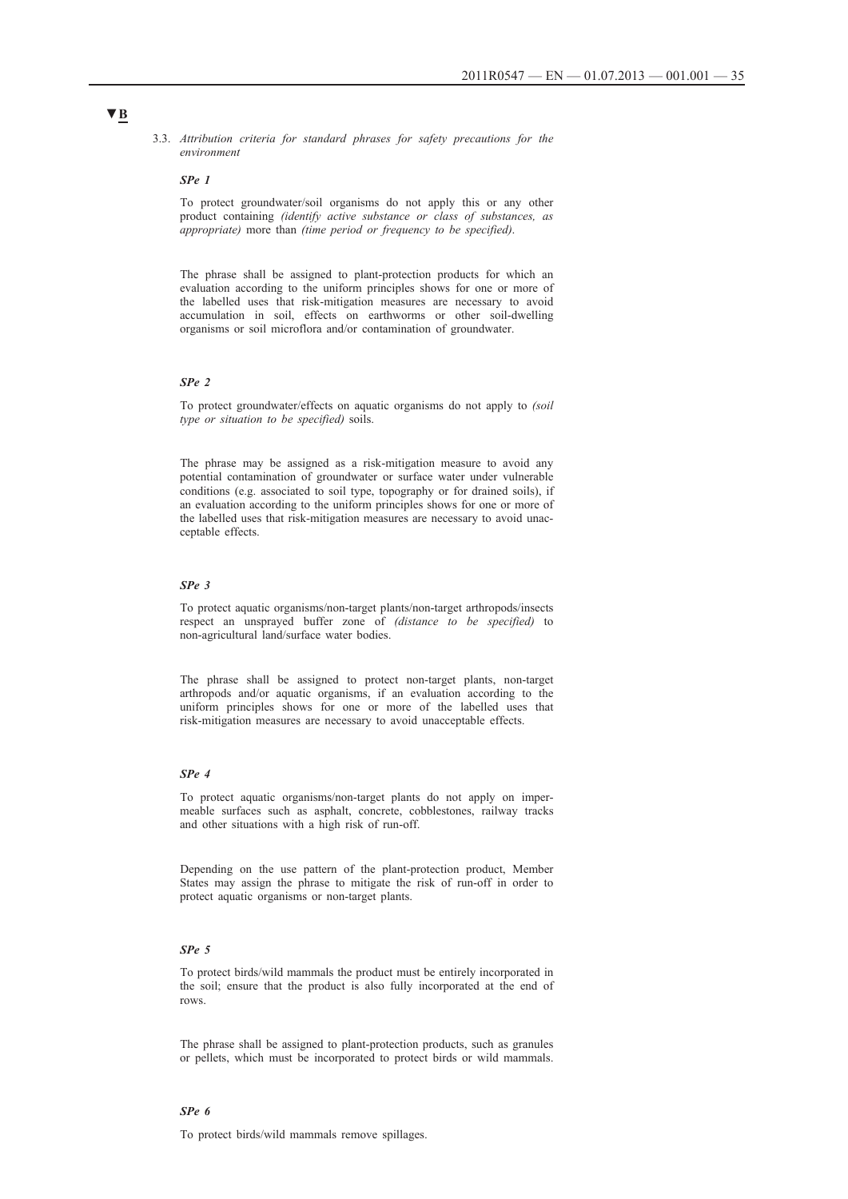3.3. *Attribution criteria for standard phrases for safety precautions for the environment*

#### *SPe 1*

To protect groundwater/soil organisms do not apply this or any other product containing *(identify active substance or class of substances, as appropriate)* more than *(time period or frequency to be specified)*.

The phrase shall be assigned to plant-protection products for which an evaluation according to the uniform principles shows for one or more of the labelled uses that risk-mitigation measures are necessary to avoid accumulation in soil, effects on earthworms or other soil-dwelling organisms or soil microflora and/or contamination of groundwater.

#### *SPe 2*

To protect groundwater/effects on aquatic organisms do not apply to *(soil type or situation to be specified)* soils.

The phrase may be assigned as a risk-mitigation measure to avoid any potential contamination of groundwater or surface water under vulnerable conditions (e.g. associated to soil type, topography or for drained soils), if an evaluation according to the uniform principles shows for one or more of the labelled uses that risk-mitigation measures are necessary to avoid unacceptable effects.

#### *SPe 3*

To protect aquatic organisms/non-target plants/non-target arthropods/insects respect an unsprayed buffer zone of *(distance to be specified)* to non-agricultural land/surface water bodies.

The phrase shall be assigned to protect non-target plants, non-target arthropods and/or aquatic organisms, if an evaluation according to the uniform principles shows for one or more of the labelled uses that risk-mitigation measures are necessary to avoid unacceptable effects.

#### *SPe 4*

To protect aquatic organisms/non-target plants do not apply on impermeable surfaces such as asphalt, concrete, cobblestones, railway tracks and other situations with a high risk of run-off.

Depending on the use pattern of the plant-protection product, Member States may assign the phrase to mitigate the risk of run-off in order to protect aquatic organisms or non-target plants.

#### *SPe 5*

To protect birds/wild mammals the product must be entirely incorporated in the soil; ensure that the product is also fully incorporated at the end of rows.

The phrase shall be assigned to plant-protection products, such as granules or pellets, which must be incorporated to protect birds or wild mammals.

#### *SPe 6*

To protect birds/wild mammals remove spillages.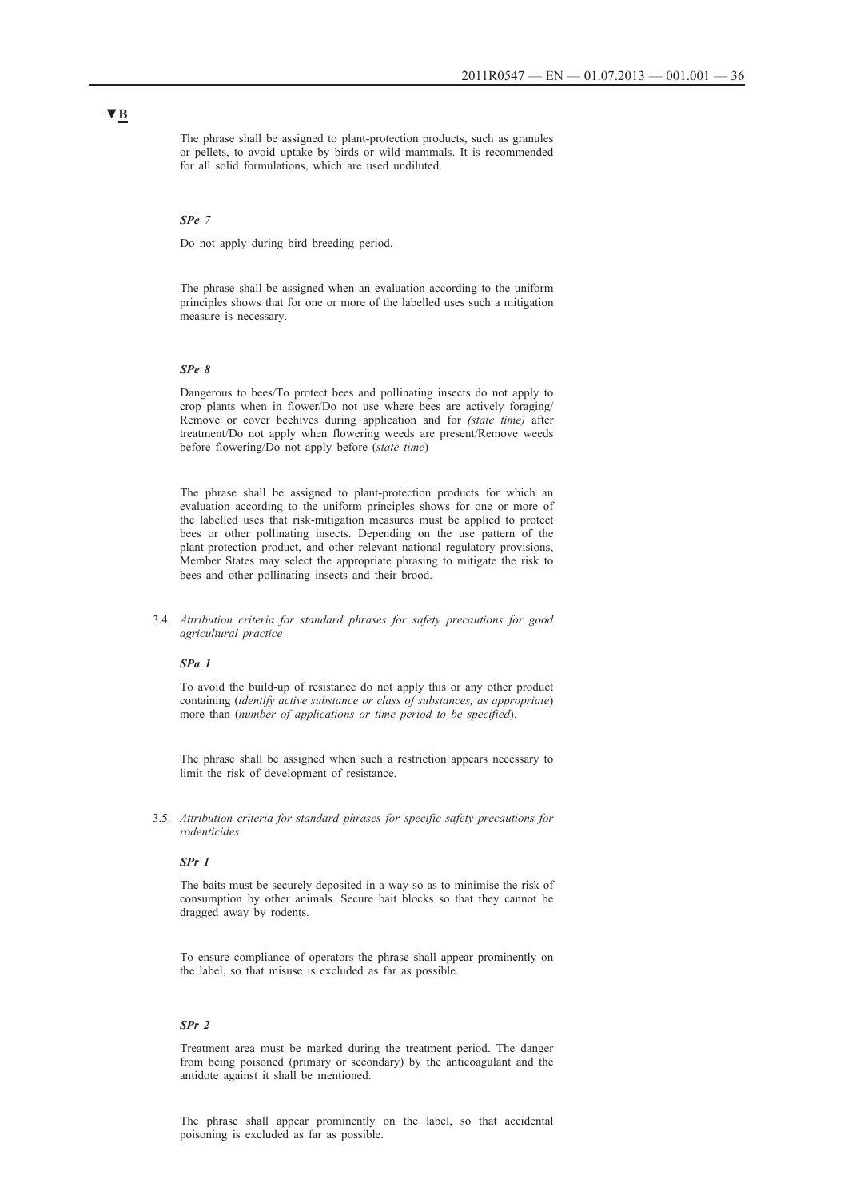The phrase shall be assigned to plant-protection products, such as granules or pellets, to avoid uptake by birds or wild mammals. It is recommended for all solid formulations, which are used undiluted.

#### *SPe 7*

Do not apply during bird breeding period.

The phrase shall be assigned when an evaluation according to the uniform principles shows that for one or more of the labelled uses such a mitigation measure is necessary.

#### *SPe 8*

Dangerous to bees/To protect bees and pollinating insects do not apply to crop plants when in flower/Do not use where bees are actively foraging/ Remove or cover beehives during application and for *(state time)* after treatment/Do not apply when flowering weeds are present/Remove weeds before flowering/Do not apply before (*state time*)

The phrase shall be assigned to plant-protection products for which an evaluation according to the uniform principles shows for one or more of the labelled uses that risk-mitigation measures must be applied to protect bees or other pollinating insects. Depending on the use pattern of the plant-protection product, and other relevant national regulatory provisions, Member States may select the appropriate phrasing to mitigate the risk to bees and other pollinating insects and their brood.

3.4. *Attribution criteria for standard phrases for safety precautions for good agricultural practice*

#### *SPa 1*

To avoid the build-up of resistance do not apply this or any other product containing (*identify active substance or class of substances, as appropriate*) more than (*number of applications or time period to be specified*).

The phrase shall be assigned when such a restriction appears necessary to limit the risk of development of resistance.

3.5. *Attribution criteria for standard phrases for specific safety precautions for rodenticides*

#### *SPr 1*

The baits must be securely deposited in a way so as to minimise the risk of consumption by other animals. Secure bait blocks so that they cannot be dragged away by rodents.

To ensure compliance of operators the phrase shall appear prominently on the label, so that misuse is excluded as far as possible.

#### *SPr 2*

Treatment area must be marked during the treatment period. The danger from being poisoned (primary or secondary) by the anticoagulant and the antidote against it shall be mentioned.

The phrase shall appear prominently on the label, so that accidental poisoning is excluded as far as possible.